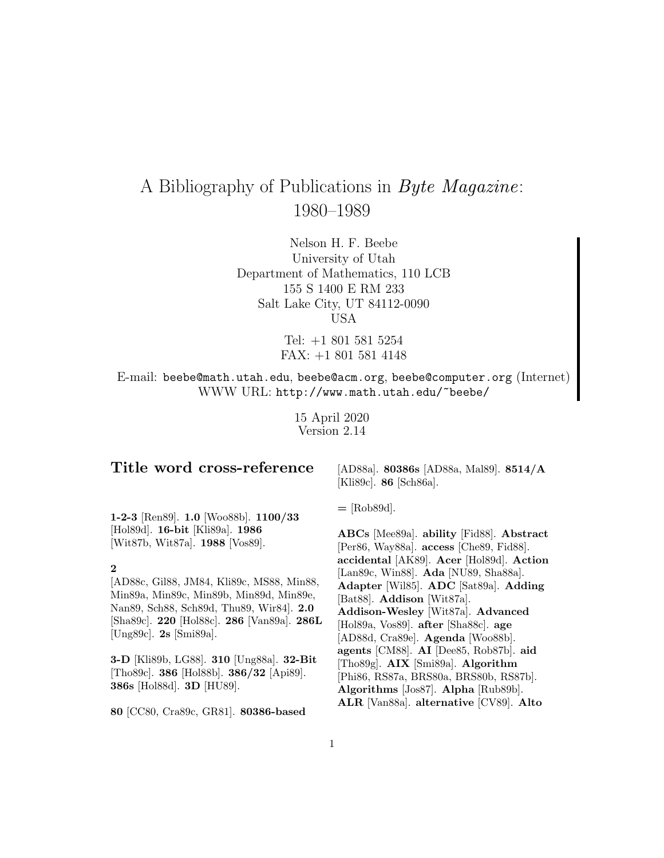# A Bibliography of Publications in Byte Magazine: 1980–1989

Nelson H. F. Beebe University of Utah Department of Mathematics, 110 LCB 155 S 1400 E RM 233 Salt Lake City, UT 84112-0090 USA

> Tel: +1 801 581 5254 FAX: +1 801 581 4148

E-mail: beebe@math.utah.edu, beebe@acm.org, beebe@computer.org (Internet) WWW URL: http://www.math.utah.edu/~beebe/

> 15 April 2020 Version 2.14

## **Title word cross-reference**

[AD88a]. **80386s** [AD88a, Mal89]. **8514/A** [Kli89c]. **86** [Sch86a].

**1-2-3** [Ren89]. **1.0** [Woo88b]. **1100/33** [Hol89d]. **16-bit** [Kli89a]. **1986** [Wit87b, Wit87a]. **1988** [Vos89].

## **2**

[AD88c, Gil88, JM84, Kli89c, MS88, Min88, Min89a, Min89c, Min89b, Min89d, Min89e, Nan89, Sch88, Sch89d, Thu89, Wir84]. **2.0** [Sha89c]. **220** [Hol88c]. **286** [Van89a]. **286L** [Ung89c]. **2s** [Smi89a].

**3-D** [Kli89b, LG88]. **310** [Ung88a]. **32-Bit** [Tho89c]. **386** [Hol88b]. **386/32** [Api89]. **386s** [Hol88d]. **3D** [HU89].

**80** [CC80, Cra89c, GR81]. **80386-based**

**=** [Rob89d].

**ABCs** [Mee89a]. **ability** [Fid88]. **Abstract** [Per86, Way88a]. **access** [Che89, Fid88]. **accidental** [AK89]. **Acer** [Hol89d]. **Action** [Lan89c, Win88]. **Ada** [NU89, Sha88a]. **Adapter** [Wil85]. **ADC** [Sat89a]. **Adding** [Bat88]. **Addison** [Wit87a]. **Addison-Wesley** [Wit87a]. **Advanced** [Hol89a, Vos89]. **after** [Sha88c]. **age** [AD88d, Cra89e]. **Agenda** [Woo88b]. **agents** [CM88]. **AI** [Dee85, Rob87b]. **aid** [Tho89g]. **AIX** [Smi89a]. **Algorithm** [Phi86, RS87a, BRS80a, BRS80b, RS87b]. **Algorithms** [Jos87]. **Alpha** [Rub89b]. **ALR** [Van88a]. **alternative** [CV89]. **Alto**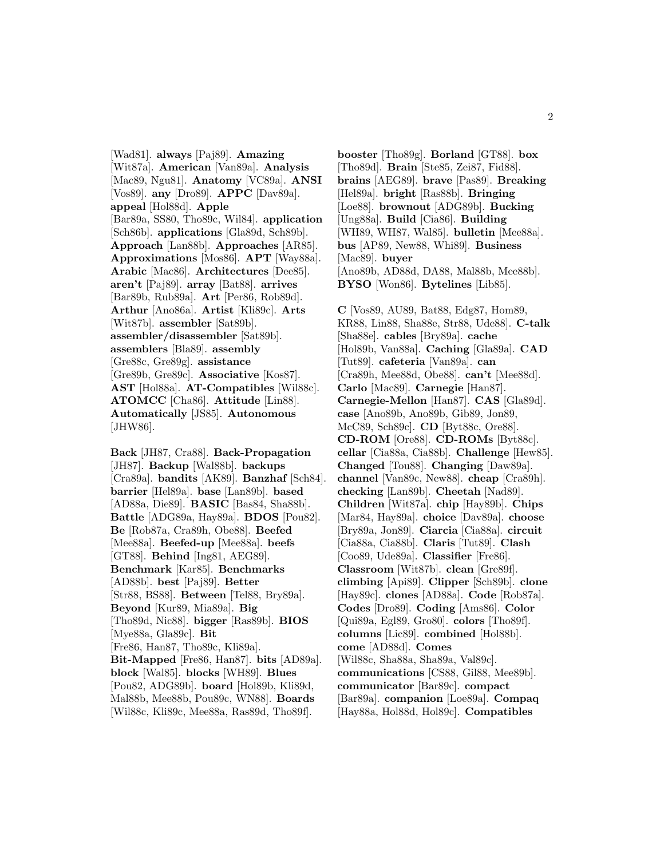[Wad81]. **always** [Paj89]. **Amazing** [Wit87a]. **American** [Van89a]. **Analysis** [Mac89, Ngu81]. **Anatomy** [VC89a]. **ANSI** [Vos89]. **any** [Dro89]. **APPC** [Dav89a]. **appeal** [Hol88d]. **Apple** [Bar89a, SS80, Tho89c, Wil84]. **application** [Sch86b]. **applications** [Gla89d, Sch89b]. **Approach** [Lan88b]. **Approaches** [AR85]. **Approximations** [Mos86]. **APT** [Way88a]. **Arabic** [Mac86]. **Architectures** [Dee85]. **aren't** [Paj89]. **array** [Bat88]. **arrives** [Bar89b, Rub89a]. **Art** [Per86, Rob89d]. **Arthur** [Ano86a]. **Artist** [Kli89c]. **Arts** [Wit87b]. **assembler** [Sat89b]. **assembler/disassembler** [Sat89b]. **assemblers** [Bla89]. **assembly** [Gre88c, Gre89g]. **assistance** [Gre89b, Gre89c]. **Associative** [Kos87]. **AST** [Hol88a]. **AT-Compatibles** [Wil88c]. **ATOMCC** [Cha86]. **Attitude** [Lin88]. **Automatically** [JS85]. **Autonomous** [JHW86].

**Back** [JH87, Cra88]. **Back-Propagation** [JH87]. **Backup** [Wal88b]. **backups** [Cra89a]. **bandits** [AK89]. **Banzhaf** [Sch84]. **barrier** [Hel89a]. **base** [Lan89b]. **based** [AD88a, Die89]. **BASIC** [Bas84, Sha88b]. **Battle** [ADG89a, Hay89a]. **BDOS** [Pou82]. **Be** [Rob87a, Cra89h, Obe88]. **Beefed** [Mee88a]. **Beefed-up** [Mee88a]. **beefs** [GT88]. **Behind** [Ing81, AEG89]. **Benchmark** [Kar85]. **Benchmarks** [AD88b]. **best** [Paj89]. **Better** [Str88, BS88]. **Between** [Tel88, Bry89a]. **Beyond** [Kur89, Mia89a]. **Big** [Tho89d, Nic88]. **bigger** [Ras89b]. **BIOS** [Mye88a, Gla89c]. **Bit** [Fre86, Han87, Tho89c, Kli89a]. **Bit-Mapped** [Fre86, Han87]. **bits** [AD89a]. **block** [Wal85]. **blocks** [WH89]. **Blues** [Pou82, ADG89b]. **board** [Hol89b, Kli89d, Mal88b, Mee88b, Pou89c, WN88]. **Boards** [Wil88c, Kli89c, Mee88a, Ras89d, Tho89f].

**booster** [Tho89g]. **Borland** [GT88]. **box** [Tho89d]. **Brain** [Ste85, Zei87, Fid88]. **brains** [AEG89]. **brave** [Pas89]. **Breaking** [Hel89a]. **bright** [Ras88b]. **Bringing** [Loe88]. **brownout** [ADG89b]. **Bucking** [Ung88a]. **Build** [Cia86]. **Building** [WH89, WH87, Wal85]. **bulletin** [Mee88a]. **bus** [AP89, New88, Whi89]. **Business** [Mac89]. **buyer** [Ano89b, AD88d, DA88, Mal88b, Mee88b]. **BYSO** [Won86]. **Bytelines** [Lib85].

**C** [Vos89, AU89, Bat88, Edg87, Hom89, KR88, Lin88, Sha88e, Str88, Ude88]. **C-talk** [Sha88e]. **cables** [Bry89a]. **cache** [Hol89b, Van88a]. **Caching** [Gla89a]. **CAD** [Tut89]. **cafeteria** [Van89a]. **can** [Cra89h, Mee88d, Obe88]. **can't** [Mee88d]. **Carlo** [Mac89]. **Carnegie** [Han87]. **Carnegie-Mellon** [Han87]. **CAS** [Gla89d]. **case** [Ano89b, Ano89b, Gib89, Jon89, McC89, Sch89c]. **CD** [Byt88c, Ore88]. **CD-ROM** [Ore88]. **CD-ROMs** [Byt88c]. **cellar** [Cia88a, Cia88b]. **Challenge** [Hew85]. **Changed** [Tou88]. **Changing** [Daw89a]. **channel** [Van89c, New88]. **cheap** [Cra89h]. **checking** [Lan89b]. **Cheetah** [Nad89]. **Children** [Wit87a]. **chip** [Hay89b]. **Chips** [Mar84, Hay89a]. **choice** [Dav89a]. **choose** [Bry89a, Jon89]. **Ciarcia** [Cia88a]. **circuit** [Cia88a, Cia88b]. **Claris** [Tut89]. **Clash** [Coo89, Ude89a]. **Classifier** [Fre86]. **Classroom** [Wit87b]. **clean** [Gre89f]. **climbing** [Api89]. **Clipper** [Sch89b]. **clone** [Hay89c]. **clones** [AD88a]. **Code** [Rob87a]. **Codes** [Dro89]. **Coding** [Ams86]. **Color** [Qui89a, Egl89, Gro80]. **colors** [Tho89f]. **columns** [Lic89]. **combined** [Hol88b]. **come** [AD88d]. **Comes** [Wil88c, Sha88a, Sha89a, Val89c]. **communications** [CS88, Gil88, Mee89b]. **communicator** [Bar89c]. **compact** [Bar89a]. **companion** [Loe89a]. **Compaq** [Hay88a, Hol88d, Hol89c]. **Compatibles**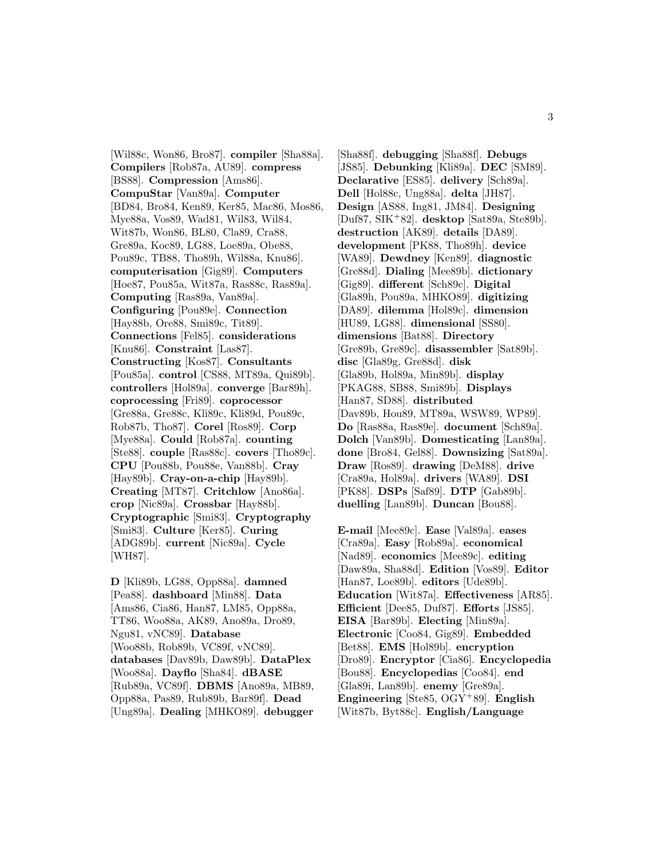[Wil88c, Won86, Bro87]. **compiler** [Sha88a]. **Compilers** [Rob87a, AU89]. **compress** [BS88]. **Compression** [Ams86]. **CompuStar** [Van89a]. **Computer** [BD84, Bro84, Ken89, Ker85, Mac86, Mos86, Mye88a, Vos89, Wad81, Wil83, Wil84, Wit87b, Won86, BL80, Cla89, Cra88, Gre89a, Koc89, LG88, Loe89a, Obe88, Pou89c, TB88, Tho89h, Wil88a, Knu86]. **computerisation** [Gig89]. **Computers** [Hoe87, Pou85a, Wit87a, Ras88c, Ras89a]. **Computing** [Ras89a, Van89a]. **Configuring** [Pou89e]. **Connection** [Hay88b, Ore88, Smi89c, Tit89]. **Connections** [Fel85]. **considerations** [Knu86]. **Constraint** [Las87]. **Constructing** [Kos87]. **Consultants** [Pou85a]. **control** [CS88, MT89a, Qui89b]. **controllers** [Hol89a]. **converge** [Bar89h]. **coprocessing** [Fri89]. **coprocessor** [Gre88a, Gre88c, Kli89c, Kli89d, Pou89c, Rob87b, Tho87]. **Corel** [Ros89]. **Corp** [Mye88a]. **Could** [Rob87a]. **counting** [Ste88]. **couple** [Ras88c]. **covers** [Tho89c]. **CPU** [Pou88b, Pou88e, Van88b]. **Cray** [Hay89b]. **Cray-on-a-chip** [Hay89b]. **Creating** [MT87]. **Critchlow** [Ano86a]. **crop** [Nic89a]. **Crossbar** [Hay88b]. **Cryptographic** [Smi83]. **Cryptography** [Smi83]. **Culture** [Ker85]. **Curing** [ADG89b]. **current** [Nic89a]. **Cycle** [WH87].

**D** [Kli89b, LG88, Opp88a]. **damned** [Pea88]. **dashboard** [Min88]. **Data** [Ams86, Cia86, Han87, LM85, Opp88a, TT86, Woo88a, AK89, Ano89a, Dro89, Ngu81, vNC89]. **Database** [Woo88b, Rob89b, VC89f, vNC89]. **databases** [Dav89b, Daw89b]. **DataPlex** [Woo88a]. **Dayflo** [Sha84]. **dBASE** [Rub89a, VC89f]. **DBMS** [Ano89a, MB89, Opp88a, Pas89, Rub89b, Bar89f]. **Dead** [Ung89a]. **Dealing** [MHKO89]. **debugger**

[Sha88f]. **debugging** [Sha88f]. **Debugs** [JS85]. **Debunking** [Kli89a]. **DEC** [SM89]. **Declarative** [ES85]. **delivery** [Sch89a]. **Dell** [Hol88c, Ung88a]. **delta** [JH87]. **Design** [AS88, Ing81, JM84]. **Designing** [Duf87, SIK<sup>+</sup>82]. **desktop** [Sat89a, Ste89b]. **destruction** [AK89]. **details** [DA89]. **development** [PK88, Tho89h]. **device** [WA89]. **Dewdney** [Ken89]. **diagnostic** [Gre88d]. **Dialing** [Mee89b]. **dictionary** [Gig89]. **different** [Sch89c]. **Digital** [Gla89h, Pou89a, MHKO89]. **digitizing** [DA89]. **dilemma** [Hol89c]. **dimension** [HU89, LG88]. **dimensional** [SS80]. **dimensions** [Bat88]. **Directory** [Gre89b, Gre89c]. **disassembler** [Sat89b]. **disc** [Gla89g, Gre88d]. **disk** [Gla89b, Hol89a, Min89b]. **display** [PKAG88, SB88, Smi89b]. **Displays** [Han87, SD88]. **distributed** [Dav89b, Hou89, MT89a, WSW89, WP89]. **Do** [Ras88a, Ras89e]. **document** [Sch89a]. **Dolch** [Van89b]. **Domesticating** [Lan89a]. **done** [Bro84, Gel88]. **Downsizing** [Sat89a]. **Draw** [Ros89]. **drawing** [DeM88]. **drive** [Cra89a, Hol89a]. **drivers** [WA89]. **DSI** [PK88]. **DSPs** [Saf89]. **DTP** [Gab89b]. **duelling** [Lan89b]. **Duncan** [Bou88].

**E-mail** [Mee89c]. **Ease** [Val89a]. **eases** [Cra89a]. **Easy** [Rob89a]. **economical** [Nad89]. **economics** [Mee89c]. **editing** [Daw89a, Sha88d]. **Edition** [Vos89]. **Editor** [Han87, Loe89b]. **editors** [Ude89b]. **Education** [Wit87a]. **Effectiveness** [AR85]. **Efficient** [Dee85, Duf87]. **Efforts** [JS85]. **EISA** [Bar89b]. **Electing** [Min89a]. **Electronic** [Coo84, Gig89]. **Embedded** [Bet88]. **EMS** [Hol89b]. **encryption** [Dro89]. **Encryptor** [Cia86]. **Encyclopedia** [Bou88]. **Encyclopedias** [Coo84]. **end** [Gla89i, Lan89b]. **enemy** [Gre89a]. **Engineering** [Ste85, OGY<sup>+</sup>89]. **English** [Wit87b, Byt88c]. **English/Language**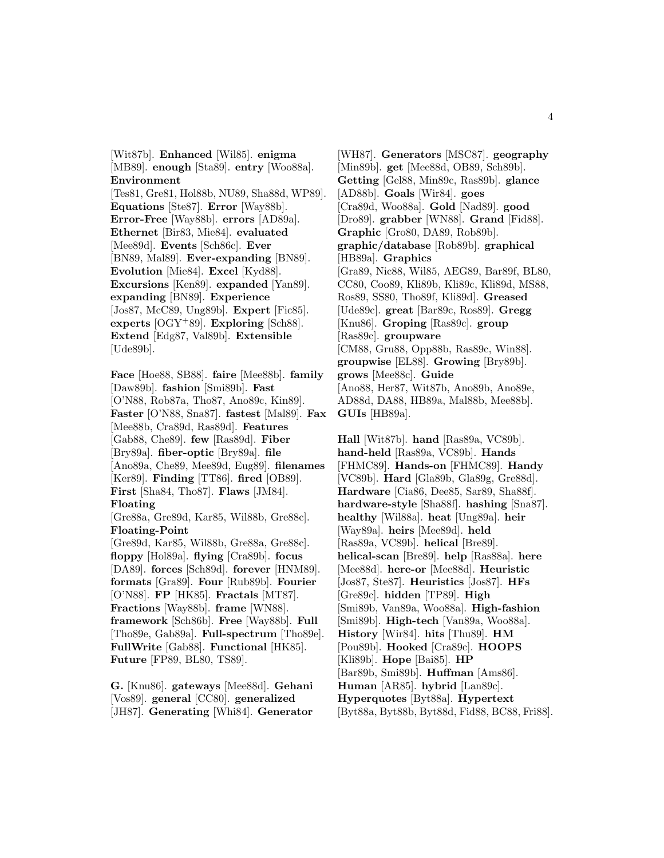[Wit87b]. **Enhanced** [Wil85]. **enigma** [MB89]. **enough** [Sta89]. **entry** [Woo88a]. **Environment**

[Tes81, Gre81, Hol88b, NU89, Sha88d, WP89]. **Equations** [Ste87]. **Error** [Way88b]. **Error-Free** [Way88b]. **errors** [AD89a]. **Ethernet** [Bir83, Mie84]. **evaluated** [Mee89d]. **Events** [Sch86c]. **Ever** [BN89, Mal89]. **Ever-expanding** [BN89]. **Evolution** [Mie84]. **Excel** [Kyd88]. **Excursions** [Ken89]. **expanded** [Yan89]. **expanding** [BN89]. **Experience** [Jos87, McC89, Ung89b]. **Expert** [Fic85]. **experts** [OGY<sup>+</sup>89]. **Exploring** [Sch88]. **Extend** [Edg87, Val89b]. **Extensible** [Ude89b].

**Face** [Hoe88, SB88]. **faire** [Mee88b]. **family** [Daw89b]. **fashion** [Smi89b]. **Fast** [O'N88, Rob87a, Tho87, Ano89c, Kin89]. **Faster** [O'N88, Sna87]. **fastest** [Mal89]. **Fax** [Mee88b, Cra89d, Ras89d]. **Features** [Gab88, Che89]. **few** [Ras89d]. **Fiber** [Bry89a]. **fiber-optic** [Bry89a]. **file** [Ano89a, Che89, Mee89d, Eug89]. **filenames** [Ker89]. **Finding** [TT86]. **fired** [OB89]. **First** [Sha84, Tho87]. **Flaws** [JM84]. **Floating** [Gre88a, Gre89d, Kar85, Wil88b, Gre88c]. **Floating-Point** [Gre89d, Kar85, Wil88b, Gre88a, Gre88c]. **floppy** [Hol89a]. **flying** [Cra89b]. **focus** [DA89]. **forces** [Sch89d]. **forever** [HNM89]. **formats** [Gra89]. **Four** [Rub89b]. **Fourier** [O'N88]. **FP** [HK85]. **Fractals** [MT87]. **Fractions** [Way88b]. **frame** [WN88]. **framework** [Sch86b]. **Free** [Way88b]. **Full** [Tho89e, Gab89a]. **Full-spectrum** [Tho89e]. **FullWrite** [Gab88]. **Functional** [HK85]. **Future** [FP89, BL80, TS89].

**G.** [Knu86]. **gateways** [Mee88d]. **Gehani** [Vos89]. **general** [CC80]. **generalized** [JH87]. **Generating** [Whi84]. **Generator**

[WH87]. **Generators** [MSC87]. **geography** [Min89b]. **get** [Mee88d, OB89, Sch89b]. **Getting** [Gel88, Min89c, Ras89b]. **glance** [AD88b]. **Goals** [Wir84]. **goes** [Cra89d, Woo88a]. **Gold** [Nad89]. **good** [Dro89]. **grabber** [WN88]. **Grand** [Fid88]. **Graphic** [Gro80, DA89, Rob89b]. **graphic/database** [Rob89b]. **graphical** [HB89a]. **Graphics** [Gra89, Nic88, Wil85, AEG89, Bar89f, BL80, CC80, Coo89, Kli89b, Kli89c, Kli89d, MS88, Ros89, SS80, Tho89f, Kli89d]. **Greased** [Ude89c]. **great** [Bar89c, Ros89]. **Gregg** [Knu86]. **Groping** [Ras89c]. **group** [Ras89c]. **groupware** [CM88, Gru88, Opp88b, Ras89c, Win88]. **groupwise** [EL88]. **Growing** [Bry89b]. **grows** [Mee88c]. **Guide** [Ano88, Her87, Wit87b, Ano89b, Ano89e, AD88d, DA88, HB89a, Mal88b, Mee88b]. **GUIs** [HB89a].

**Hall** [Wit87b]. **hand** [Ras89a, VC89b]. **hand-held** [Ras89a, VC89b]. **Hands** [FHMC89]. **Hands-on** [FHMC89]. **Handy** [VC89b]. **Hard** [Gla89b, Gla89g, Gre88d]. **Hardware** [Cia86, Dee85, Sar89, Sha88f]. **hardware-style** [Sha88f]. **hashing** [Sna87]. **healthy** [Wil88a]. **heat** [Ung89a]. **heir** [Way89a]. **heirs** [Mee89d]. **held** [Ras89a, VC89b]. **helical** [Bre89]. **helical-scan** [Bre89]. **help** [Ras88a]. **here** [Mee88d]. **here-or** [Mee88d]. **Heuristic** [Jos87, Ste87]. **Heuristics** [Jos87]. **HFs** [Gre89c]. **hidden** [TP89]. **High** [Smi89b, Van89a, Woo88a]. **High-fashion** [Smi89b]. **High-tech** [Van89a, Woo88a]. **History** [Wir84]. **hits** [Thu89]. **HM** [Pou89b]. **Hooked** [Cra89c]. **HOOPS** [Kli89b]. **Hope** [Bai85]. **HP** [Bar89b, Smi89b]. **Huffman** [Ams86]. **Human** [AR85]. **hybrid** [Lan89c]. **Hyperquotes** [Byt88a]. **Hypertext** [Byt88a, Byt88b, Byt88d, Fid88, BC88, Fri88].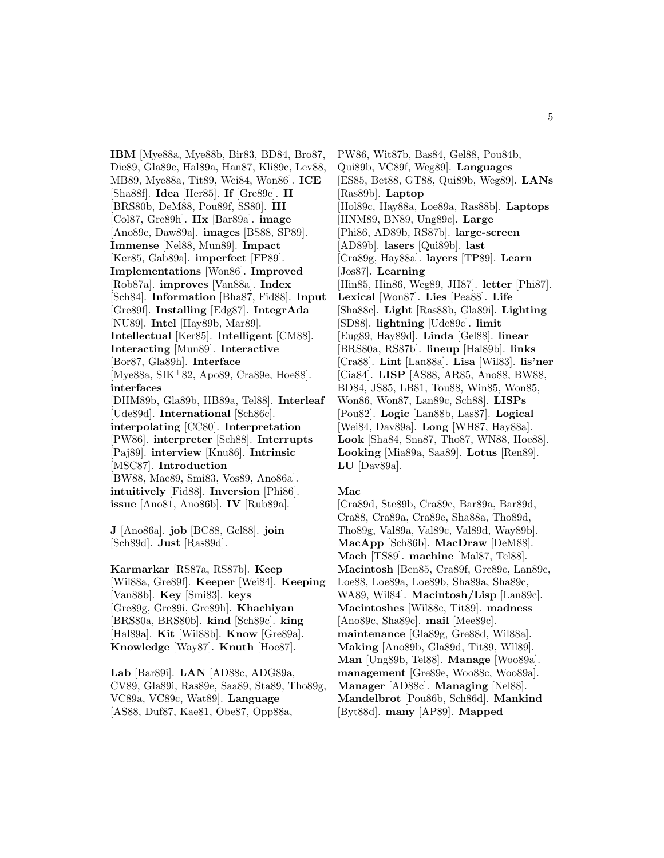**IBM** [Mye88a, Mye88b, Bir83, BD84, Bro87, Die89, Gla89c, Hal89a, Han87, Kli89c, Lev88, MB89, Mye88a, Tit89, Wei84, Won86]. **ICE** [Sha88f]. **Idea** [Her85]. **If** [Gre89e]. **II** [BRS80b, DeM88, Pou89f, SS80]. **III** [Col87, Gre89h]. **IIx** [Bar89a]. **image** [Ano89e, Daw89a]. **images** [BS88, SP89]. **Immense** [Nel88, Mun89]. **Impact** [Ker85, Gab89a]. **imperfect** [FP89]. **Implementations** [Won86]. **Improved** [Rob87a]. **improves** [Van88a]. **Index** [Sch84]. **Information** [Bha87, Fid88]. **Input** [Gre89f]. **Installing** [Edg87]. **IntegrAda** [NU89]. **Intel** [Hay89b, Mar89]. **Intellectual** [Ker85]. **Intelligent** [CM88]. **Interacting** [Mun89]. **Interactive** [Bor87, Gla89h]. **Interface** [Mye88a, SIK<sup>+</sup>82, Apo89, Cra89e, Hoe88]. **interfaces** [DHM89b, Gla89b, HB89a, Tel88]. **Interleaf** [Ude89d]. **International** [Sch86c]. **interpolating** [CC80]. **Interpretation** [PW86]. **interpreter** [Sch88]. **Interrupts** [Paj89]. **interview** [Knu86]. **Intrinsic** [MSC87]. **Introduction** [BW88, Mac89, Smi83, Vos89, Ano86a]. **intuitively** [Fid88]. **Inversion** [Phi86]. **issue** [Ano81, Ano86b]. **IV** [Rub89a].

**J** [Ano86a]. **job** [BC88, Gel88]. **join** [Sch89d]. **Just** [Ras89d].

**Karmarkar** [RS87a, RS87b]. **Keep** [Wil88a, Gre89f]. **Keeper** [Wei84]. **Keeping** [Van88b]. **Key** [Smi83]. **keys** [Gre89g, Gre89i, Gre89h]. **Khachiyan** [BRS80a, BRS80b]. **kind** [Sch89c]. **king** [Hal89a]. **Kit** [Wil88b]. **Know** [Gre89a]. **Knowledge** [Way87]. **Knuth** [Hoe87].

**Lab** [Bar89i]. **LAN** [AD88c, ADG89a, CV89, Gla89i, Ras89e, Saa89, Sta89, Tho89g, VC89a, VC89c, Wat89]. **Language** [AS88, Duf87, Kae81, Obe87, Opp88a,

PW86, Wit87b, Bas84, Gel88, Pou84b, Qui89b, VC89f, Weg89]. **Languages** [ES85, Bet88, GT88, Qui89b, Weg89]. **LANs** [Ras89b]. **Laptop** [Hol89c, Hay88a, Loe89a, Ras88b]. **Laptops** [HNM89, BN89, Ung89c]. **Large** [Phi86, AD89b, RS87b]. **large-screen** [AD89b]. **lasers** [Qui89b]. **last** [Cra89g, Hay88a]. **layers** [TP89]. **Learn** [Jos87]. **Learning** [Hin85, Hin86, Weg89, JH87]. **letter** [Phi87]. **Lexical** [Won87]. **Lies** [Pea88]. **Life** [Sha88c]. **Light** [Ras88b, Gla89i]. **Lighting** [SD88]. **lightning** [Ude89c]. **limit** [Eug89, Hay89d]. **Linda** [Gel88]. **linear** [BRS80a, RS87b]. **lineup** [Hal89b]. **links** [Cra88]. **Lint** [Lan88a]. **Lisa** [Wil83]. **lis'ner** [Cia84]. **LISP** [AS88, AR85, Ano88, BW88, BD84, JS85, LB81, Tou88, Win85, Won85, Won86, Won87, Lan89c, Sch88]. **LISPs** [Pou82]. **Logic** [Lan88b, Las87]. **Logical** [Wei84, Dav89a]. **Long** [WH87, Hay88a]. **Look** [Sha84, Sna87, Tho87, WN88, Hoe88]. **Looking** [Mia89a, Saa89]. **Lotus** [Ren89]. **LU** [Dav89a].

#### **Mac**

[Cra89d, Ste89b, Cra89c, Bar89a, Bar89d, Cra88, Cra89a, Cra89e, Sha88a, Tho89d, Tho89g, Val89a, Val89c, Val89d, Way89b]. **MacApp** [Sch86b]. **MacDraw** [DeM88]. **Mach** [TS89]. **machine** [Mal87, Tel88]. **Macintosh** [Ben85, Cra89f, Gre89c, Lan89c, Loe88, Loe89a, Loe89b, Sha89a, Sha89c, WA89, Wil84]. **Macintosh/Lisp** [Lan89c]. **Macintoshes** [Wil88c, Tit89]. **madness** [Ano89c, Sha89c]. **mail** [Mee89c]. **maintenance** [Gla89g, Gre88d, Wil88a]. **Making** [Ano89b, Gla89d, Tit89, Wll89]. **Man** [Ung89b, Tel88]. **Manage** [Woo89a]. **management** [Gre89e, Woo88c, Woo89a]. **Manager** [AD88c]. **Managing** [Nel88]. **Mandelbrot** [Pou86b, Sch86d]. **Mankind** [Byt88d]. **many** [AP89]. **Mapped**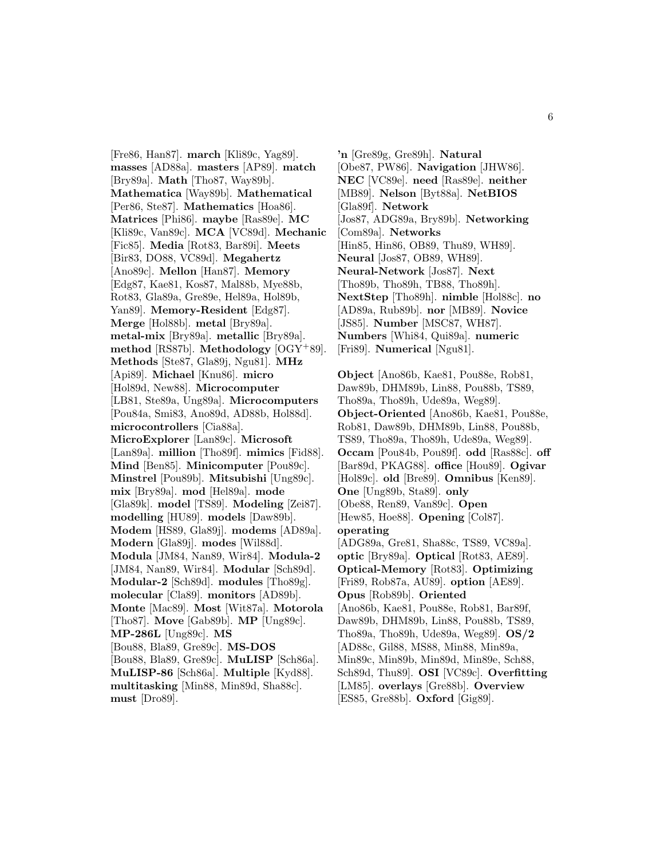[Fre86, Han87]. **march** [Kli89c, Yag89]. **masses** [AD88a]. **masters** [AP89]. **match** [Bry89a]. **Math** [Tho87, Way89b]. **Mathematica** [Way89b]. **Mathematical** [Per86, Ste87]. **Mathematics** [Hoa86]. **Matrices** [Phi86]. **maybe** [Ras89e]. **MC** [Kli89c, Van89c]. **MCA** [VC89d]. **Mechanic** [Fic85]. **Media** [Rot83, Bar89i]. **Meets** [Bir83, DO88, VC89d]. **Megahertz** [Ano89c]. **Mellon** [Han87]. **Memory** [Edg87, Kae81, Kos87, Mal88b, Mye88b, Rot83, Gla89a, Gre89e, Hel89a, Hol89b, Yan89]. **Memory-Resident** [Edg87]. **Merge** [Hol88b]. **metal** [Bry89a]. **metal-mix** [Bry89a]. **metallic** [Bry89a]. **method** [RS87b]. **Methodology** [OGY<sup>+</sup>89]. **Methods** [Ste87, Gla89j, Ngu81]. **MHz** [Api89]. **Michael** [Knu86]. **micro** [Hol89d, New88]. **Microcomputer** [LB81, Ste89a, Ung89a]. **Microcomputers** [Pou84a, Smi83, Ano89d, AD88b, Hol88d]. **microcontrollers** [Cia88a]. **MicroExplorer** [Lan89c]. **Microsoft** [Lan89a]. **million** [Tho89f]. **mimics** [Fid88]. **Mind** [Ben85]. **Minicomputer** [Pou89c]. **Minstrel** [Pou89b]. **Mitsubishi** [Ung89c]. **mix** [Bry89a]. **mod** [Hel89a]. **mode** [Gla89k]. **model** [TS89]. **Modeling** [Zei87]. **modelling** [HU89]. **models** [Daw89b]. **Modem** [HS89, Gla89j]. **modems** [AD89a]. **Modern** [Gla89j]. **modes** [Wil88d]. **Modula** [JM84, Nan89, Wir84]. **Modula-2** [JM84, Nan89, Wir84]. **Modular** [Sch89d]. **Modular-2** [Sch89d]. **modules** [Tho89g]. **molecular** [Cla89]. **monitors** [AD89b]. **Monte** [Mac89]. **Most** [Wit87a]. **Motorola** [Tho87]. **Move** [Gab89b]. **MP** [Ung89c]. **MP-286L** [Ung89c]. **MS** [Bou88, Bla89, Gre89c]. **MS-DOS** [Bou88, Bla89, Gre89c]. **MuLISP** [Sch86a]. **MuLISP-86** [Sch86a]. **Multiple** [Kyd88]. **multitasking** [Min88, Min89d, Sha88c]. **must** [Dro89].

**'n** [Gre89g, Gre89h]. **Natural** [Obe87, PW86]. **Navigation** [JHW86]. **NEC** [VC89e]. **need** [Ras89e]. **neither** [MB89]. **Nelson** [Byt88a]. **NetBIOS** [Gla89f]. **Network** [Jos87, ADG89a, Bry89b]. **Networking** [Com89a]. **Networks** [Hin85, Hin86, OB89, Thu89, WH89]. **Neural** [Jos87, OB89, WH89]. **Neural-Network** [Jos87]. **Next** [Tho89b, Tho89h, TB88, Tho89h]. **NextStep** [Tho89h]. **nimble** [Hol88c]. **no** [AD89a, Rub89b]. **nor** [MB89]. **Novice** [JS85]. **Number** [MSC87, WH87]. **Numbers** [Whi84, Qui89a]. **numeric** [Fri89]. **Numerical** [Ngu81].

**Object** [Ano86b, Kae81, Pou88e, Rob81, Daw89b, DHM89b, Lin88, Pou88b, TS89, Tho89a, Tho89h, Ude89a, Weg89]. **Object-Oriented** [Ano86b, Kae81, Pou88e, Rob81, Daw89b, DHM89b, Lin88, Pou88b, TS89, Tho89a, Tho89h, Ude89a, Weg89]. **Occam** [Pou84b, Pou89f]. **odd** [Ras88c]. **off** [Bar89d, PKAG88]. **office** [Hou89]. **Ogivar** [Hol89c]. **old** [Bre89]. **Omnibus** [Ken89]. **One** [Ung89b, Sta89]. **only** [Obe88, Ren89, Van89c]. **Open** [Hew85, Hoe88]. **Opening** [Col87]. **operating** [ADG89a, Gre81, Sha88c, TS89, VC89a]. **optic** [Bry89a]. **Optical** [Rot83, AE89]. **Optical-Memory** [Rot83]. **Optimizing** [Fri89, Rob87a, AU89]. **option** [AE89]. **Opus** [Rob89b]. **Oriented** [Ano86b, Kae81, Pou88e, Rob81, Bar89f, Daw89b, DHM89b, Lin88, Pou88b, TS89, Tho89a, Tho89h, Ude89a, Weg89]. **OS/2** [AD88c, Gil88, MS88, Min88, Min89a, Min89c, Min89b, Min89d, Min89e, Sch88, Sch89d, Thu89]. **OSI** [VC89c]. **Overfitting** [LM85]. **overlays** [Gre88b]. **Overview** [ES85, Gre88b]. **Oxford** [Gig89].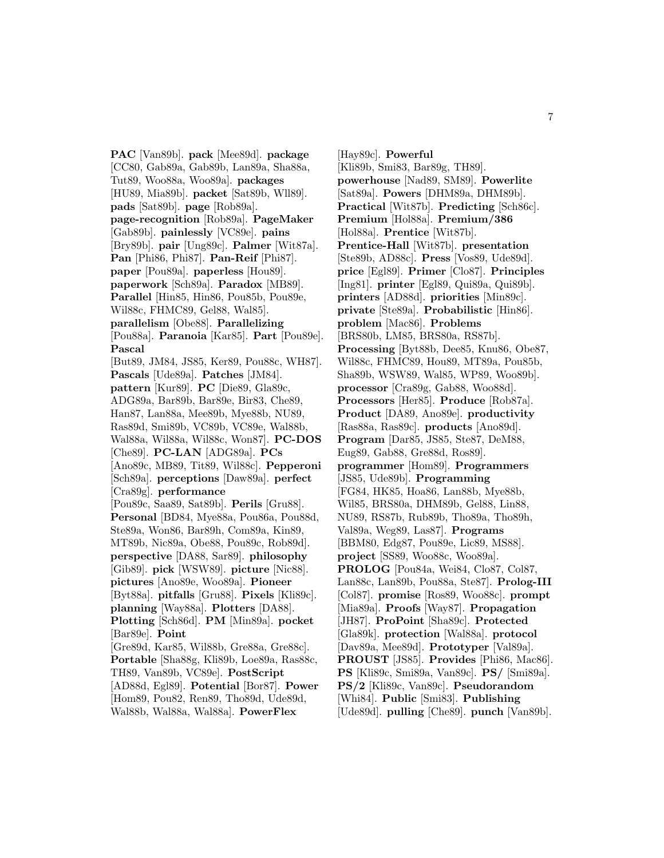**PAC** [Van89b]. **pack** [Mee89d]. **package** [CC80, Gab89a, Gab89b, Lan89a, Sha88a, Tut89, Woo88a, Woo89a]. **packages** [HU89, Mia89b]. **packet** [Sat89b, Wll89]. **pads** [Sat89b]. **page** [Rob89a]. **page-recognition** [Rob89a]. **PageMaker** [Gab89b]. **painlessly** [VC89e]. **pains** [Bry89b]. **pair** [Ung89c]. **Palmer** [Wit87a]. **Pan** [Phi86, Phi87]. **Pan-Reif** [Phi87]. **paper** [Pou89a]. **paperless** [Hou89]. **paperwork** [Sch89a]. **Paradox** [MB89]. **Parallel** [Hin85, Hin86, Pou85b, Pou89e, Wil88c, FHMC89, Gel88, Wal85]. **parallelism** [Obe88]. **Parallelizing** [Pou88a]. **Paranoia** [Kar85]. **Part** [Pou89e]. **Pascal** [But89, JM84, JS85, Ker89, Pou88c, WH87]. **Pascals** [Ude89a]. **Patches** [JM84]. **pattern** [Kur89]. **PC** [Die89, Gla89c, ADG89a, Bar89b, Bar89e, Bir83, Che89, Han87, Lan88a, Mee89b, Mye88b, NU89, Ras89d, Smi89b, VC89b, VC89e, Wal88b, Wal88a, Wil88a, Wil88c, Won87]. **PC-DOS** [Che89]. **PC-LAN** [ADG89a]. **PCs** [Ano89c, MB89, Tit89, Wil88c]. **Pepperoni** [Sch89a]. **perceptions** [Daw89a]. **perfect** [Cra89g]. **performance** [Pou89c, Saa89, Sat89b]. **Perils** [Gru88]. **Personal** [BD84, Mye88a, Pou86a, Pou88d, Ste89a, Won86, Bar89h, Com89a, Kin89, MT89b, Nic89a, Obe88, Pou89c, Rob89d]. **perspective** [DA88, Sar89]. **philosophy** [Gib89]. **pick** [WSW89]. **picture** [Nic88]. **pictures** [Ano89e, Woo89a]. **Pioneer** [Byt88a]. **pitfalls** [Gru88]. **Pixels** [Kli89c]. **planning** [Way88a]. **Plotters** [DA88]. **Plotting** [Sch86d]. **PM** [Min89a]. **pocket** [Bar89e]. **Point** [Gre89d, Kar85, Wil88b, Gre88a, Gre88c]. **Portable** [Sha88g, Kli89b, Loe89a, Ras88c, TH89, Van89b, VC89e]. **PostScript** [AD88d, Egl89]. **Potential** [Bor87]. **Power** [Hom89, Pou82, Ren89, Tho89d, Ude89d, Wal88b, Wal88a, Wal88a]. **PowerFlex**

[Hay89c]. **Powerful** [Kli89b, Smi83, Bar89g, TH89]. **powerhouse** [Nad89, SM89]. **Powerlite** [Sat89a]. **Powers** [DHM89a, DHM89b]. **Practical** [Wit87b]. **Predicting** [Sch86c]. **Premium** [Hol88a]. **Premium/386** [Hol88a]. **Prentice** [Wit87b]. **Prentice-Hall** [Wit87b]. **presentation** [Ste89b, AD88c]. **Press** [Vos89, Ude89d]. **price** [Egl89]. **Primer** [Clo87]. **Principles** [Ing81]. **printer** [Egl89, Qui89a, Qui89b]. **printers** [AD88d]. **priorities** [Min89c]. **private** [Ste89a]. **Probabilistic** [Hin86]. **problem** [Mac86]. **Problems** [BRS80b, LM85, BRS80a, RS87b]. **Processing** [Byt88b, Dee85, Knu86, Obe87, Wil88c, FHMC89, Hou89, MT89a, Pou85b, Sha89b, WSW89, Wal85, WP89, Woo89b]. **processor** [Cra89g, Gab88, Woo88d]. **Processors** [Her85]. **Produce** [Rob87a]. **Product** [DA89, Ano89e]. **productivity** [Ras88a, Ras89c]. **products** [Ano89d]. **Program** [Dar85, JS85, Ste87, DeM88, Eug89, Gab88, Gre88d, Ros89]. **programmer** [Hom89]. **Programmers** [JS85, Ude89b]. **Programming** [FG84, HK85, Hoa86, Lan88b, Mye88b, Wil85, BRS80a, DHM89b, Gel88, Lin88, NU89, RS87b, Rub89b, Tho89a, Tho89h, Val89a, Weg89, Las87]. **Programs** [BBM80, Edg87, Pou89e, Lic89, MS88]. **project** [SS89, Woo88c, Woo89a]. **PROLOG** [Pou84a, Wei84, Clo87, Col87, Lan88c, Lan89b, Pou88a, Ste87]. **Prolog-III** [Col87]. **promise** [Ros89, Woo88c]. **prompt** [Mia89a]. **Proofs** [Way87]. **Propagation** [JH87]. **ProPoint** [Sha89c]. **Protected** [Gla89k]. **protection** [Wal88a]. **protocol** [Dav89a, Mee89d]. **Prototyper** [Val89a]. **PROUST** [JS85]. **Provides** [Phi86, Mac86]. **PS** [Kli89c, Smi89a, Van89c]. **PS/** [Smi89a]. **PS/2** [Kli89c, Van89c]. **Pseudorandom** [Whi84]. **Public** [Smi83]. **Publishing** [Ude89d]. **pulling** [Che89]. **punch** [Van89b].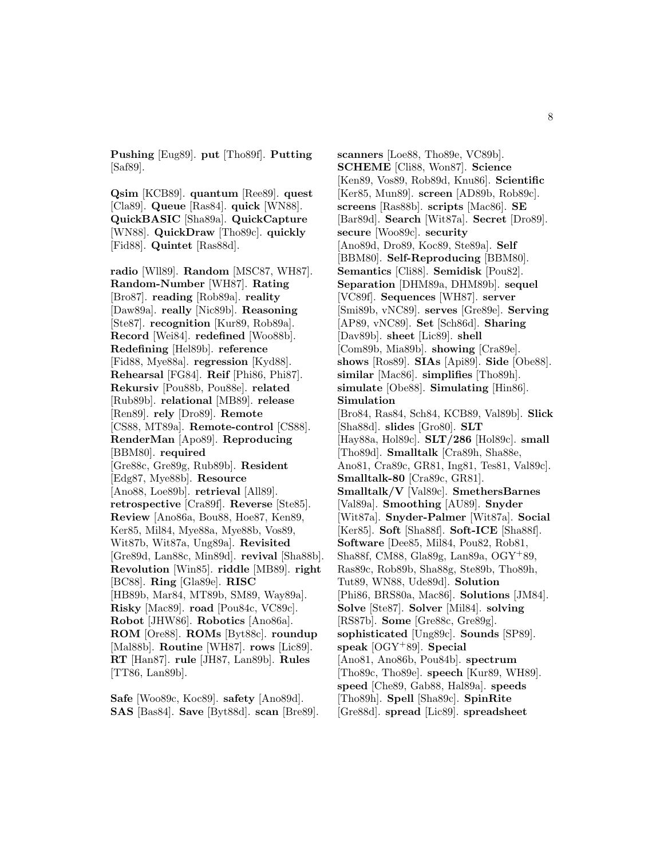**Pushing** [Eug89]. **put** [Tho89f]. **Putting** [Saf89].

**Qsim** [KCB89]. **quantum** [Ree89]. **quest** [Cla89]. **Queue** [Ras84]. **quick** [WN88]. **QuickBASIC** [Sha89a]. **QuickCapture** [WN88]. **QuickDraw** [Tho89c]. **quickly** [Fid88]. **Quintet** [Ras88d].

**radio** [Wll89]. **Random** [MSC87, WH87]. **Random-Number** [WH87]. **Rating** [Bro87]. **reading** [Rob89a]. **reality** [Daw89a]. **really** [Nic89b]. **Reasoning** [Ste87]. **recognition** [Kur89, Rob89a]. **Record** [Wei84]. **redefined** [Woo88b]. **Redefining** [Hel89b]. **reference** [Fid88, Mye88a]. **regression** [Kyd88]. **Rehearsal** [FG84]. **Reif** [Phi86, Phi87]. **Rekursiv** [Pou88b, Pou88e]. **related** [Rub89b]. **relational** [MB89]. **release** [Ren89]. **rely** [Dro89]. **Remote** [CS88, MT89a]. **Remote-control** [CS88]. **RenderMan** [Apo89]. **Reproducing** [BBM80]. **required** [Gre88c, Gre89g, Rub89b]. **Resident** [Edg87, Mye88b]. **Resource** [Ano88, Loe89b]. **retrieval** [All89]. **retrospective** [Cra89f]. **Reverse** [Ste85]. **Review** [Ano86a, Bou88, Hoe87, Ken89, Ker85, Mil84, Mye88a, Mye88b, Vos89, Wit87b, Wit87a, Ung89a]. **Revisited** [Gre89d, Lan88c, Min89d]. **revival** [Sha88b]. **Revolution** [Win85]. **riddle** [MB89]. **right** [BC88]. **Ring** [Gla89e]. **RISC** [HB89b, Mar84, MT89b, SM89, Way89a]. **Risky** [Mac89]. **road** [Pou84c, VC89c]. **Robot** [JHW86]. **Robotics** [Ano86a]. **ROM** [Ore88]. **ROMs** [Byt88c]. **roundup** [Mal88b]. **Routine** [WH87]. **rows** [Lic89]. **RT** [Han87]. **rule** [JH87, Lan89b]. **Rules** [TT86, Lan89b].

**Safe** [Woo89c, Koc89]. **safety** [Ano89d]. **SAS** [Bas84]. **Save** [Byt88d]. **scan** [Bre89]. **scanners** [Loe88, Tho89e, VC89b]. **SCHEME** [Cli88, Won87]. **Science** [Ken89, Vos89, Rob89d, Knu86]. **Scientific** [Ker85, Mun89]. **screen** [AD89b, Rob89c]. **screens** [Ras88b]. **scripts** [Mac86]. **SE** [Bar89d]. **Search** [Wit87a]. **Secret** [Dro89]. **secure** [Woo89c]. **security** [Ano89d, Dro89, Koc89, Ste89a]. **Self** [BBM80]. **Self-Reproducing** [BBM80]. **Semantics** [Cli88]. **Semidisk** [Pou82]. **Separation** [DHM89a, DHM89b]. **sequel** [VC89f]. **Sequences** [WH87]. **server** [Smi89b, vNC89]. **serves** [Gre89e]. **Serving** [AP89, vNC89]. **Set** [Sch86d]. **Sharing** [Dav89b]. **sheet** [Lic89]. **shell** [Com89b, Mia89b]. **showing** [Cra89e]. **shows** [Ros89]. **SIAs** [Api89]. **Side** [Obe88]. **similar** [Mac86]. **simplifies** [Tho89h]. **simulate** [Obe88]. **Simulating** [Hin86]. **Simulation** [Bro84, Ras84, Sch84, KCB89, Val89b]. **Slick** [Sha88d]. **slides** [Gro80]. **SLT** [Hay88a, Hol89c]. **SLT/286** [Hol89c]. **small** [Tho89d]. **Smalltalk** [Cra89h, Sha88e, Ano81, Cra89c, GR81, Ing81, Tes81, Val89c]. **Smalltalk-80** [Cra89c, GR81]. **Smalltalk/V** [Val89c]. **SmethersBarnes** [Val89a]. **Smoothing** [AU89]. **Snyder** [Wit87a]. **Snyder-Palmer** [Wit87a]. **Social** [Ker85]. **Soft** [Sha88f]. **Soft-ICE** [Sha88f]. **Software** [Dee85, Mil84, Pou82, Rob81, Sha88f, CM88, Gla89g, Lan89a, OGY<sup>+</sup>89, Ras89c, Rob89b, Sha88g, Ste89b, Tho89h, Tut89, WN88, Ude89d]. **Solution** [Phi86, BRS80a, Mac86]. **Solutions** [JM84]. **Solve** [Ste87]. **Solver** [Mil84]. **solving** [RS87b]. **Some** [Gre88c, Gre89g]. **sophisticated** [Ung89c]. **Sounds** [SP89]. **speak** [OGY<sup>+</sup>89]. **Special** [Ano81, Ano86b, Pou84b]. **spectrum** [Tho89c, Tho89e]. **speech** [Kur89, WH89]. **speed** [Che89, Gab88, Hal89a]. **speeds** [Tho89h]. **Spell** [Sha89c]. **SpinRite** [Gre88d]. **spread** [Lic89]. **spreadsheet**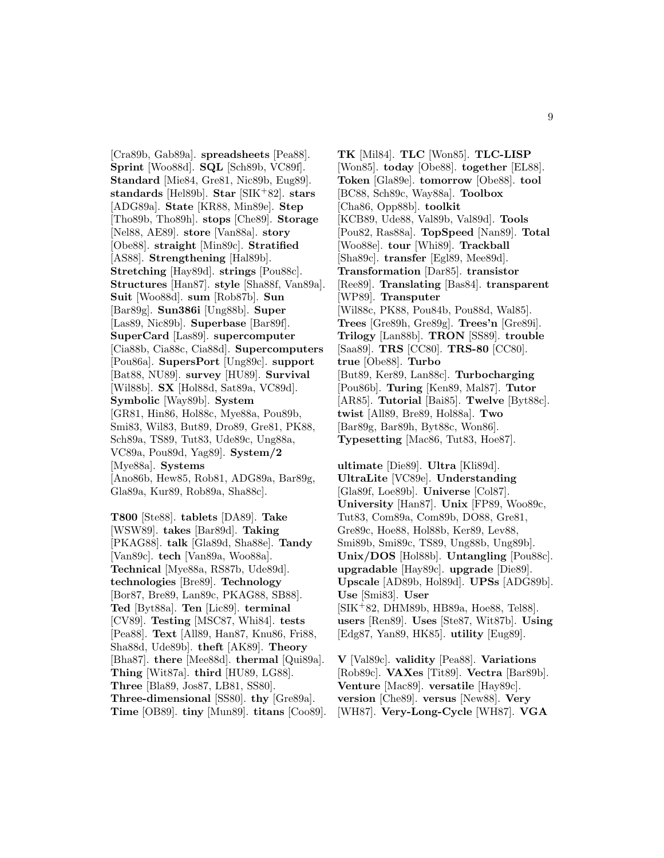[Cra89b, Gab89a]. **spreadsheets** [Pea88]. **Sprint** [Woo88d]. **SQL** [Sch89b, VC89f]. **Standard** [Mie84, Gre81, Nic89b, Eug89]. **standards** [Hel89b]. **Star** [SIK<sup>+</sup>82]. **stars** [ADG89a]. **State** [KR88, Min89e]. **Step** [Tho89b, Tho89h]. **stops** [Che89]. **Storage** [Nel88, AE89]. **store** [Van88a]. **story** [Obe88]. **straight** [Min89c]. **Stratified** [AS88]. **Strengthening** [Hal89b]. **Stretching** [Hay89d]. **strings** [Pou88c]. **Structures** [Han87]. **style** [Sha88f, Van89a]. **Suit** [Woo88d]. **sum** [Rob87b]. **Sun** [Bar89g]. **Sun386i** [Ung88b]. **Super** [Las89, Nic89b]. **Superbase** [Bar89f]. **SuperCard** [Las89]. **supercomputer** [Cia88b, Cia88c, Cia88d]. **Supercomputers** [Pou86a]. **SupersPort** [Ung89c]. **support** [Bat88, NU89]. **survey** [HU89]. **Survival** [Wil88b]. **SX** [Hol88d, Sat89a, VC89d]. **Symbolic** [Way89b]. **System** [GR81, Hin86, Hol88c, Mye88a, Pou89b, Smi83, Wil83, But89, Dro89, Gre81, PK88, Sch89a, TS89, Tut83, Ude89c, Ung88a, VC89a, Pou89d, Yag89]. **System/2** [Mye88a]. **Systems** [Ano86b, Hew85, Rob81, ADG89a, Bar89g, Gla89a, Kur89, Rob89a, Sha88c].

**T800** [Ste88]. **tablets** [DA89]. **Take** [WSW89]. **takes** [Bar89d]. **Taking** [PKAG88]. **talk** [Gla89d, Sha88e]. **Tandy** [Van89c]. **tech** [Van89a, Woo88a]. **Technical** [Mye88a, RS87b, Ude89d]. **technologies** [Bre89]. **Technology** [Bor87, Bre89, Lan89c, PKAG88, SB88]. **Ted** [Byt88a]. **Ten** [Lic89]. **terminal** [CV89]. **Testing** [MSC87, Whi84]. **tests** [Pea88]. **Text** [All89, Han87, Knu86, Fri88, Sha88d, Ude89b]. **theft** [AK89]. **Theory** [Bha87]. **there** [Mee88d]. **thermal** [Qui89a]. **Thing** [Wit87a]. **third** [HU89, LG88]. **Three** [Bla89, Jos87, LB81, SS80]. **Three-dimensional** [SS80]. **thy** [Gre89a]. **Time** [OB89]. **tiny** [Mun89]. **titans** [Coo89]. **TK** [Mil84]. **TLC** [Won85]. **TLC-LISP** [Won85]. **today** [Obe88]. **together** [EL88]. **Token** [Gla89e]. **tomorrow** [Obe88]. **tool** [BC88, Sch89c, Way88a]. **Toolbox** [Cha86, Opp88b]. **toolkit** [KCB89, Ude88, Val89b, Val89d]. **Tools** [Pou82, Ras88a]. **TopSpeed** [Nan89]. **Total** [Woo88e]. **tour** [Whi89]. **Trackball** [Sha89c]. **transfer** [Egl89, Mee89d]. **Transformation** [Dar85]. **transistor** [Ree89]. **Translating** [Bas84]. **transparent** [WP89]. **Transputer** [Wil88c, PK88, Pou84b, Pou88d, Wal85]. **Trees** [Gre89h, Gre89g]. **Trees'n** [Gre89i]. **Trilogy** [Lan88b]. **TRON** [SS89]. **trouble** [Saa89]. **TRS** [CC80]. **TRS-80** [CC80]. **true** [Obe88]. **Turbo** [But89, Ker89, Lan88c]. **Turbocharging** [Pou86b]. **Turing** [Ken89, Mal87]. **Tutor** [AR85]. **Tutorial** [Bai85]. **Twelve** [Byt88c]. **twist** [All89, Bre89, Hol88a]. **Two** [Bar89g, Bar89h, Byt88c, Won86]. **Typesetting** [Mac86, Tut83, Hoe87].

**ultimate** [Die89]. **Ultra** [Kli89d]. **UltraLite** [VC89e]. **Understanding** [Gla89f, Loe89b]. **Universe** [Col87]. **University** [Han87]. **Unix** [FP89, Woo89c, Tut83, Com89a, Com89b, DO88, Gre81, Gre89c, Hoe88, Hol88b, Ker89, Lev88, Smi89b, Smi89c, TS89, Ung88b, Ung89b]. **Unix/DOS** [Hol88b]. **Untangling** [Pou88c]. **upgradable** [Hay89c]. **upgrade** [Die89]. **Upscale** [AD89b, Hol89d]. **UPSs** [ADG89b]. **Use** [Smi83]. **User** [SIK<sup>+</sup>82, DHM89b, HB89a, Hoe88, Tel88]. **users** [Ren89]. **Uses** [Ste87, Wit87b]. **Using** [Edg87, Yan89, HK85]. **utility** [Eug89].

**V** [Val89c]. **validity** [Pea88]. **Variations** [Rob89c]. **VAXes** [Tit89]. **Vectra** [Bar89b]. **Venture** [Mac89]. **versatile** [Hay89c]. **version** [Che89]. **versus** [New88]. **Very** [WH87]. **Very-Long-Cycle** [WH87]. **VGA**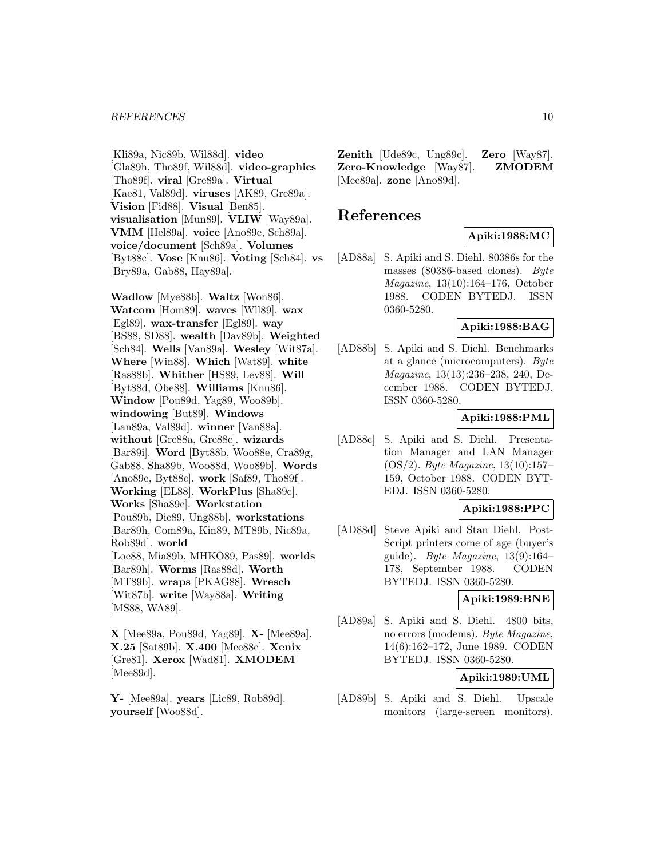#### *REFERENCES* 10

[Kli89a, Nic89b, Wil88d]. **video** [Gla89h, Tho89f, Wil88d]. **video-graphics** [Tho89f]. **viral** [Gre89a]. **Virtual** [Kae81, Val89d]. **viruses** [AK89, Gre89a]. **Vision** [Fid88]. **Visual** [Ben85]. **visualisation** [Mun89]. **VLIW** [Way89a]. **VMM** [Hel89a]. **voice** [Ano89e, Sch89a]. **voice/document** [Sch89a]. **Volumes** [Byt88c]. **Vose** [Knu86]. **Voting** [Sch84]. **vs** [Bry89a, Gab88, Hay89a].

**Wadlow** [Mye88b]. **Waltz** [Won86]. **Watcom** [Hom89]. **waves** [Wll89]. **wax** [Egl89]. **wax-transfer** [Egl89]. **way** [BS88, SD88]. **wealth** [Dav89b]. **Weighted** [Sch84]. **Wells** [Van89a]. **Wesley** [Wit87a]. **Where** [Win88]. **Which** [Wat89]. **white** [Ras88b]. **Whither** [HS89, Lev88]. **Will** [Byt88d, Obe88]. **Williams** [Knu86]. **Window** [Pou89d, Yag89, Woo89b]. **windowing** [But89]. **Windows** [Lan89a, Val89d]. **winner** [Van88a]. **without** [Gre88a, Gre88c]. **wizards** [Bar89i]. **Word** [Byt88b, Woo88e, Cra89g, Gab88, Sha89b, Woo88d, Woo89b]. **Words** [Ano89e, Byt88c]. **work** [Saf89, Tho89f]. **Working** [EL88]. **WorkPlus** [Sha89c]. **Works** [Sha89c]. **Workstation** [Pou89b, Die89, Ung88b]. **workstations** [Bar89h, Com89a, Kin89, MT89b, Nic89a, Rob89d]. **world** [Loe88, Mia89b, MHKO89, Pas89]. **worlds** [Bar89h]. **Worms** [Ras88d]. **Worth** [MT89b]. **wraps** [PKAG88]. **Wresch** [Wit87b]. **write** [Way88a]. **Writing** [MS88, WA89].

**X** [Mee89a, Pou89d, Yag89]. **X-** [Mee89a]. **X.25** [Sat89b]. **X.400** [Mee88c]. **Xenix** [Gre81]. **Xerox** [Wad81]. **XMODEM** [Mee89d].

**Y-** [Mee89a]. **years** [Lic89, Rob89d]. **yourself** [Woo88d].

**Zenith** [Ude89c, Ung89c]. **Zero** [Way87]. **Zero-Knowledge** [Way87]. **ZMODEM** [Mee89a]. **zone** [Ano89d].

## **References**

## **Apiki:1988:MC**

[AD88a] S. Apiki and S. Diehl. 80386s for the masses (80386-based clones). Byte Magazine, 13(10):164–176, October 1988. CODEN BYTEDJ. ISSN 0360-5280.

## **Apiki:1988:BAG**

[AD88b] S. Apiki and S. Diehl. Benchmarks at a glance (microcomputers). Byte Magazine, 13(13):236–238, 240, December 1988. CODEN BYTEDJ. ISSN 0360-5280.

## **Apiki:1988:PML**

[AD88c] S. Apiki and S. Diehl. Presentation Manager and LAN Manager (OS/2). Byte Magazine, 13(10):157– 159, October 1988. CODEN BYT-EDJ. ISSN 0360-5280.

## **Apiki:1988:PPC**

[AD88d] Steve Apiki and Stan Diehl. Post-Script printers come of age (buyer's guide). Byte Magazine,  $13(9):164-$ 178, September 1988. CODEN BYTEDJ. ISSN 0360-5280.

#### **Apiki:1989:BNE**

[AD89a] S. Apiki and S. Diehl. 4800 bits, no errors (modems). Byte Magazine, 14(6):162–172, June 1989. CODEN BYTEDJ. ISSN 0360-5280.

### **Apiki:1989:UML**

[AD89b] S. Apiki and S. Diehl. Upscale monitors (large-screen monitors).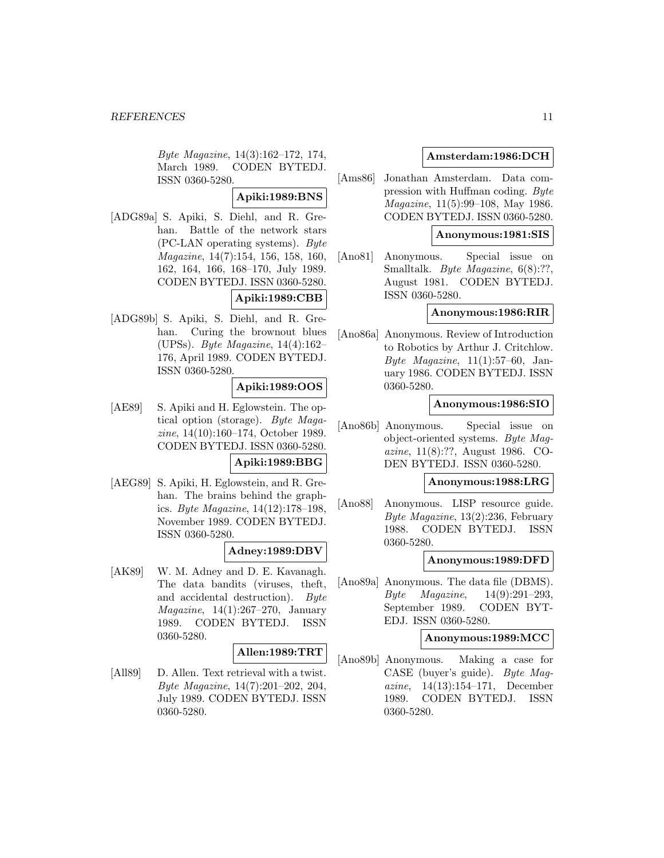Byte Magazine, 14(3):162–172, 174, March 1989. CODEN BYTEDJ. ISSN 0360-5280.

## **Apiki:1989:BNS**

[ADG89a] S. Apiki, S. Diehl, and R. Grehan. Battle of the network stars (PC-LAN operating systems). Byte Magazine, 14(7):154, 156, 158, 160, 162, 164, 166, 168–170, July 1989. CODEN BYTEDJ. ISSN 0360-5280.

## **Apiki:1989:CBB**

[ADG89b] S. Apiki, S. Diehl, and R. Grehan. Curing the brownout blues (UPSs). Byte Magazine, 14(4):162– 176, April 1989. CODEN BYTEDJ. ISSN 0360-5280.

## **Apiki:1989:OOS**

[AE89] S. Apiki and H. Eglowstein. The optical option (storage). Byte Magazine, 14(10):160–174, October 1989. CODEN BYTEDJ. ISSN 0360-5280.

#### **Apiki:1989:BBG**

[AEG89] S. Apiki, H. Eglowstein, and R. Grehan. The brains behind the graphics. Byte Magazine, 14(12):178–198, November 1989. CODEN BYTEDJ. ISSN 0360-5280.

## **Adney:1989:DBV**

[AK89] W. M. Adney and D. E. Kavanagh. The data bandits (viruses, theft, and accidental destruction). Byte Magazine, 14(1):267–270, January 1989. CODEN BYTEDJ. ISSN 0360-5280.

#### **Allen:1989:TRT**

[All89] D. Allen. Text retrieval with a twist. Byte Magazine, 14(7):201–202, 204, July 1989. CODEN BYTEDJ. ISSN 0360-5280.

## **Amsterdam:1986:DCH**

[Ams86] Jonathan Amsterdam. Data compression with Huffman coding. Byte Magazine, 11(5):99–108, May 1986. CODEN BYTEDJ. ISSN 0360-5280.

### **Anonymous:1981:SIS**

[Ano81] Anonymous. Special issue on Smalltalk. Byte Magazine, 6(8):??, August 1981. CODEN BYTEDJ. ISSN 0360-5280.

### **Anonymous:1986:RIR**

[Ano86a] Anonymous. Review of Introduction to Robotics by Arthur J. Critchlow. Byte Magazine,  $11(1):57-60$ , January 1986. CODEN BYTEDJ. ISSN 0360-5280.

### **Anonymous:1986:SIO**

[Ano86b] Anonymous. Special issue on object-oriented systems. Byte Magazine, 11(8):??, August 1986. CO-DEN BYTEDJ. ISSN 0360-5280.

## **Anonymous:1988:LRG**

[Ano88] Anonymous. LISP resource guide. Byte Magazine, 13(2):236, February 1988. CODEN BYTEDJ. ISSN 0360-5280.

## **Anonymous:1989:DFD**

[Ano89a] Anonymous. The data file (DBMS). Byte Magazine, 14(9):291–293, September 1989. CODEN BYT-EDJ. ISSN 0360-5280.

#### **Anonymous:1989:MCC**

[Ano89b] Anonymous. Making a case for CASE (buyer's guide). Byte Magazine, 14(13):154–171, December 1989. CODEN BYTEDJ. ISSN 0360-5280.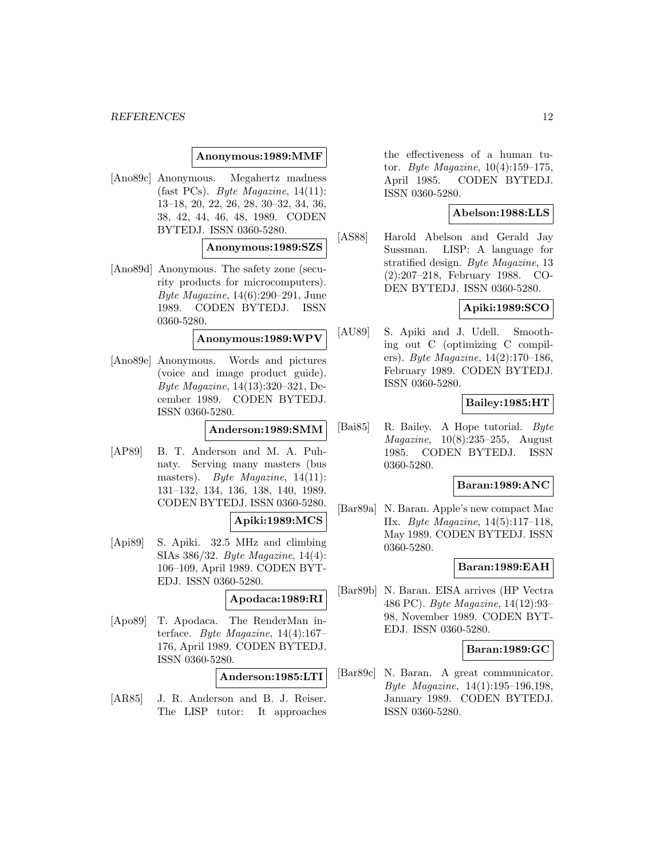### **Anonymous:1989:MMF**

[Ano89c] Anonymous. Megahertz madness (fast PCs). Byte Magazine, 14(11): 13–18, 20, 22, 26, 28, 30–32, 34, 36, 38, 42, 44, 46, 48, 1989. CODEN BYTEDJ. ISSN 0360-5280.

**Anonymous:1989:SZS**

[Ano89d] Anonymous. The safety zone (security products for microcomputers). Byte Magazine, 14(6):290–291, June 1989. CODEN BYTEDJ. ISSN 0360-5280.

**Anonymous:1989:WPV**

[Ano89e] Anonymous. Words and pictures (voice and image product guide). Byte Magazine, 14(13):320–321, December 1989. CODEN BYTEDJ. ISSN 0360-5280.

**Anderson:1989:SMM**

- [AP89] B. T. Anderson and M. A. Puhnaty. Serving many masters (bus masters). Byte Magazine, 14(11): 131–132, 134, 136, 138, 140, 1989. CODEN BYTEDJ. ISSN 0360-5280. **Apiki:1989:MCS**
- [Api89] S. Apiki. 32.5 MHz and climbing SIAs 386/32. Byte Magazine, 14(4): 106–109, April 1989. CODEN BYT-EDJ. ISSN 0360-5280.

## **Apodaca:1989:RI**

[Apo89] T. Apodaca. The RenderMan interface. Byte Magazine,  $14(4):167-$ 176, April 1989. CODEN BYTEDJ. ISSN 0360-5280.

**Anderson:1985:LTI**

[AR85] J. R. Anderson and B. J. Reiser. The LISP tutor: It approaches

the effectiveness of a human tutor. Byte Magazine, 10(4):159–175, April 1985. CODEN BYTEDJ. ISSN 0360-5280.

## **Abelson:1988:LLS**

[AS88] Harold Abelson and Gerald Jay Sussman. LISP: A language for stratified design. Byte Magazine, 13 (2):207–218, February 1988. CO-DEN BYTEDJ. ISSN 0360-5280.

### **Apiki:1989:SCO**

[AU89] S. Apiki and J. Udell. Smoothing out C (optimizing C compilers). Byte Magazine, 14(2):170–186, February 1989. CODEN BYTEDJ. ISSN 0360-5280.

### **Bailey:1985:HT**

[Bai85] R. Bailey. A Hope tutorial. Byte Magazine, 10(8):235–255, August 1985. CODEN BYTEDJ. ISSN 0360-5280.

## **Baran:1989:ANC**

[Bar89a] N. Baran. Apple's new compact Mac IIx. Byte Magazine, 14(5):117–118, May 1989. CODEN BYTEDJ. ISSN 0360-5280.

## **Baran:1989:EAH**

[Bar89b] N. Baran. EISA arrives (HP Vectra 486 PC). Byte Magazine, 14(12):93– 98, November 1989. CODEN BYT-EDJ. ISSN 0360-5280.

## **Baran:1989:GC**

[Bar89c] N. Baran. A great communicator. Byte Magazine, 14(1):195–196,198, January 1989. CODEN BYTEDJ. ISSN 0360-5280.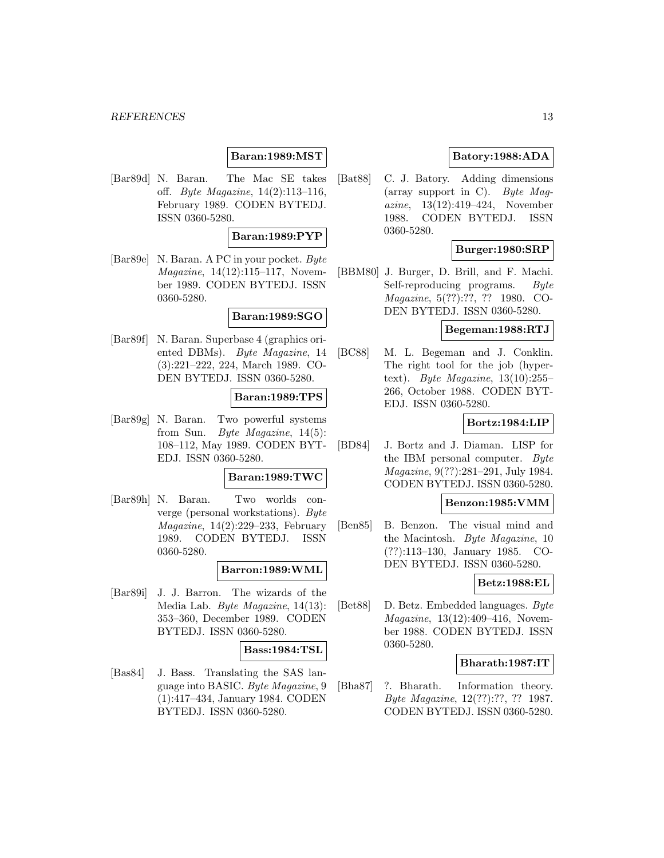## **Baran:1989:MST**

[Bar89d] N. Baran. The Mac SE takes off. Byte Magazine, 14(2):113–116, February 1989. CODEN BYTEDJ. ISSN 0360-5280.

### **Baran:1989:PYP**

[Bar89e] N. Baran. A PC in your pocket. Byte Magazine, 14(12):115–117, November 1989. CODEN BYTEDJ. ISSN 0360-5280.

## **Baran:1989:SGO**

[Bar89f] N. Baran. Superbase 4 (graphics oriented DBMs). Byte Magazine, 14 (3):221–222, 224, March 1989. CO-DEN BYTEDJ. ISSN 0360-5280.

#### **Baran:1989:TPS**

[Bar89g] N. Baran. Two powerful systems from Sun. Byte Magazine, 14(5): 108–112, May 1989. CODEN BYT-EDJ. ISSN 0360-5280.

#### **Baran:1989:TWC**

[Bar89h] N. Baran. Two worlds converge (personal workstations). Byte  $Magazine, 14(2):229-233, February$ 1989. CODEN BYTEDJ. ISSN 0360-5280.

## **Barron:1989:WML**

[Bar89i] J. J. Barron. The wizards of the Media Lab. Byte Magazine, 14(13): 353–360, December 1989. CODEN BYTEDJ. ISSN 0360-5280.

## **Bass:1984:TSL**

[Bas84] J. Bass. Translating the SAS language into BASIC. Byte Magazine, 9 (1):417–434, January 1984. CODEN BYTEDJ. ISSN 0360-5280.

## **Batory:1988:ADA**

[Bat88] C. J. Batory. Adding dimensions (array support in C). Byte Maqazine, 13(12):419–424, November 1988. CODEN BYTEDJ. ISSN 0360-5280.

### **Burger:1980:SRP**

[BBM80] J. Burger, D. Brill, and F. Machi. Self-reproducing programs. Byte Magazine, 5(??):??, ?? 1980. CO-DEN BYTEDJ. ISSN 0360-5280.

### **Begeman:1988:RTJ**

[BC88] M. L. Begeman and J. Conklin. The right tool for the job (hypertext). Byte Magazine,  $13(10):255-$ 266, October 1988. CODEN BYT-EDJ. ISSN 0360-5280.

### **Bortz:1984:LIP**

[BD84] J. Bortz and J. Diaman. LISP for the IBM personal computer. Byte Magazine, 9(??):281–291, July 1984. CODEN BYTEDJ. ISSN 0360-5280.

#### **Benzon:1985:VMM**

[Ben85] B. Benzon. The visual mind and the Macintosh. Byte Magazine, 10 (??):113–130, January 1985. CO-DEN BYTEDJ. ISSN 0360-5280.

#### **Betz:1988:EL**

[Bet88] D. Betz. Embedded languages. Byte Magazine, 13(12):409–416, November 1988. CODEN BYTEDJ. ISSN 0360-5280.

#### **Bharath:1987:IT**

[Bha87] ?. Bharath. Information theory. Byte Magazine, 12(??):??, ?? 1987. CODEN BYTEDJ. ISSN 0360-5280.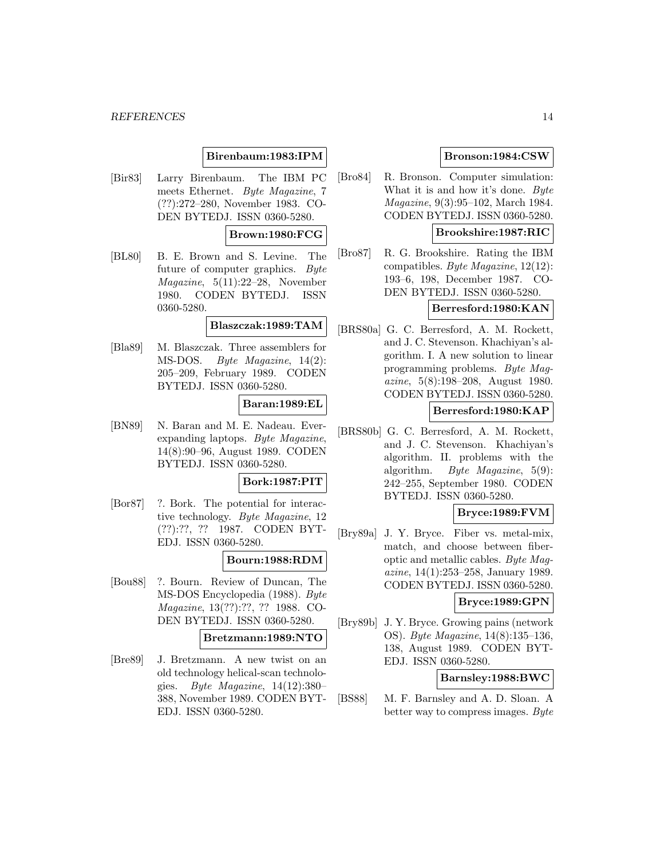## **Birenbaum:1983:IPM**

[Bir83] Larry Birenbaum. The IBM PC meets Ethernet. Byte Magazine, 7 (??):272–280, November 1983. CO-DEN BYTEDJ. ISSN 0360-5280.

## **Brown:1980:FCG**

[BL80] B. E. Brown and S. Levine. The future of computer graphics. Byte Magazine, 5(11):22–28, November 1980. CODEN BYTEDJ. ISSN 0360-5280.

#### **Blaszczak:1989:TAM**

[Bla89] M. Blaszczak. Three assemblers for MS-DOS. Byte Magazine, 14(2): 205–209, February 1989. CODEN BYTEDJ. ISSN 0360-5280.

#### **Baran:1989:EL**

[BN89] N. Baran and M. E. Nadeau. Everexpanding laptops. Byte Magazine, 14(8):90–96, August 1989. CODEN BYTEDJ. ISSN 0360-5280.

## **Bork:1987:PIT**

[Bor87] ?. Bork. The potential for interactive technology. Byte Magazine, 12 (??):??, ?? 1987. CODEN BYT-EDJ. ISSN 0360-5280.

#### **Bourn:1988:RDM**

[Bou88] ?. Bourn. Review of Duncan, The MS-DOS Encyclopedia (1988). Byte Magazine, 13(??):??, ?? 1988. CO-DEN BYTEDJ. ISSN 0360-5280.

### **Bretzmann:1989:NTO**

[Bre89] J. Bretzmann. A new twist on an old technology helical-scan technologies. Byte Magazine,  $14(12):380-$ 388, November 1989. CODEN BYT-EDJ. ISSN 0360-5280.

## **Bronson:1984:CSW**

[Bro84] R. Bronson. Computer simulation: What it is and how it's done. Byte Magazine, 9(3):95–102, March 1984. CODEN BYTEDJ. ISSN 0360-5280.

## **Brookshire:1987:RIC**

[Bro87] R. G. Brookshire. Rating the IBM compatibles. Byte Magazine, 12(12): 193–6, 198, December 1987. CO-DEN BYTEDJ. ISSN 0360-5280.

## **Berresford:1980:KAN**

[BRS80a] G. C. Berresford, A. M. Rockett, and J. C. Stevenson. Khachiyan's algorithm. I. A new solution to linear programming problems. Byte Magazine, 5(8):198–208, August 1980. CODEN BYTEDJ. ISSN 0360-5280.

## **Berresford:1980:KAP**

[BRS80b] G. C. Berresford, A. M. Rockett, and J. C. Stevenson. Khachiyan's algorithm. II. problems with the algorithm. Byte Magazine, 5(9): 242–255, September 1980. CODEN BYTEDJ. ISSN 0360-5280.

#### **Bryce:1989:FVM**

[Bry89a] J. Y. Bryce. Fiber vs. metal-mix, match, and choose between fiberoptic and metallic cables. Byte Magazine, 14(1):253–258, January 1989. CODEN BYTEDJ. ISSN 0360-5280.

## **Bryce:1989:GPN**

[Bry89b] J. Y. Bryce. Growing pains (network OS). Byte Magazine, 14(8):135–136, 138, August 1989. CODEN BYT-EDJ. ISSN 0360-5280.

### **Barnsley:1988:BWC**

[BS88] M. F. Barnsley and A. D. Sloan. A better way to compress images. Byte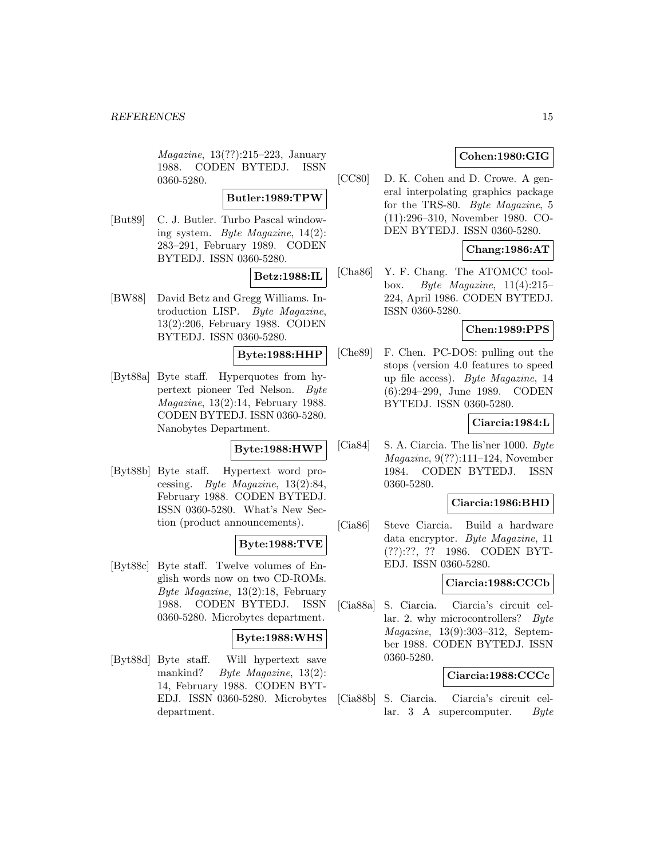Magazine, 13(??):215–223, January 1988. CODEN BYTEDJ. ISSN 0360-5280.

## **Butler:1989:TPW**

[But89] C. J. Butler. Turbo Pascal windowing system. Byte Magazine, 14(2): 283–291, February 1989. CODEN BYTEDJ. ISSN 0360-5280.

## **Betz:1988:IL**

[BW88] David Betz and Gregg Williams. Introduction LISP. Byte Magazine, 13(2):206, February 1988. CODEN BYTEDJ. ISSN 0360-5280.

## **Byte:1988:HHP**

[Byt88a] Byte staff. Hyperquotes from hypertext pioneer Ted Nelson. Byte Magazine, 13(2):14, February 1988. CODEN BYTEDJ. ISSN 0360-5280. Nanobytes Department.

## **Byte:1988:HWP**

[Byt88b] Byte staff. Hypertext word processing. Byte Magazine, 13(2):84, February 1988. CODEN BYTEDJ. ISSN 0360-5280. What's New Section (product announcements).

## **Byte:1988:TVE**

[Byt88c] Byte staff. Twelve volumes of English words now on two CD-ROMs. Byte Magazine, 13(2):18, February 1988. CODEN BYTEDJ. ISSN 0360-5280. Microbytes department.

## **Byte:1988:WHS**

[Byt88d] Byte staff. Will hypertext save mankind? Byte Magazine, 13(2): 14, February 1988. CODEN BYT-EDJ. ISSN 0360-5280. Microbytes department.

## **Cohen:1980:GIG**

[CC80] D. K. Cohen and D. Crowe. A general interpolating graphics package for the TRS-80. Byte Magazine, 5 (11):296–310, November 1980. CO-DEN BYTEDJ. ISSN 0360-5280.

## **Chang:1986:AT**

[Cha86] Y. F. Chang. The ATOMCC toolbox. Byte Magazine,  $11(4):215-$ 224, April 1986. CODEN BYTEDJ. ISSN 0360-5280.

### **Chen:1989:PPS**

[Che89] F. Chen. PC-DOS: pulling out the stops (version 4.0 features to speed up file access). Byte Magazine, 14 (6):294–299, June 1989. CODEN BYTEDJ. ISSN 0360-5280.

## **Ciarcia:1984:L**

[Cia84] S. A. Ciarcia. The lis'ner 1000. Byte Magazine, 9(??):111–124, November 1984. CODEN BYTEDJ. ISSN 0360-5280.

## **Ciarcia:1986:BHD**

[Cia86] Steve Ciarcia. Build a hardware data encryptor. Byte Magazine, 11 (??):??, ?? 1986. CODEN BYT-EDJ. ISSN 0360-5280.

## **Ciarcia:1988:CCCb**

[Cia88a] S. Ciarcia. Ciarcia's circuit cellar. 2. why microcontrollers? Byte Magazine, 13(9):303–312, September 1988. CODEN BYTEDJ. ISSN 0360-5280.

#### **Ciarcia:1988:CCCc**

[Cia88b] S. Ciarcia. Ciarcia's circuit cellar. 3 A supercomputer. Byte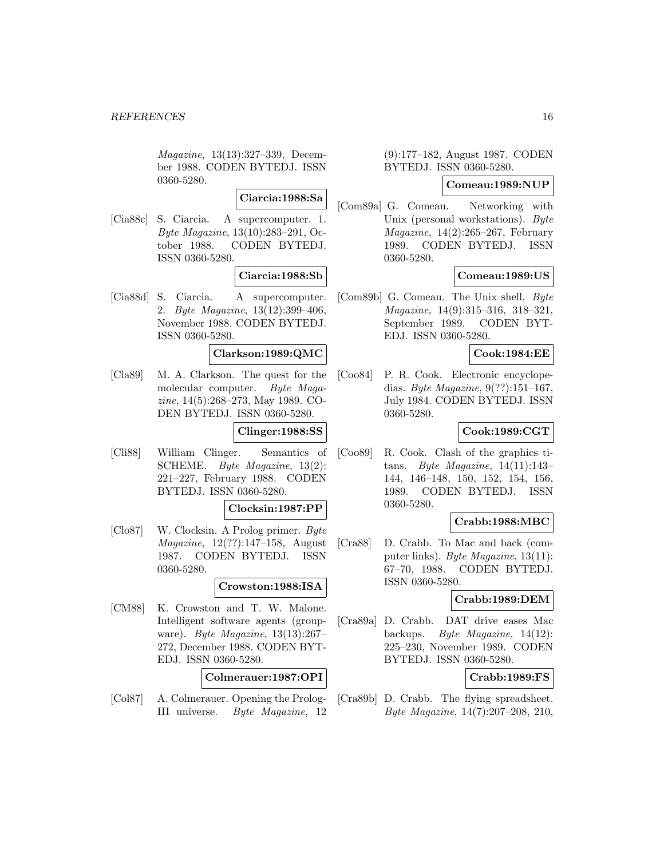Magazine, 13(13):327–339, December 1988. CODEN BYTEDJ. ISSN 0360-5280.

**Ciarcia:1988:Sa**

[Cia88c] S. Ciarcia. A supercomputer. 1. Byte Magazine, 13(10):283–291, October 1988. CODEN BYTEDJ. ISSN 0360-5280.

## **Ciarcia:1988:Sb**

[Cia88d] S. Ciarcia. A supercomputer. 2. Byte Magazine, 13(12):399–406, November 1988. CODEN BYTEDJ. ISSN 0360-5280.

#### **Clarkson:1989:QMC**

[Cla89] M. A. Clarkson. The quest for the molecular computer. Byte Magazine, 14(5):268–273, May 1989. CO-DEN BYTEDJ. ISSN 0360-5280.

#### **Clinger:1988:SS**

[Cli88] William Clinger. Semantics of SCHEME. Byte Magazine, 13(2): 221–227, February 1988. CODEN BYTEDJ. ISSN 0360-5280.

#### **Clocksin:1987:PP**

[Clo87] W. Clocksin. A Prolog primer. Byte Magazine, 12(??):147–158, August 1987. CODEN BYTEDJ. ISSN 0360-5280.

#### **Crowston:1988:ISA**

[CM88] K. Crowston and T. W. Malone. Intelligent software agents (groupware). Byte Magazine, 13(13):267– 272, December 1988. CODEN BYT-EDJ. ISSN 0360-5280.

**Colmerauer:1987:OPI**

[Col87] A. Colmerauer. Opening the Prolog-III universe. Byte Magazine, 12

## (9):177–182, August 1987. CODEN BYTEDJ. ISSN 0360-5280.

### **Comeau:1989:NUP**

[Com89a] G. Comeau. Networking with Unix (personal workstations). Byte  $Magazine, 14(2):265-267, February$ 1989. CODEN BYTEDJ. ISSN 0360-5280.

## **Comeau:1989:US**

[Com89b] G. Comeau. The Unix shell. Byte Magazine, 14(9):315–316, 318–321, September 1989. CODEN BYT-EDJ. ISSN 0360-5280.

#### **Cook:1984:EE**

[Coo84] P. R. Cook. Electronic encyclopedias. Byte Magazine, 9(??):151–167, July 1984. CODEN BYTEDJ. ISSN 0360-5280.

## **Cook:1989:CGT**

[Coo89] R. Cook. Clash of the graphics titans. Byte Magazine, 14(11):143– 144, 146–148, 150, 152, 154, 156, 1989. CODEN BYTEDJ. ISSN 0360-5280.

## **Crabb:1988:MBC**

[Cra88] D. Crabb. To Mac and back (computer links). Byte Magazine, 13(11): 67–70, 1988. CODEN BYTEDJ. ISSN 0360-5280.

#### **Crabb:1989:DEM**

[Cra89a] D. Crabb. DAT drive eases Mac backups. Byte Magazine, 14(12): 225–230, November 1989. CODEN BYTEDJ. ISSN 0360-5280.

#### **Crabb:1989:FS**

[Cra89b] D. Crabb. The flying spreadsheet. Byte Magazine, 14(7):207–208, 210,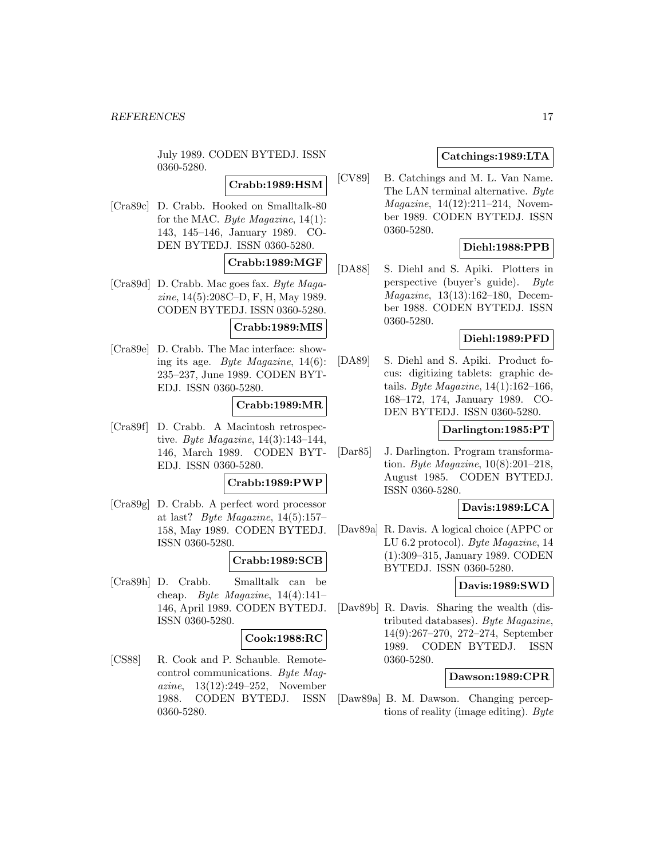July 1989. CODEN BYTEDJ. ISSN 0360-5280.

## **Crabb:1989:HSM**

[Cra89c] D. Crabb. Hooked on Smalltalk-80 for the MAC. Byte Magazine, 14(1): 143, 145–146, January 1989. CO-DEN BYTEDJ. ISSN 0360-5280.

## **Crabb:1989:MGF**

[Cra89d] D. Crabb. Mac goes fax. Byte Magazine, 14(5):208C–D, F, H, May 1989. CODEN BYTEDJ. ISSN 0360-5280.

### **Crabb:1989:MIS**

[Cra89e] D. Crabb. The Mac interface: showing its age. Byte Magazine, 14(6): 235–237, June 1989. CODEN BYT-EDJ. ISSN 0360-5280.

## **Crabb:1989:MR**

[Cra89f] D. Crabb. A Macintosh retrospective. Byte Magazine, 14(3):143–144, 146, March 1989. CODEN BYT-EDJ. ISSN 0360-5280.

## **Crabb:1989:PWP**

[Cra89g] D. Crabb. A perfect word processor at last? Byte Magazine,  $14(5):157-$ 158, May 1989. CODEN BYTEDJ. ISSN 0360-5280.

## **Crabb:1989:SCB**

[Cra89h] D. Crabb. Smalltalk can be cheap. Byte Magazine,  $14(4):141-$ 146, April 1989. CODEN BYTEDJ. ISSN 0360-5280.

#### **Cook:1988:RC**

[CS88] R. Cook and P. Schauble. Remotecontrol communications. Byte Magazine, 13(12):249–252, November 1988. CODEN BYTEDJ. ISSN 0360-5280.

## **Catchings:1989:LTA**

[CV89] B. Catchings and M. L. Van Name. The LAN terminal alternative. Byte Magazine, 14(12):211–214, November 1989. CODEN BYTEDJ. ISSN 0360-5280.

## **Diehl:1988:PPB**

[DA88] S. Diehl and S. Apiki. Plotters in perspective (buyer's guide). Byte Magazine, 13(13):162–180, December 1988. CODEN BYTEDJ. ISSN 0360-5280.

## **Diehl:1989:PFD**

[DA89] S. Diehl and S. Apiki. Product focus: digitizing tablets: graphic details. Byte Magazine,  $14(1):162-166$ , 168–172, 174, January 1989. CO-DEN BYTEDJ. ISSN 0360-5280.

## **Darlington:1985:PT**

[Dar85] J. Darlington. Program transformation. Byte Magazine, 10(8):201–218, August 1985. CODEN BYTEDJ. ISSN 0360-5280.

## **Davis:1989:LCA**

[Dav89a] R. Davis. A logical choice (APPC or LU 6.2 protocol). Byte Magazine, 14 (1):309–315, January 1989. CODEN BYTEDJ. ISSN 0360-5280.

#### **Davis:1989:SWD**

[Dav89b] R. Davis. Sharing the wealth (distributed databases). Byte Magazine, 14(9):267–270, 272–274, September 1989. CODEN BYTEDJ. ISSN 0360-5280.

### **Dawson:1989:CPR**

[Daw89a] B. M. Dawson. Changing perceptions of reality (image editing). Byte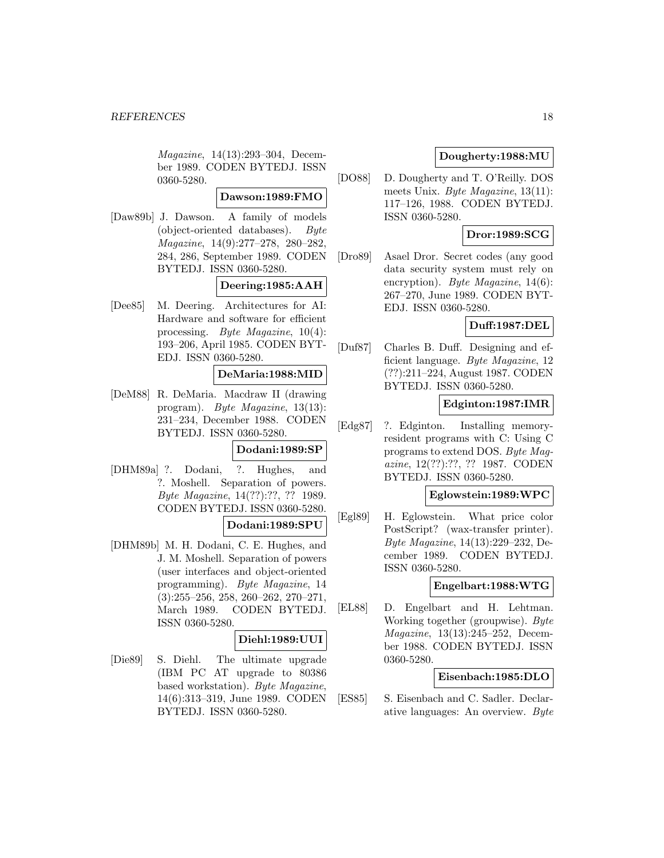Magazine, 14(13):293–304, December 1989. CODEN BYTEDJ. ISSN 0360-5280.

## **Dawson:1989:FMO**

[Daw89b] J. Dawson. A family of models (object-oriented databases). Byte Magazine, 14(9):277–278, 280–282, 284, 286, September 1989. CODEN BYTEDJ. ISSN 0360-5280.

## **Deering:1985:AAH**

[Dee85] M. Deering. Architectures for AI: Hardware and software for efficient processing. Byte Magazine, 10(4): 193–206, April 1985. CODEN BYT-EDJ. ISSN 0360-5280.

## **DeMaria:1988:MID**

[DeM88] R. DeMaria. Macdraw II (drawing program). Byte Magazine, 13(13): 231–234, December 1988. CODEN BYTEDJ. ISSN 0360-5280.

### **Dodani:1989:SP**

[DHM89a] ?. Dodani, ?. Hughes, and ?. Moshell. Separation of powers. Byte Magazine, 14(??):??, ?? 1989. CODEN BYTEDJ. ISSN 0360-5280.

#### **Dodani:1989:SPU**

[DHM89b] M. H. Dodani, C. E. Hughes, and J. M. Moshell. Separation of powers (user interfaces and object-oriented programming). Byte Magazine, 14 (3):255–256, 258, 260–262, 270–271, March 1989. CODEN BYTEDJ. ISSN 0360-5280.

#### **Diehl:1989:UUI**

[Die89] S. Diehl. The ultimate upgrade (IBM PC AT upgrade to 80386 based workstation). Byte Magazine, 14(6):313–319, June 1989. CODEN BYTEDJ. ISSN 0360-5280.

## **Dougherty:1988:MU**

[DO88] D. Dougherty and T. O'Reilly. DOS meets Unix. Byte Magazine, 13(11): 117–126, 1988. CODEN BYTEDJ. ISSN 0360-5280.

## **Dror:1989:SCG**

[Dro89] Asael Dror. Secret codes (any good data security system must rely on encryption). *Byte Magazine*, 14(6): 267–270, June 1989. CODEN BYT-EDJ. ISSN 0360-5280.

### **Duff:1987:DEL**

[Duf87] Charles B. Duff. Designing and efficient language. Byte Magazine, 12 (??):211–224, August 1987. CODEN BYTEDJ. ISSN 0360-5280.

### **Edginton:1987:IMR**

[Edg87] ?. Edginton. Installing memoryresident programs with C: Using C programs to extend DOS. Byte Magazine, 12(??):??, ?? 1987. CODEN BYTEDJ. ISSN 0360-5280.

## **Eglowstein:1989:WPC**

[Egl89] H. Eglowstein. What price color PostScript? (wax-transfer printer). Byte Magazine, 14(13):229–232, December 1989. CODEN BYTEDJ. ISSN 0360-5280.

### **Engelbart:1988:WTG**

[EL88] D. Engelbart and H. Lehtman. Working together (groupwise). Byte Magazine, 13(13):245–252, December 1988. CODEN BYTEDJ. ISSN 0360-5280.

### **Eisenbach:1985:DLO**

[ES85] S. Eisenbach and C. Sadler. Declarative languages: An overview. Byte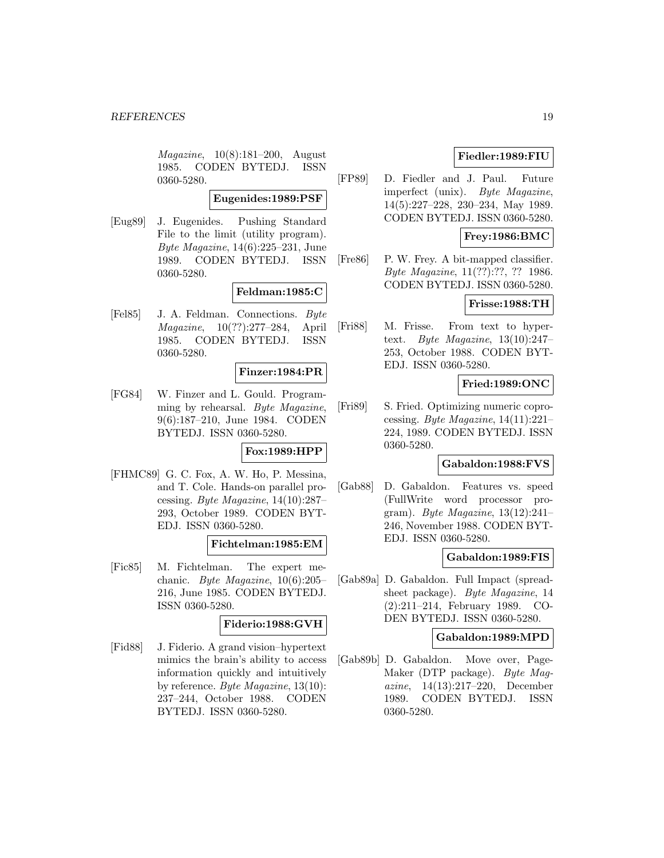Magazine, 10(8):181–200, August 1985. CODEN BYTEDJ. ISSN 0360-5280.

#### **Eugenides:1989:PSF**

[Eug89] J. Eugenides. Pushing Standard File to the limit (utility program). Byte Magazine, 14(6):225–231, June 1989. CODEN BYTEDJ. ISSN 0360-5280.

### **Feldman:1985:C**

[Fel85] J. A. Feldman. Connections. Byte Magazine, 10(??):277–284, April 1985. CODEN BYTEDJ. ISSN 0360-5280.

### **Finzer:1984:PR**

[FG84] W. Finzer and L. Gould. Programming by rehearsal. Byte Magazine, 9(6):187–210, June 1984. CODEN BYTEDJ. ISSN 0360-5280.

## **Fox:1989:HPP**

[FHMC89] G. C. Fox, A. W. Ho, P. Messina, and T. Cole. Hands-on parallel processing. Byte Magazine,  $14(10):287-$ 293, October 1989. CODEN BYT-EDJ. ISSN 0360-5280.

#### **Fichtelman:1985:EM**

[Fic85] M. Fichtelman. The expert mechanic. Byte Magazine,  $10(6):205-$ 216, June 1985. CODEN BYTEDJ. ISSN 0360-5280.

## **Fiderio:1988:GVH**

[Fid88] J. Fiderio. A grand vision–hypertext mimics the brain's ability to access information quickly and intuitively by reference. Byte Magazine, 13(10): 237–244, October 1988. CODEN BYTEDJ. ISSN 0360-5280.

## **Fiedler:1989:FIU**

[FP89] D. Fiedler and J. Paul. Future imperfect (unix). Byte Magazine, 14(5):227–228, 230–234, May 1989. CODEN BYTEDJ. ISSN 0360-5280.

## **Frey:1986:BMC**

[Fre86] P. W. Frey. A bit-mapped classifier. Byte Magazine, 11(??):??, ?? 1986. CODEN BYTEDJ. ISSN 0360-5280.

## **Frisse:1988:TH**

[Fri88] M. Frisse. From text to hypertext. Byte Magazine, 13(10):247– 253, October 1988. CODEN BYT-EDJ. ISSN 0360-5280.

## **Fried:1989:ONC**

[Fri89] S. Fried. Optimizing numeric coprocessing. Byte Magazine,  $14(11):221-$ 224, 1989. CODEN BYTEDJ. ISSN 0360-5280.

## **Gabaldon:1988:FVS**

[Gab88] D. Gabaldon. Features vs. speed (FullWrite word processor program). Byte Magazine, 13(12):241– 246, November 1988. CODEN BYT-EDJ. ISSN 0360-5280.

#### **Gabaldon:1989:FIS**

[Gab89a] D. Gabaldon. Full Impact (spreadsheet package). Byte Magazine, 14 (2):211–214, February 1989. CO-DEN BYTEDJ. ISSN 0360-5280.

#### **Gabaldon:1989:MPD**

[Gab89b] D. Gabaldon. Move over, Page-Maker (DTP package). Byte Magazine, 14(13):217–220, December 1989. CODEN BYTEDJ. ISSN 0360-5280.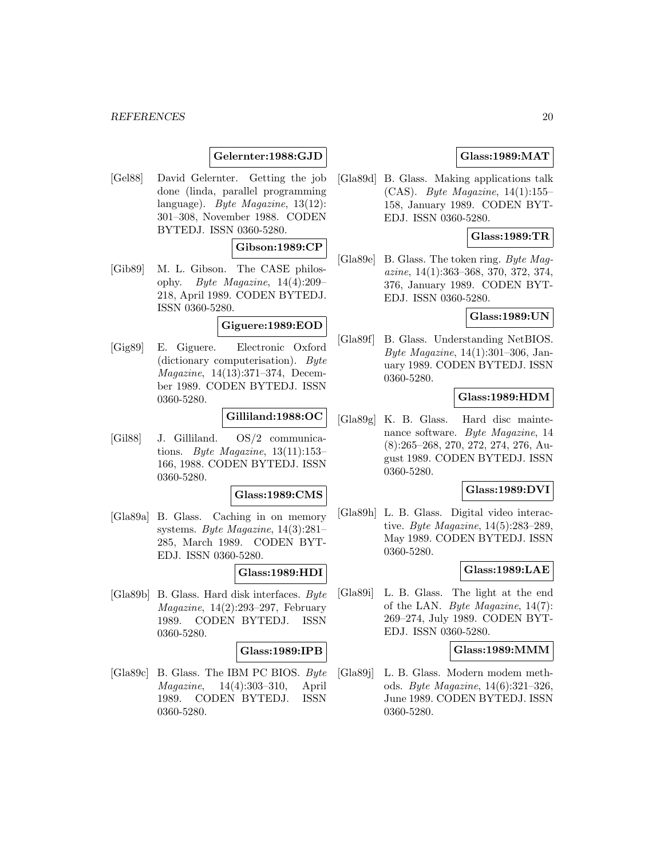#### *REFERENCES* 20

## **Gelernter:1988:GJD**

[Gel88] David Gelernter. Getting the job done (linda, parallel programming language). Byte Magazine, 13(12): 301–308, November 1988. CODEN BYTEDJ. ISSN 0360-5280.

### **Gibson:1989:CP**

[Gib89] M. L. Gibson. The CASE philosophy. Byte Magazine, 14(4):209– 218, April 1989. CODEN BYTEDJ. ISSN 0360-5280.

#### **Giguere:1989:EOD**

[Gig89] E. Giguere. Electronic Oxford (dictionary computerisation). Byte Magazine, 14(13):371–374, December 1989. CODEN BYTEDJ. ISSN 0360-5280.

## **Gilliland:1988:OC**

[Gil88] J. Gilliland. OS/2 communications. Byte Magazine,  $13(11):153-$ 166, 1988. CODEN BYTEDJ. ISSN 0360-5280.

### **Glass:1989:CMS**

[Gla89a] B. Glass. Caching in on memory systems. Byte Magazine, 14(3):281– 285, March 1989. CODEN BYT-EDJ. ISSN 0360-5280.

#### **Glass:1989:HDI**

[Gla89b] B. Glass. Hard disk interfaces. Byte Magazine, 14(2):293–297, February 1989. CODEN BYTEDJ. ISSN 0360-5280.

#### **Glass:1989:IPB**

[Gla89c] B. Glass. The IBM PC BIOS. Byte Magazine, 14(4):303–310, April 1989. CODEN BYTEDJ. ISSN 0360-5280.

## **Glass:1989:MAT**

[Gla89d] B. Glass. Making applications talk (CAS). Byte Magazine, 14(1):155– 158, January 1989. CODEN BYT-EDJ. ISSN 0360-5280.

## **Glass:1989:TR**

[Gla89e] B. Glass. The token ring. Byte Magazine, 14(1):363–368, 370, 372, 374, 376, January 1989. CODEN BYT-EDJ. ISSN 0360-5280.

### **Glass:1989:UN**

[Gla89f] B. Glass. Understanding NetBIOS. Byte Magazine, 14(1):301–306, January 1989. CODEN BYTEDJ. ISSN 0360-5280.

### **Glass:1989:HDM**

[Gla89g] K. B. Glass. Hard disc maintenance software. Byte Magazine, 14 (8):265–268, 270, 272, 274, 276, August 1989. CODEN BYTEDJ. ISSN 0360-5280.

## **Glass:1989:DVI**

[Gla89h] L. B. Glass. Digital video interactive. Byte Magazine, 14(5):283–289, May 1989. CODEN BYTEDJ. ISSN 0360-5280.

### **Glass:1989:LAE**

[Gla89i] L. B. Glass. The light at the end of the LAN. Byte Magazine, 14(7): 269–274, July 1989. CODEN BYT-EDJ. ISSN 0360-5280.

## **Glass:1989:MMM**

[Gla89j] L. B. Glass. Modern modem methods. Byte Magazine, 14(6):321–326, June 1989. CODEN BYTEDJ. ISSN 0360-5280.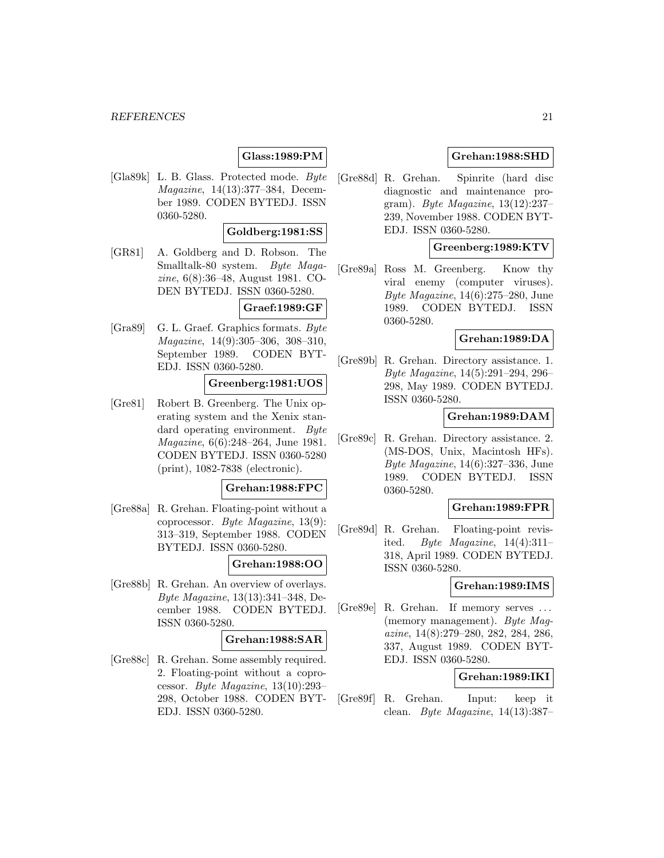## **Glass:1989:PM**

[Gla89k] L. B. Glass. Protected mode. Byte Magazine, 14(13):377–384, December 1989. CODEN BYTEDJ. ISSN 0360-5280.

## **Goldberg:1981:SS**

[GR81] A. Goldberg and D. Robson. The Smalltalk-80 system. Byte Magazine, 6(8):36–48, August 1981. CO-DEN BYTEDJ. ISSN 0360-5280.

## **Graef:1989:GF**

[Gra89] G. L. Graef. Graphics formats. Byte Magazine, 14(9):305–306, 308–310, September 1989. CODEN BYT-EDJ. ISSN 0360-5280.

### **Greenberg:1981:UOS**

[Gre81] Robert B. Greenberg. The Unix operating system and the Xenix standard operating environment. Byte Magazine, 6(6):248–264, June 1981. CODEN BYTEDJ. ISSN 0360-5280 (print), 1082-7838 (electronic).

### **Grehan:1988:FPC**

[Gre88a] R. Grehan. Floating-point without a coprocessor. Byte Magazine, 13(9): 313–319, September 1988. CODEN BYTEDJ. ISSN 0360-5280.

## **Grehan:1988:OO**

[Gre88b] R. Grehan. An overview of overlays. Byte Magazine, 13(13):341–348, December 1988. CODEN BYTEDJ. ISSN 0360-5280.

### **Grehan:1988:SAR**

[Gre88c] R. Grehan. Some assembly required. 2. Floating-point without a coprocessor. Byte Magazine, 13(10):293– 298, October 1988. CODEN BYT-EDJ. ISSN 0360-5280.

## **Grehan:1988:SHD**

[Gre88d] R. Grehan. Spinrite (hard disc diagnostic and maintenance program). Byte Magazine, 13(12):237– 239, November 1988. CODEN BYT-EDJ. ISSN 0360-5280.

### **Greenberg:1989:KTV**

[Gre89a] Ross M. Greenberg. Know thy viral enemy (computer viruses). Byte Magazine, 14(6):275–280, June 1989. CODEN BYTEDJ. ISSN 0360-5280.

## **Grehan:1989:DA**

[Gre89b] R. Grehan. Directory assistance. 1. Byte Magazine, 14(5):291–294, 296– 298, May 1989. CODEN BYTEDJ. ISSN 0360-5280.

## **Grehan:1989:DAM**

[Gre89c] R. Grehan. Directory assistance. 2. (MS-DOS, Unix, Macintosh HFs). Byte Magazine, 14(6):327–336, June 1989. CODEN BYTEDJ. ISSN 0360-5280.

### **Grehan:1989:FPR**

[Gre89d] R. Grehan. Floating-point revisited. Byte Magazine,  $14(4):311-$ 318, April 1989. CODEN BYTEDJ. ISSN 0360-5280.

#### **Grehan:1989:IMS**

[Gre89e] R. Grehan. If memory serves ... (memory management). Byte Magazine, 14(8):279–280, 282, 284, 286, 337, August 1989. CODEN BYT-EDJ. ISSN 0360-5280.

#### **Grehan:1989:IKI**

[Gre89f] R. Grehan. Input: keep it clean. *Byte Magazine*,  $14(13):387-$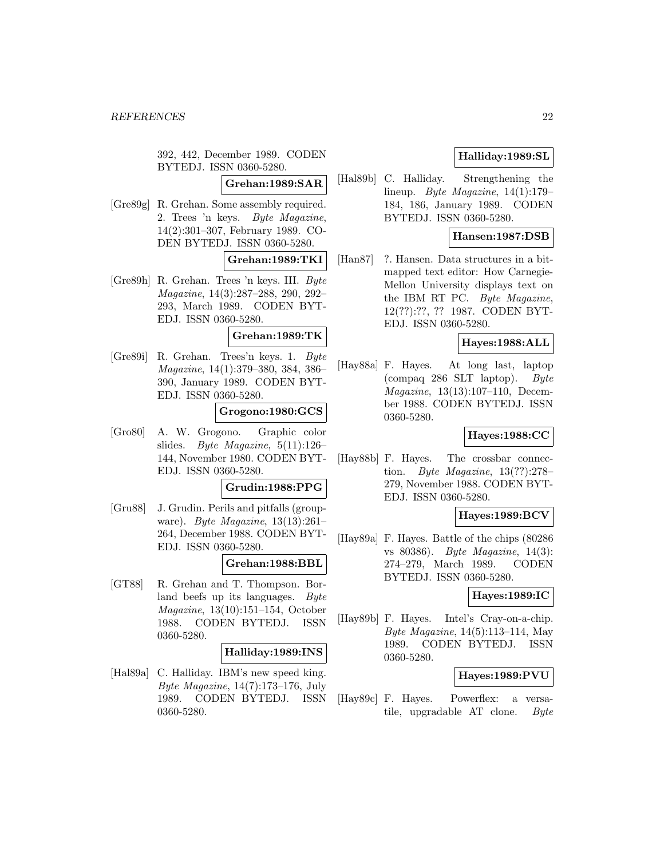392, 442, December 1989. CODEN BYTEDJ. ISSN 0360-5280.

## **Grehan:1989:SAR**

[Gre89g] R. Grehan. Some assembly required. 2. Trees 'n keys. Byte Magazine, 14(2):301–307, February 1989. CO-DEN BYTEDJ. ISSN 0360-5280.

## **Grehan:1989:TKI**

[Gre89h] R. Grehan. Trees 'n keys. III. Byte Magazine, 14(3):287–288, 290, 292– 293, March 1989. CODEN BYT-EDJ. ISSN 0360-5280.

#### **Grehan:1989:TK**

[Gre89i] R. Grehan. Trees'n keys. 1. Byte Magazine, 14(1):379–380, 384, 386– 390, January 1989. CODEN BYT-EDJ. ISSN 0360-5280.

## **Grogono:1980:GCS**

[Gro80] A. W. Grogono. Graphic color slides. Byte Magazine, 5(11):126– 144, November 1980. CODEN BYT-EDJ. ISSN 0360-5280.

## **Grudin:1988:PPG**

[Gru88] J. Grudin. Perils and pitfalls (groupware). Byte Magazine, 13(13):261– 264, December 1988. CODEN BYT-EDJ. ISSN 0360-5280.

#### **Grehan:1988:BBL**

[GT88] R. Grehan and T. Thompson. Borland beefs up its languages. Byte Magazine, 13(10):151–154, October 1988. CODEN BYTEDJ. ISSN 0360-5280.

#### **Halliday:1989:INS**

[Hal89a] C. Halliday. IBM's new speed king. Byte Magazine,  $14(7):173-176$ , July 1989. CODEN BYTEDJ. ISSN 0360-5280.

## **Halliday:1989:SL**

[Hal89b] C. Halliday. Strengthening the lineup. Byte Magazine, 14(1):179– 184, 186, January 1989. CODEN BYTEDJ. ISSN 0360-5280.

## **Hansen:1987:DSB**

[Han87] ?. Hansen. Data structures in a bitmapped text editor: How Carnegie-Mellon University displays text on the IBM RT PC. Byte Magazine, 12(??):??, ?? 1987. CODEN BYT-EDJ. ISSN 0360-5280.

### **Hayes:1988:ALL**

[Hay88a] F. Hayes. At long last, laptop (compaq 286 SLT laptop). Byte Magazine, 13(13):107–110, December 1988. CODEN BYTEDJ. ISSN 0360-5280.

## **Hayes:1988:CC**

[Hay88b] F. Hayes. The crossbar connection. Byte Magazine,  $13(??):278-$ 279, November 1988. CODEN BYT-EDJ. ISSN 0360-5280.

### **Hayes:1989:BCV**

[Hay89a] F. Hayes. Battle of the chips (80286 vs 80386). Byte Magazine, 14(3): 274–279, March 1989. CODEN BYTEDJ. ISSN 0360-5280.

## **Hayes:1989:IC**

[Hay89b] F. Hayes. Intel's Cray-on-a-chip. Byte Magazine, 14(5):113–114, May 1989. CODEN BYTEDJ. ISSN 0360-5280.

#### **Hayes:1989:PVU**

[Hay89c] F. Hayes. Powerflex: a versatile, upgradable AT clone. Byte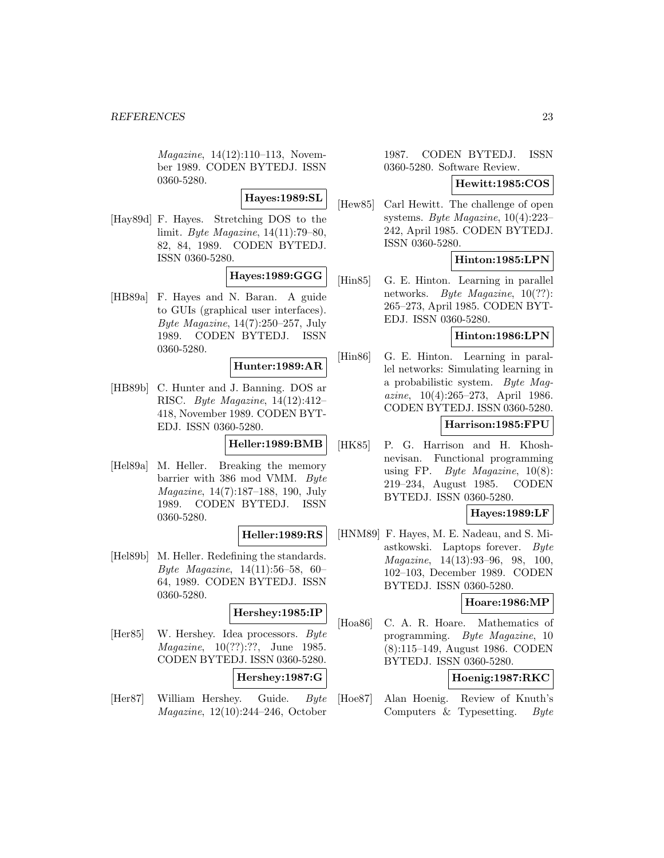Magazine, 14(12):110–113, November 1989. CODEN BYTEDJ. ISSN 0360-5280.

## **Hayes:1989:SL**

[Hay89d] F. Hayes. Stretching DOS to the limit. Byte Magazine, 14(11):79–80, 82, 84, 1989. CODEN BYTEDJ. ISSN 0360-5280.

## **Hayes:1989:GGG**

[HB89a] F. Hayes and N. Baran. A guide to GUIs (graphical user interfaces). Byte Magazine,  $14(7):250-257$ , July 1989. CODEN BYTEDJ. ISSN 0360-5280.

### **Hunter:1989:AR**

[HB89b] C. Hunter and J. Banning. DOS ar RISC. Byte Magazine, 14(12):412– 418, November 1989. CODEN BYT-EDJ. ISSN 0360-5280.

### **Heller:1989:BMB**

[Hel89a] M. Heller. Breaking the memory barrier with 386 mod VMM. Byte Magazine, 14(7):187–188, 190, July 1989. CODEN BYTEDJ. ISSN 0360-5280.

## **Heller:1989:RS**

[Hel89b] M. Heller. Redefining the standards. Byte Magazine, 14(11):56–58, 60– 64, 1989. CODEN BYTEDJ. ISSN 0360-5280.

#### **Hershey:1985:IP**

[Her85] W. Hershey. Idea processors. Byte Magazine, 10(??):??, June 1985. CODEN BYTEDJ. ISSN 0360-5280.

**Hershey:1987:G**

[Her87] William Hershey. Guide. Byte Magazine, 12(10):244–246, October

## 1987. CODEN BYTEDJ. ISSN 0360-5280. Software Review.

## **Hewitt:1985:COS**

[Hew85] Carl Hewitt. The challenge of open systems. Byte Magazine, 10(4):223– 242, April 1985. CODEN BYTEDJ. ISSN 0360-5280.

## **Hinton:1985:LPN**

[Hin85] G. E. Hinton. Learning in parallel networks. *Byte Magazine*, 10(??): 265–273, April 1985. CODEN BYT-EDJ. ISSN 0360-5280.

### **Hinton:1986:LPN**

[Hin86] G. E. Hinton. Learning in parallel networks: Simulating learning in a probabilistic system. Byte Magazine, 10(4):265–273, April 1986. CODEN BYTEDJ. ISSN 0360-5280.

### **Harrison:1985:FPU**

[HK85] P. G. Harrison and H. Khoshnevisan. Functional programming using FP. Byte Magazine,  $10(8)$ : 219–234, August 1985. CODEN BYTEDJ. ISSN 0360-5280.

## **Hayes:1989:LF**

[HNM89] F. Hayes, M. E. Nadeau, and S. Miastkowski. Laptops forever. Byte Magazine, 14(13):93–96, 98, 100, 102–103, December 1989. CODEN BYTEDJ. ISSN 0360-5280.

## **Hoare:1986:MP**

[Hoa86] C. A. R. Hoare. Mathematics of programming. Byte Magazine, 10 (8):115–149, August 1986. CODEN BYTEDJ. ISSN 0360-5280.

## **Hoenig:1987:RKC**

[Hoe87] Alan Hoenig. Review of Knuth's Computers & Typesetting. Byte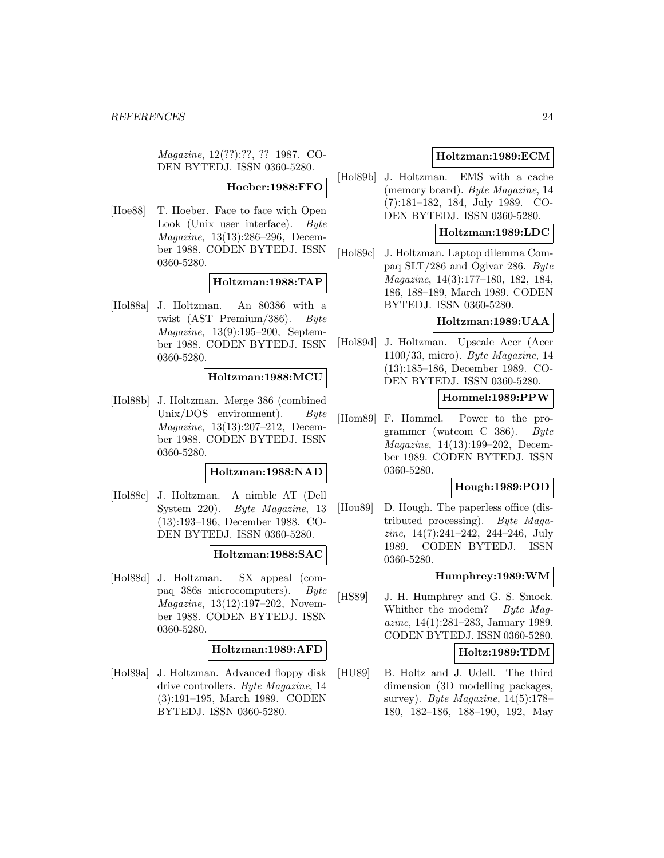Magazine, 12(??):??, ?? 1987. CO-DEN BYTEDJ. ISSN 0360-5280.

**Hoeber:1988:FFO**

[Hoe88] T. Hoeber. Face to face with Open Look (Unix user interface). Byte Magazine, 13(13):286–296, December 1988. CODEN BYTEDJ. ISSN 0360-5280.

#### **Holtzman:1988:TAP**

[Hol88a] J. Holtzman. An 80386 with a twist (AST Premium/386). Byte Magazine, 13(9):195–200, September 1988. CODEN BYTEDJ. ISSN 0360-5280.

### **Holtzman:1988:MCU**

[Hol88b] J. Holtzman. Merge 386 (combined Unix/DOS environment). Byte Magazine, 13(13):207–212, December 1988. CODEN BYTEDJ. ISSN 0360-5280.

#### **Holtzman:1988:NAD**

[Hol88c] J. Holtzman. A nimble AT (Dell System 220). Byte Magazine, 13 (13):193–196, December 1988. CO-DEN BYTEDJ. ISSN 0360-5280.

## **Holtzman:1988:SAC**

[Hol88d] J. Holtzman. SX appeal (compaq 386s microcomputers). Byte Magazine, 13(12):197–202, November 1988. CODEN BYTEDJ. ISSN 0360-5280.

#### **Holtzman:1989:AFD**

[Hol89a] J. Holtzman. Advanced floppy disk drive controllers. Byte Magazine, 14 (3):191–195, March 1989. CODEN BYTEDJ. ISSN 0360-5280.

## **Holtzman:1989:ECM**

[Hol89b] J. Holtzman. EMS with a cache (memory board). Byte Magazine, 14 (7):181–182, 184, July 1989. CO-DEN BYTEDJ. ISSN 0360-5280.

## **Holtzman:1989:LDC**

[Hol89c] J. Holtzman. Laptop dilemma Compaq SLT/286 and Ogivar 286. Byte Magazine, 14(3):177–180, 182, 184, 186, 188–189, March 1989. CODEN BYTEDJ. ISSN 0360-5280.

## **Holtzman:1989:UAA**

[Hol89d] J. Holtzman. Upscale Acer (Acer 1100/33, micro). Byte Magazine, 14 (13):185–186, December 1989. CO-DEN BYTEDJ. ISSN 0360-5280.

### **Hommel:1989:PPW**

[Hom89] F. Hommel. Power to the programmer (watcom C 386). Byte Magazine, 14(13):199–202, December 1989. CODEN BYTEDJ. ISSN 0360-5280.

## **Hough:1989:POD**

[Hou89] D. Hough. The paperless office (distributed processing). Byte Magazine, 14(7):241–242, 244–246, July 1989. CODEN BYTEDJ. ISSN 0360-5280.

## **Humphrey:1989:WM**

[HS89] J. H. Humphrey and G. S. Smock. Whither the modem? Byte Magazine, 14(1):281–283, January 1989. CODEN BYTEDJ. ISSN 0360-5280.

## **Holtz:1989:TDM**

[HU89] B. Holtz and J. Udell. The third dimension (3D modelling packages, survey). Byte Magazine,  $14(5):178-$ 180, 182–186, 188–190, 192, May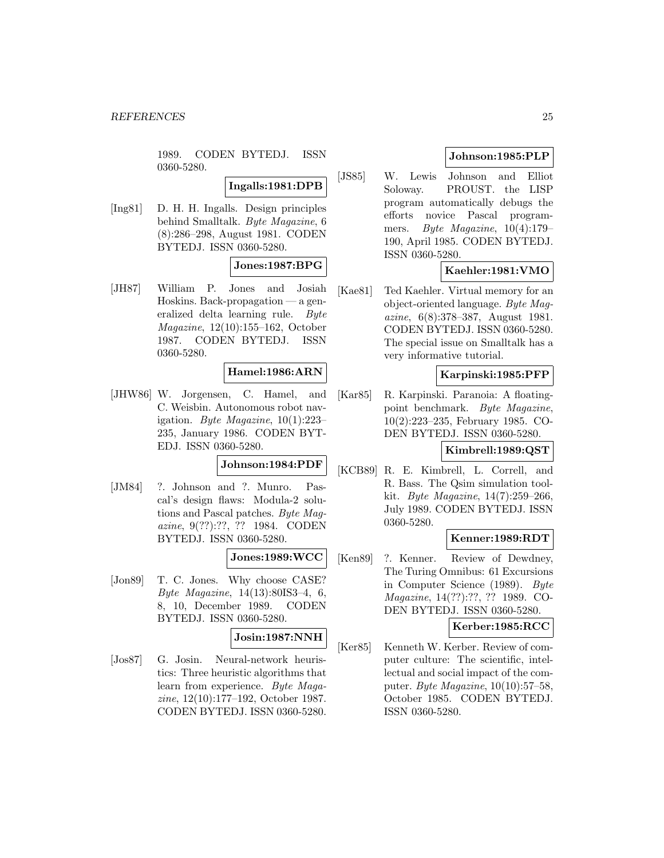1989. CODEN BYTEDJ. ISSN 0360-5280.

**Ingalls:1981:DPB**

[Ing81] D. H. H. Ingalls. Design principles behind Smalltalk. Byte Magazine, 6 (8):286–298, August 1981. CODEN BYTEDJ. ISSN 0360-5280.

## **Jones:1987:BPG**

[JH87] William P. Jones and Josiah Hoskins. Back-propagation — a generalized delta learning rule. Byte Magazine, 12(10):155–162, October 1987. CODEN BYTEDJ. ISSN 0360-5280.

### **Hamel:1986:ARN**

[JHW86] W. Jorgensen, C. Hamel, and C. Weisbin. Autonomous robot navigation. Byte Magazine, 10(1):223– 235, January 1986. CODEN BYT-EDJ. ISSN 0360-5280.

## **Johnson:1984:PDF**

[JM84] ?. Johnson and ?. Munro. Pascal's design flaws: Modula-2 solutions and Pascal patches. Byte Magazine, 9(??):??, ?? 1984. CODEN BYTEDJ. ISSN 0360-5280.

### **Jones:1989:WCC**

[Jon89] T. C. Jones. Why choose CASE? Byte Magazine, 14(13):80IS3–4, 6, 8, 10, December 1989. CODEN BYTEDJ. ISSN 0360-5280.

#### **Josin:1987:NNH**

[Jos87] G. Josin. Neural-network heuristics: Three heuristic algorithms that learn from experience. Byte Magazine, 12(10):177–192, October 1987. CODEN BYTEDJ. ISSN 0360-5280.

## **Johnson:1985:PLP**

[JS85] W. Lewis Johnson and Elliot Soloway. PROUST. the LISP program automatically debugs the efforts novice Pascal programmers. Byte Magazine, 10(4):179– 190, April 1985. CODEN BYTEDJ. ISSN 0360-5280.

## **Kaehler:1981:VMO**

[Kae81] Ted Kaehler. Virtual memory for an object-oriented language. Byte Magazine, 6(8):378–387, August 1981. CODEN BYTEDJ. ISSN 0360-5280. The special issue on Smalltalk has a very informative tutorial.

## **Karpinski:1985:PFP**

[Kar85] R. Karpinski. Paranoia: A floatingpoint benchmark. Byte Magazine, 10(2):223–235, February 1985. CO-DEN BYTEDJ. ISSN 0360-5280.

## **Kimbrell:1989:QST**

[KCB89] R. E. Kimbrell, L. Correll, and R. Bass. The Qsim simulation toolkit. Byte Magazine, 14(7):259–266, July 1989. CODEN BYTEDJ. ISSN 0360-5280.

## **Kenner:1989:RDT**

[Ken89] ?. Kenner. Review of Dewdney, The Turing Omnibus: 61 Excursions in Computer Science (1989). Byte Magazine, 14(??):??, ?? 1989. CO-DEN BYTEDJ. ISSN 0360-5280.

## **Kerber:1985:RCC**

[Ker85] Kenneth W. Kerber. Review of computer culture: The scientific, intellectual and social impact of the computer. Byte Magazine, 10(10):57–58, October 1985. CODEN BYTEDJ. ISSN 0360-5280.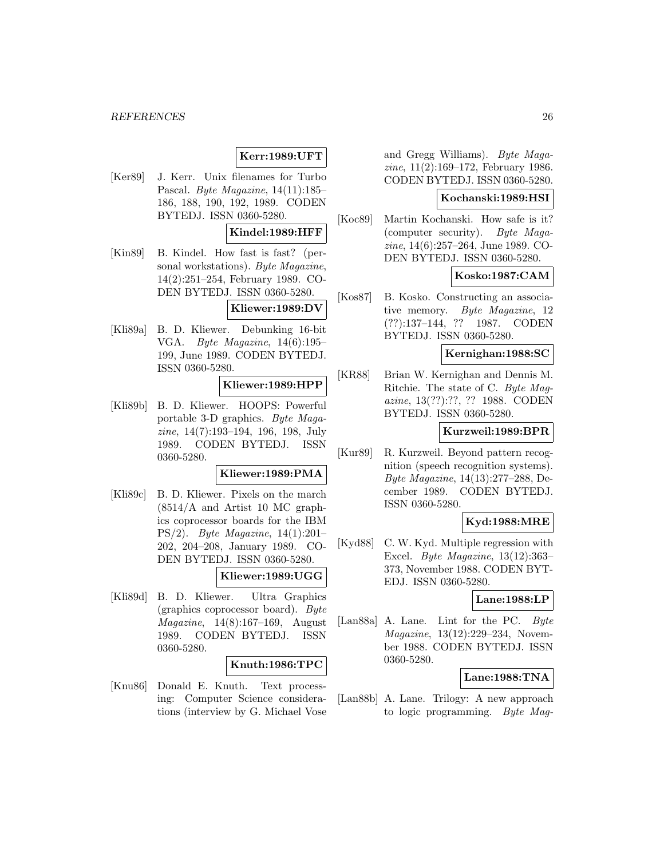#### *REFERENCES* 26

## **Kerr:1989:UFT**

[Ker89] J. Kerr. Unix filenames for Turbo Pascal. Byte Magazine, 14(11):185– 186, 188, 190, 192, 1989. CODEN BYTEDJ. ISSN 0360-5280.

## **Kindel:1989:HFF**

[Kin89] B. Kindel. How fast is fast? (personal workstations). Byte Magazine, 14(2):251–254, February 1989. CO-DEN BYTEDJ. ISSN 0360-5280.

#### **Kliewer:1989:DV**

[Kli89a] B. D. Kliewer. Debunking 16-bit VGA. Byte Magazine, 14(6):195– 199, June 1989. CODEN BYTEDJ. ISSN 0360-5280.

## **Kliewer:1989:HPP**

[Kli89b] B. D. Kliewer. HOOPS: Powerful portable 3-D graphics. Byte Magazine, 14(7):193–194, 196, 198, July 1989. CODEN BYTEDJ. ISSN 0360-5280.

#### **Kliewer:1989:PMA**

[Kli89c] B. D. Kliewer. Pixels on the march (8514/A and Artist 10 MC graphics coprocessor boards for the IBM PS/2). Byte Magazine, 14(1):201– 202, 204–208, January 1989. CO-DEN BYTEDJ. ISSN 0360-5280.

## **Kliewer:1989:UGG**

[Kli89d] B. D. Kliewer. Ultra Graphics (graphics coprocessor board). Byte Magazine, 14(8):167–169, August 1989. CODEN BYTEDJ. ISSN 0360-5280.

#### **Knuth:1986:TPC**

[Knu86] Donald E. Knuth. Text processing: Computer Science considerations (interview by G. Michael Vose and Gregg Williams). Byte Magazine, 11(2):169–172, February 1986. CODEN BYTEDJ. ISSN 0360-5280.

### **Kochanski:1989:HSI**

[Koc89] Martin Kochanski. How safe is it? (computer security). Byte Magazine, 14(6):257–264, June 1989. CO-DEN BYTEDJ. ISSN 0360-5280.

## **Kosko:1987:CAM**

[Kos87] B. Kosko. Constructing an associative memory. Byte Magazine, 12 (??):137–144, ?? 1987. CODEN BYTEDJ. ISSN 0360-5280.

#### **Kernighan:1988:SC**

[KR88] Brian W. Kernighan and Dennis M. Ritchie. The state of C. Byte Magazine, 13(??):??, ?? 1988. CODEN BYTEDJ. ISSN 0360-5280.

#### **Kurzweil:1989:BPR**

[Kur89] R. Kurzweil. Beyond pattern recognition (speech recognition systems). Byte Magazine, 14(13):277–288, December 1989. CODEN BYTEDJ. ISSN 0360-5280.

## **Kyd:1988:MRE**

[Kyd88] C. W. Kyd. Multiple regression with Excel. Byte Magazine, 13(12):363– 373, November 1988. CODEN BYT-EDJ. ISSN 0360-5280.

#### **Lane:1988:LP**

[Lan88a] A. Lane. Lint for the PC. Byte Magazine, 13(12):229–234, November 1988. CODEN BYTEDJ. ISSN 0360-5280.

#### **Lane:1988:TNA**

[Lan88b] A. Lane. Trilogy: A new approach to logic programming. Byte Mag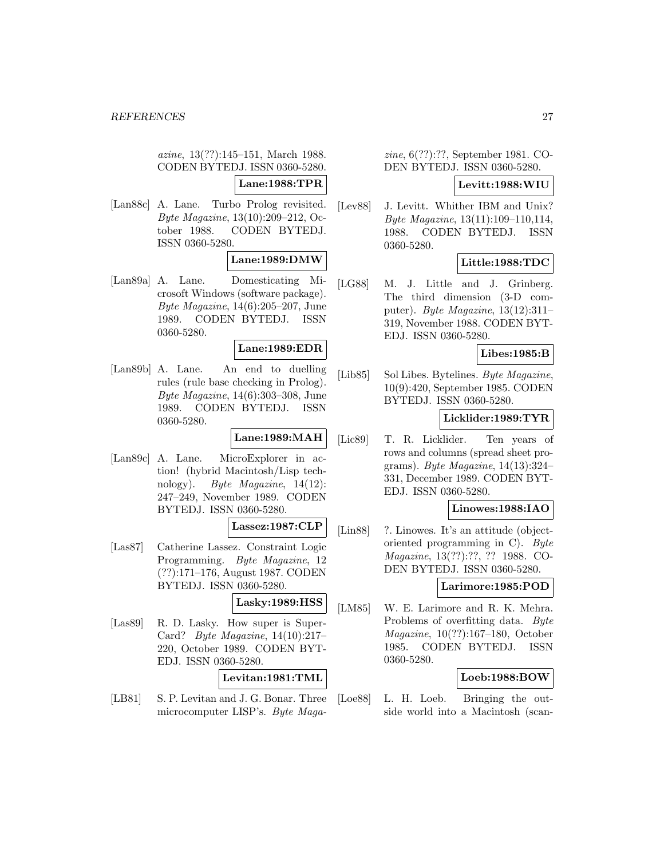azine, 13(??):145–151, March 1988. CODEN BYTEDJ. ISSN 0360-5280.

**Lane:1988:TPR**

[Lan88c] A. Lane. Turbo Prolog revisited. Byte Magazine, 13(10):209–212, October 1988. CODEN BYTEDJ. ISSN 0360-5280.

## **Lane:1989:DMW**

[Lan89a] A. Lane. Domesticating Microsoft Windows (software package). Byte Magazine, 14(6):205–207, June 1989. CODEN BYTEDJ. ISSN 0360-5280.

### **Lane:1989:EDR**

[Lan89b] A. Lane. An end to duelling rules (rule base checking in Prolog). Byte Magazine, 14(6):303–308, June 1989. CODEN BYTEDJ. ISSN 0360-5280.

#### **Lane:1989:MAH**

[Lan89c] A. Lane. MicroExplorer in action! (hybrid Macintosh/Lisp technology). Byte Magazine, 14(12): 247–249, November 1989. CODEN BYTEDJ. ISSN 0360-5280.

## **Lassez:1987:CLP**

[Las87] Catherine Lassez. Constraint Logic Programming. Byte Magazine, 12 (??):171–176, August 1987. CODEN BYTEDJ. ISSN 0360-5280.

## **Lasky:1989:HSS**

[Las89] R. D. Lasky. How super is Super-Card? Byte Magazine, 14(10):217– 220, October 1989. CODEN BYT-EDJ. ISSN 0360-5280.

### **Levitan:1981:TML**

[LB81] S. P. Levitan and J. G. Bonar. Three microcomputer LISP's. Byte Maga-

zine, 6(??):??, September 1981. CO-DEN BYTEDJ. ISSN 0360-5280.

### **Levitt:1988:WIU**

[Lev88] J. Levitt. Whither IBM and Unix? Byte Magazine, 13(11):109–110,114, 1988. CODEN BYTEDJ. ISSN 0360-5280.

## **Little:1988:TDC**

[LG88] M. J. Little and J. Grinberg. The third dimension (3-D computer). Byte Magazine, 13(12):311– 319, November 1988. CODEN BYT-EDJ. ISSN 0360-5280.

## **Libes:1985:B**

[Lib85] Sol Libes. Bytelines. Byte Magazine, 10(9):420, September 1985. CODEN BYTEDJ. ISSN 0360-5280.

## **Licklider:1989:TYR**

[Lic89] T. R. Licklider. Ten years of rows and columns (spread sheet programs). Byte Magazine,  $14(13):324-$ 331, December 1989. CODEN BYT-EDJ. ISSN 0360-5280.

## **Linowes:1988:IAO**

[Lin88] ?. Linowes. It's an attitude (objectoriented programming in C). Byte Magazine, 13(??):??, ?? 1988. CO-DEN BYTEDJ. ISSN 0360-5280.

**Larimore:1985:POD**

[LM85] W. E. Larimore and R. K. Mehra. Problems of overfitting data. Byte Magazine, 10(??):167–180, October 1985. CODEN BYTEDJ. ISSN 0360-5280.

## **Loeb:1988:BOW**

[Loe88] L. H. Loeb. Bringing the outside world into a Macintosh (scan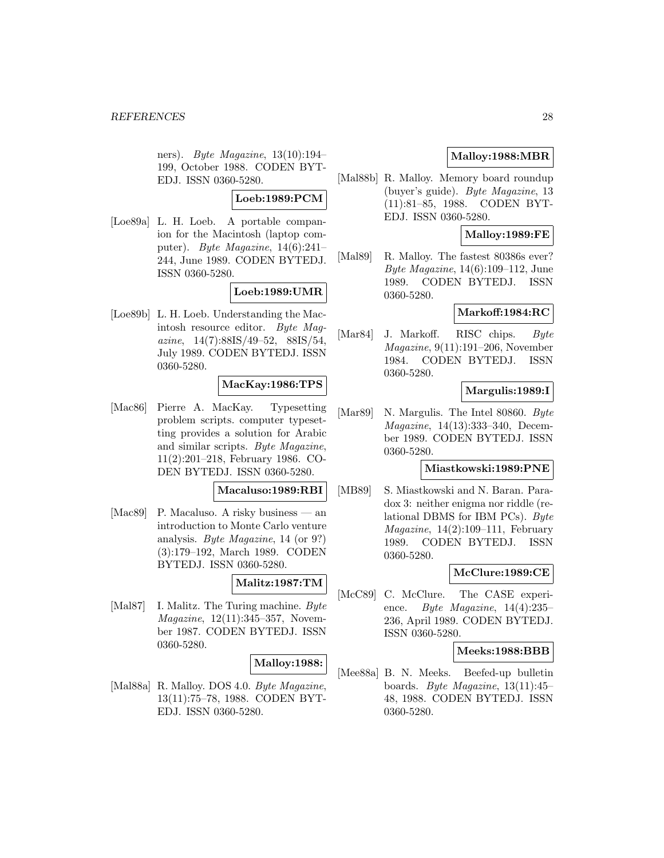ners). Byte Magazine,  $13(10):194-$ 199, October 1988. CODEN BYT-EDJ. ISSN 0360-5280.

### **Loeb:1989:PCM**

[Loe89a] L. H. Loeb. A portable companion for the Macintosh (laptop computer). Byte Magazine, 14(6):241– 244, June 1989. CODEN BYTEDJ. ISSN 0360-5280.

## **Loeb:1989:UMR**

[Loe89b] L. H. Loeb. Understanding the Macintosh resource editor. Byte Magazine, 14(7):88IS/49–52, 88IS/54, July 1989. CODEN BYTEDJ. ISSN 0360-5280.

## **MacKay:1986:TPS**

[Mac86] Pierre A. MacKay. Typesetting problem scripts. computer typesetting provides a solution for Arabic and similar scripts. Byte Magazine, 11(2):201–218, February 1986. CO-DEN BYTEDJ. ISSN 0360-5280.

#### **Macaluso:1989:RBI**

[Mac89] P. Macaluso. A risky business — an introduction to Monte Carlo venture analysis. Byte Magazine, 14 (or 9?) (3):179–192, March 1989. CODEN BYTEDJ. ISSN 0360-5280.

#### **Malitz:1987:TM**

[Mal87] I. Malitz. The Turing machine. Byte Magazine, 12(11):345–357, November 1987. CODEN BYTEDJ. ISSN 0360-5280.

## **Malloy:1988:**

[Mal88a] R. Malloy. DOS 4.0. Byte Magazine, 13(11):75–78, 1988. CODEN BYT-EDJ. ISSN 0360-5280.

## **Malloy:1988:MBR**

[Mal88b] R. Malloy. Memory board roundup (buyer's guide). Byte Magazine, 13 (11):81–85, 1988. CODEN BYT-EDJ. ISSN 0360-5280.

## **Malloy:1989:FE**

[Mal89] R. Malloy. The fastest 80386s ever? Byte Magazine, 14(6):109–112, June 1989. CODEN BYTEDJ. ISSN 0360-5280.

### **Markoff:1984:RC**

[Mar84] J. Markoff. RISC chips. Byte Magazine, 9(11):191–206, November 1984. CODEN BYTEDJ. ISSN 0360-5280.

## **Margulis:1989:I**

[Mar89] N. Margulis. The Intel 80860. Byte Magazine, 14(13):333–340, December 1989. CODEN BYTEDJ. ISSN 0360-5280.

#### **Miastkowski:1989:PNE**

[MB89] S. Miastkowski and N. Baran. Paradox 3: neither enigma nor riddle (relational DBMS for IBM PCs). Byte  $Magazine, 14(2):109-111, February$ 1989. CODEN BYTEDJ. ISSN 0360-5280.

## **McClure:1989:CE**

[McC89] C. McClure. The CASE experience. Byte Magazine, 14(4):235– 236, April 1989. CODEN BYTEDJ. ISSN 0360-5280.

#### **Meeks:1988:BBB**

[Mee88a] B. N. Meeks. Beefed-up bulletin boards. Byte Magazine, 13(11):45– 48, 1988. CODEN BYTEDJ. ISSN 0360-5280.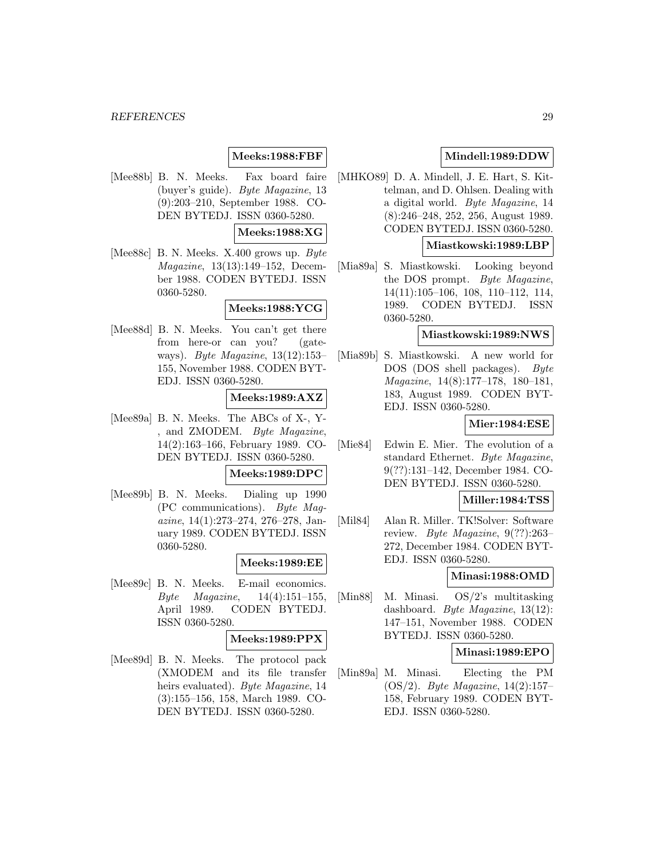## **Meeks:1988:FBF**

[Mee88b] B. N. Meeks. Fax board faire (buyer's guide). Byte Magazine, 13 (9):203–210, September 1988. CO-DEN BYTEDJ. ISSN 0360-5280.

## **Meeks:1988:XG**

[Mee88c] B. N. Meeks. X.400 grows up. Byte Magazine, 13(13):149–152, December 1988. CODEN BYTEDJ. ISSN 0360-5280.

## **Meeks:1988:YCG**

[Mee88d] B. N. Meeks. You can't get there from here-or can you? (gateways). Byte Magazine, 13(12):153– 155, November 1988. CODEN BYT-EDJ. ISSN 0360-5280.

### **Meeks:1989:AXZ**

[Mee89a] B. N. Meeks. The ABCs of X-, Y- , and ZMODEM. Byte Magazine, 14(2):163–166, February 1989. CO-DEN BYTEDJ. ISSN 0360-5280.

#### **Meeks:1989:DPC**

[Mee89b] B. N. Meeks. Dialing up 1990 (PC communications). Byte Magazine, 14(1):273–274, 276–278, January 1989. CODEN BYTEDJ. ISSN 0360-5280.

## **Meeks:1989:EE**

[Mee89c] B. N. Meeks. E-mail economics.  $Byte$  *Magazine*,  $14(4):151-155$ , April 1989. CODEN BYTEDJ. ISSN 0360-5280.

## **Meeks:1989:PPX**

[Mee89d] B. N. Meeks. The protocol pack (XMODEM and its file transfer heirs evaluated). Byte Magazine, 14 (3):155–156, 158, March 1989. CO-DEN BYTEDJ. ISSN 0360-5280.

## **Mindell:1989:DDW**

[MHKO89] D. A. Mindell, J. E. Hart, S. Kittelman, and D. Ohlsen. Dealing with a digital world. Byte Magazine, 14 (8):246–248, 252, 256, August 1989. CODEN BYTEDJ. ISSN 0360-5280.

#### **Miastkowski:1989:LBP**

[Mia89a] S. Miastkowski. Looking beyond the DOS prompt. Byte Magazine, 14(11):105–106, 108, 110–112, 114, 1989. CODEN BYTEDJ. ISSN 0360-5280.

## **Miastkowski:1989:NWS**

[Mia89b] S. Miastkowski. A new world for DOS (DOS shell packages). Byte Magazine, 14(8):177–178, 180–181, 183, August 1989. CODEN BYT-EDJ. ISSN 0360-5280.

### **Mier:1984:ESE**

[Mie84] Edwin E. Mier. The evolution of a standard Ethernet. Byte Magazine, 9(??):131–142, December 1984. CO-DEN BYTEDJ. ISSN 0360-5280.

## **Miller:1984:TSS**

[Mil84] Alan R. Miller. TK!Solver: Software review. Byte Magazine, 9(??):263– 272, December 1984. CODEN BYT-EDJ. ISSN 0360-5280.

## **Minasi:1988:OMD**

[Min88] M. Minasi. OS/2's multitasking dashboard. Byte Magazine, 13(12): 147–151, November 1988. CODEN BYTEDJ. ISSN 0360-5280.

#### **Minasi:1989:EPO**

[Min89a] M. Minasi. Electing the PM (OS/2). Byte Magazine, 14(2):157– 158, February 1989. CODEN BYT-EDJ. ISSN 0360-5280.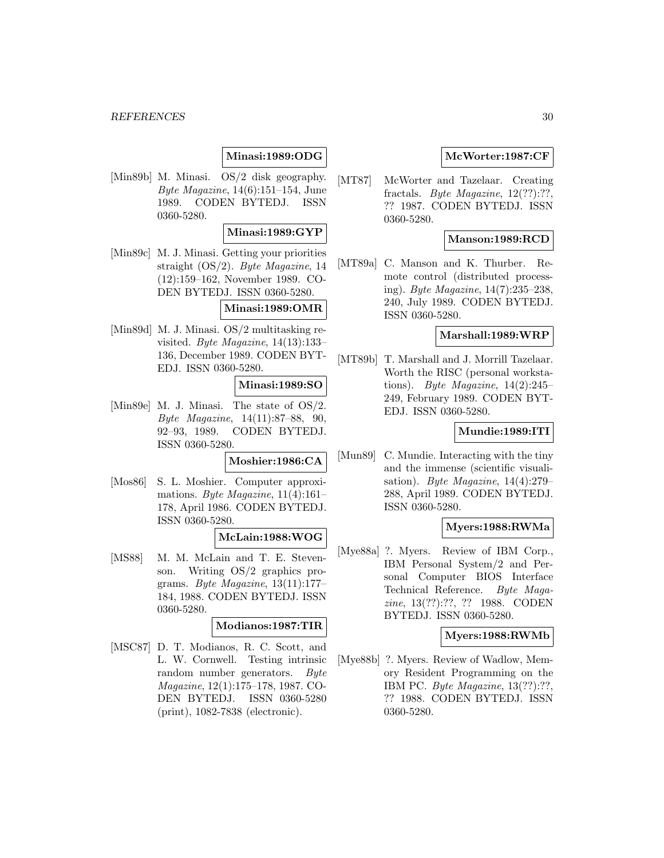#### *REFERENCES* 30

## **Minasi:1989:ODG**

[Min89b] M. Minasi. OS/2 disk geography. Byte Magazine, 14(6):151–154, June 1989. CODEN BYTEDJ. ISSN 0360-5280.

## **Minasi:1989:GYP**

[Min89c] M. J. Minasi. Getting your priorities straight (OS/2). Byte Magazine, 14 (12):159–162, November 1989. CO-DEN BYTEDJ. ISSN 0360-5280.

## **Minasi:1989:OMR**

[Min89d] M. J. Minasi. OS/2 multitasking revisited. Byte Magazine, 14(13):133– 136, December 1989. CODEN BYT-EDJ. ISSN 0360-5280.

#### **Minasi:1989:SO**

[Min89e] M. J. Minasi. The state of OS/2. Byte Magazine, 14(11):87–88, 90, 92–93, 1989. CODEN BYTEDJ. ISSN 0360-5280.

#### **Moshier:1986:CA**

[Mos86] S. L. Moshier. Computer approximations. Byte Magazine, 11(4):161– 178, April 1986. CODEN BYTEDJ. ISSN 0360-5280.

#### **McLain:1988:WOG**

[MS88] M. M. McLain and T. E. Stevenson. Writing OS/2 graphics programs. Byte Magazine, 13(11):177– 184, 1988. CODEN BYTEDJ. ISSN 0360-5280.

## **Modianos:1987:TIR**

[MSC87] D. T. Modianos, R. C. Scott, and L. W. Cornwell. Testing intrinsic random number generators. Byte Magazine, 12(1):175–178, 1987. CO-DEN BYTEDJ. ISSN 0360-5280 (print), 1082-7838 (electronic).

### **McWorter:1987:CF**

[MT87] McWorter and Tazelaar. Creating fractals. *Byte Magazine*,  $12(??):??$ ?? 1987. CODEN BYTEDJ. ISSN 0360-5280.

### **Manson:1989:RCD**

[MT89a] C. Manson and K. Thurber. Remote control (distributed processing). Byte Magazine, 14(7):235–238, 240, July 1989. CODEN BYTEDJ. ISSN 0360-5280.

#### **Marshall:1989:WRP**

[MT89b] T. Marshall and J. Morrill Tazelaar. Worth the RISC (personal workstations). Byte Magazine,  $14(2):245-$ 249, February 1989. CODEN BYT-EDJ. ISSN 0360-5280.

#### **Mundie:1989:ITI**

[Mun89] C. Mundie. Interacting with the tiny and the immense (scientific visualisation). Byte Magazine, 14(4):279– 288, April 1989. CODEN BYTEDJ. ISSN 0360-5280.

### **Myers:1988:RWMa**

[Mye88a] ?. Myers. Review of IBM Corp., IBM Personal System/2 and Personal Computer BIOS Interface Technical Reference. Byte Magazine, 13(??):??, ?? 1988. CODEN BYTEDJ. ISSN 0360-5280.

#### **Myers:1988:RWMb**

[Mye88b] ?. Myers. Review of Wadlow, Memory Resident Programming on the IBM PC. Byte Magazine, 13(??):??, ?? 1988. CODEN BYTEDJ. ISSN 0360-5280.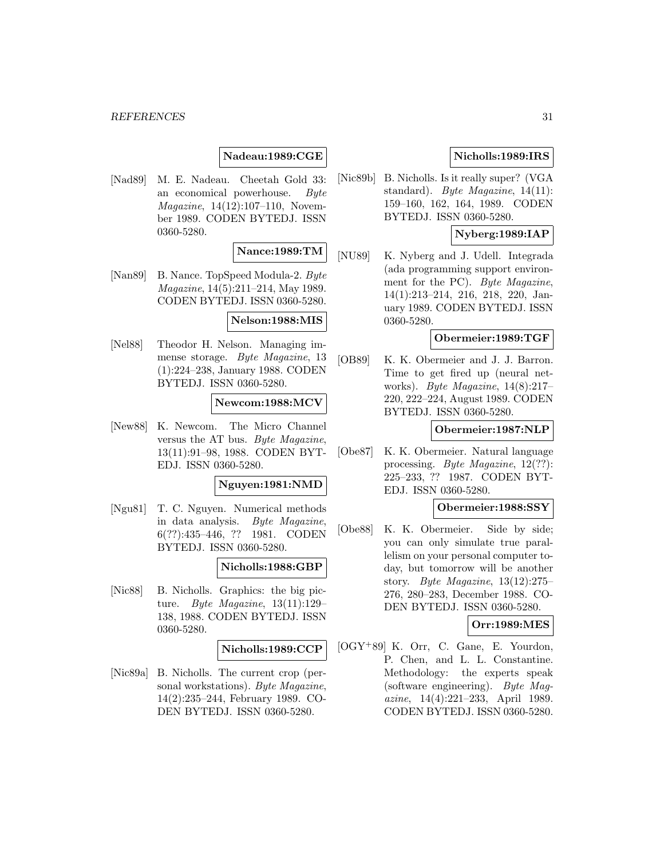#### *REFERENCES* 31

## **Nadeau:1989:CGE**

[Nad89] M. E. Nadeau. Cheetah Gold 33: an economical powerhouse. Byte Magazine, 14(12):107–110, November 1989. CODEN BYTEDJ. ISSN 0360-5280.

## **Nance:1989:TM**

[Nan89] B. Nance. TopSpeed Modula-2. Byte Magazine, 14(5):211–214, May 1989. CODEN BYTEDJ. ISSN 0360-5280.

### **Nelson:1988:MIS**

[Nel88] Theodor H. Nelson. Managing immense storage. Byte Magazine, 13 (1):224–238, January 1988. CODEN BYTEDJ. ISSN 0360-5280.

#### **Newcom:1988:MCV**

[New88] K. Newcom. The Micro Channel versus the AT bus. Byte Magazine, 13(11):91–98, 1988. CODEN BYT-EDJ. ISSN 0360-5280.

## **Nguyen:1981:NMD**

[Ngu81] T. C. Nguyen. Numerical methods in data analysis. Byte Magazine, 6(??):435–446, ?? 1981. CODEN BYTEDJ. ISSN 0360-5280.

### **Nicholls:1988:GBP**

[Nic88] B. Nicholls. Graphics: the big picture. Byte Magazine,  $13(11):129-$ 138, 1988. CODEN BYTEDJ. ISSN 0360-5280.

#### **Nicholls:1989:CCP**

[Nic89a] B. Nicholls. The current crop (personal workstations). Byte Magazine, 14(2):235–244, February 1989. CO-DEN BYTEDJ. ISSN 0360-5280.

## **Nicholls:1989:IRS**

[Nic89b] B. Nicholls. Is it really super? (VGA standard). Byte Magazine, 14(11): 159–160, 162, 164, 1989. CODEN BYTEDJ. ISSN 0360-5280.

## **Nyberg:1989:IAP**

[NU89] K. Nyberg and J. Udell. Integrada (ada programming support environment for the PC). Byte Magazine, 14(1):213–214, 216, 218, 220, January 1989. CODEN BYTEDJ. ISSN 0360-5280.

## **Obermeier:1989:TGF**

[OB89] K. K. Obermeier and J. J. Barron. Time to get fired up (neural networks). Byte Magazine, 14(8):217– 220, 222–224, August 1989. CODEN BYTEDJ. ISSN 0360-5280.

## **Obermeier:1987:NLP**

[Obe87] K. K. Obermeier. Natural language processing. Byte Magazine, 12(??): 225–233, ?? 1987. CODEN BYT-EDJ. ISSN 0360-5280.

#### **Obermeier:1988:SSY**

[Obe88] K. K. Obermeier. Side by side; you can only simulate true parallelism on your personal computer today, but tomorrow will be another story. Byte Magazine, 13(12):275– 276, 280–283, December 1988. CO-DEN BYTEDJ. ISSN 0360-5280.

## **Orr:1989:MES**

[OGY<sup>+</sup>89] K. Orr, C. Gane, E. Yourdon, P. Chen, and L. L. Constantine. Methodology: the experts speak (software engineering). Byte Magazine, 14(4):221–233, April 1989. CODEN BYTEDJ. ISSN 0360-5280.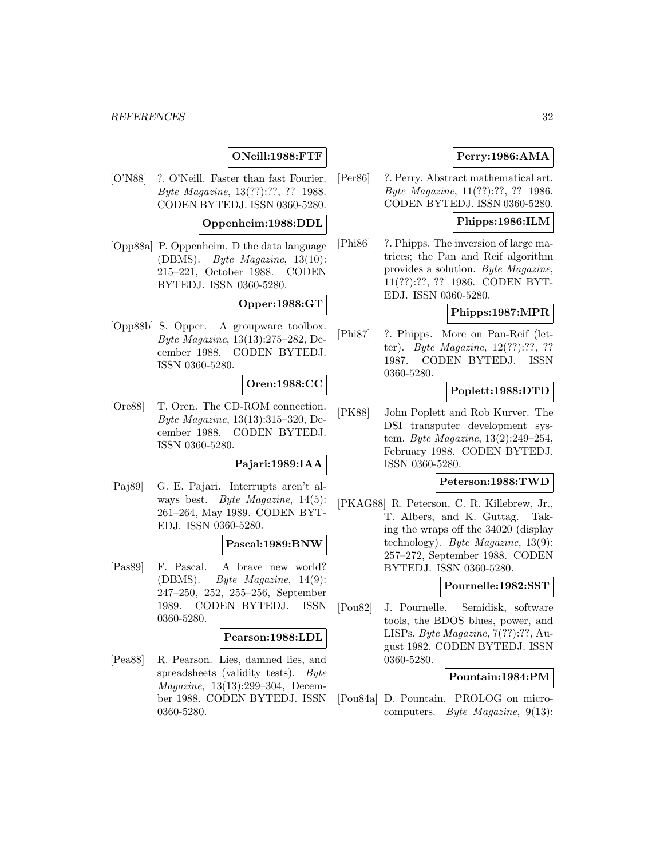## **ONeill:1988:FTF**

[O'N88] ?. O'Neill. Faster than fast Fourier. Byte Magazine, 13(??):??, ?? 1988. CODEN BYTEDJ. ISSN 0360-5280.

### **Oppenheim:1988:DDL**

[Opp88a] P. Oppenheim. D the data language (DBMS). Byte Magazine, 13(10): 215–221, October 1988. CODEN BYTEDJ. ISSN 0360-5280.

## **Opper:1988:GT**

[Opp88b] S. Opper. A groupware toolbox. Byte Magazine, 13(13):275–282, December 1988. CODEN BYTEDJ. ISSN 0360-5280.

## **Oren:1988:CC**

[Ore88] T. Oren. The CD-ROM connection. Byte Magazine, 13(13):315–320, December 1988. CODEN BYTEDJ. ISSN 0360-5280.

## **Pajari:1989:IAA**

[Paj89] G. E. Pajari. Interrupts aren't always best. Byte Magazine, 14(5): 261–264, May 1989. CODEN BYT-EDJ. ISSN 0360-5280.

### **Pascal:1989:BNW**

[Pas89] F. Pascal. A brave new world? (DBMS). Byte Magazine, 14(9): 247–250, 252, 255–256, September 1989. CODEN BYTEDJ. ISSN 0360-5280.

### **Pearson:1988:LDL**

[Pea88] R. Pearson. Lies, damned lies, and spreadsheets (validity tests). Byte Magazine, 13(13):299–304, December 1988. CODEN BYTEDJ. ISSN 0360-5280.

## **Perry:1986:AMA**

[Per86] ?. Perry. Abstract mathematical art. Byte Magazine, 11(??):??, ?? 1986. CODEN BYTEDJ. ISSN 0360-5280.

## **Phipps:1986:ILM**

[Phi86] ?. Phipps. The inversion of large matrices; the Pan and Reif algorithm provides a solution. Byte Magazine, 11(??):??, ?? 1986. CODEN BYT-EDJ. ISSN 0360-5280.

### **Phipps:1987:MPR**

[Phi87] ?. Phipps. More on Pan-Reif (letter). Byte Magazine, 12(??):??, ?? 1987. CODEN BYTEDJ. ISSN 0360-5280.

## **Poplett:1988:DTD**

[PK88] John Poplett and Rob Kurver. The DSI transputer development system. Byte Magazine, 13(2):249–254, February 1988. CODEN BYTEDJ. ISSN 0360-5280.

## **Peterson:1988:TWD**

[PKAG88] R. Peterson, C. R. Killebrew, Jr., T. Albers, and K. Guttag. Taking the wraps off the 34020 (display technology). Byte Magazine, 13(9): 257–272, September 1988. CODEN BYTEDJ. ISSN 0360-5280.

#### **Pournelle:1982:SST**

[Pou82] J. Pournelle. Semidisk, software tools, the BDOS blues, power, and LISPs. Byte Magazine, 7(??):??, August 1982. CODEN BYTEDJ. ISSN 0360-5280.

### **Pountain:1984:PM**

[Pou84a] D. Pountain. PROLOG on microcomputers. Byte Magazine, 9(13):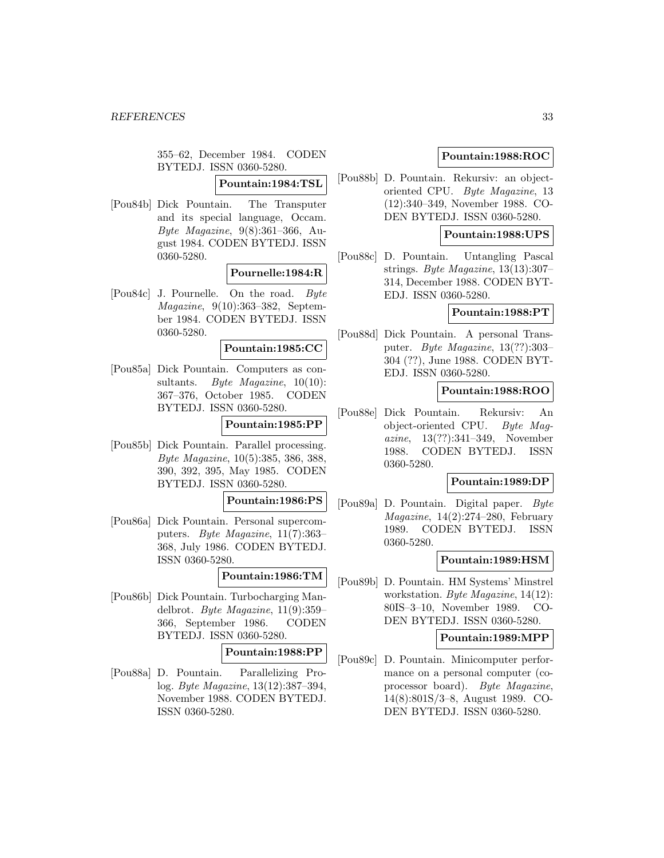355–62, December 1984. CODEN BYTEDJ. ISSN 0360-5280.

## **Pountain:1984:TSL**

[Pou84b] Dick Pountain. The Transputer and its special language, Occam. Byte Magazine, 9(8):361–366, August 1984. CODEN BYTEDJ. ISSN 0360-5280.

## **Pournelle:1984:R**

[Pou84c] J. Pournelle. On the road. Byte Magazine, 9(10):363–382, September 1984. CODEN BYTEDJ. ISSN 0360-5280.

#### **Pountain:1985:CC**

[Pou85a] Dick Pountain. Computers as consultants. Byte Magazine,  $10(10)$ : 367–376, October 1985. CODEN BYTEDJ. ISSN 0360-5280.

## **Pountain:1985:PP**

[Pou85b] Dick Pountain. Parallel processing. Byte Magazine, 10(5):385, 386, 388, 390, 392, 395, May 1985. CODEN BYTEDJ. ISSN 0360-5280.

### **Pountain:1986:PS**

[Pou86a] Dick Pountain. Personal supercomputers. Byte Magazine, 11(7):363– 368, July 1986. CODEN BYTEDJ. ISSN 0360-5280.

#### **Pountain:1986:TM**

[Pou86b] Dick Pountain. Turbocharging Mandelbrot. Byte Magazine, 11(9):359– 366, September 1986. CODEN BYTEDJ. ISSN 0360-5280.

#### **Pountain:1988:PP**

[Pou88a] D. Pountain. Parallelizing Prolog. Byte Magazine, 13(12):387–394, November 1988. CODEN BYTEDJ. ISSN 0360-5280.

## **Pountain:1988:ROC**

[Pou88b] D. Pountain. Rekursiv: an objectoriented CPU. Byte Magazine, 13 (12):340–349, November 1988. CO-DEN BYTEDJ. ISSN 0360-5280.

## **Pountain:1988:UPS**

[Pou88c] D. Pountain. Untangling Pascal strings. Byte Magazine, 13(13):307– 314, December 1988. CODEN BYT-EDJ. ISSN 0360-5280.

### **Pountain:1988:PT**

[Pou88d] Dick Pountain. A personal Transputer. Byte Magazine, 13(??):303– 304 (??), June 1988. CODEN BYT-EDJ. ISSN 0360-5280.

## **Pountain:1988:ROO**

[Pou88e] Dick Pountain. Rekursiv: An object-oriented CPU. Byte Magazine, 13(??):341–349, November 1988. CODEN BYTEDJ. ISSN 0360-5280.

## **Pountain:1989:DP**

[Pou89a] D. Pountain. Digital paper. Byte  $Magazine, 14(2):274-280, February$ 1989. CODEN BYTEDJ. ISSN 0360-5280.

### **Pountain:1989:HSM**

[Pou89b] D. Pountain. HM Systems' Minstrel workstation. Byte Magazine, 14(12): 80IS–3–10, November 1989. CO-DEN BYTEDJ. ISSN 0360-5280.

#### **Pountain:1989:MPP**

[Pou89c] D. Pountain. Minicomputer performance on a personal computer (coprocessor board). Byte Magazine, 14(8):801S/3–8, August 1989. CO-DEN BYTEDJ. ISSN 0360-5280.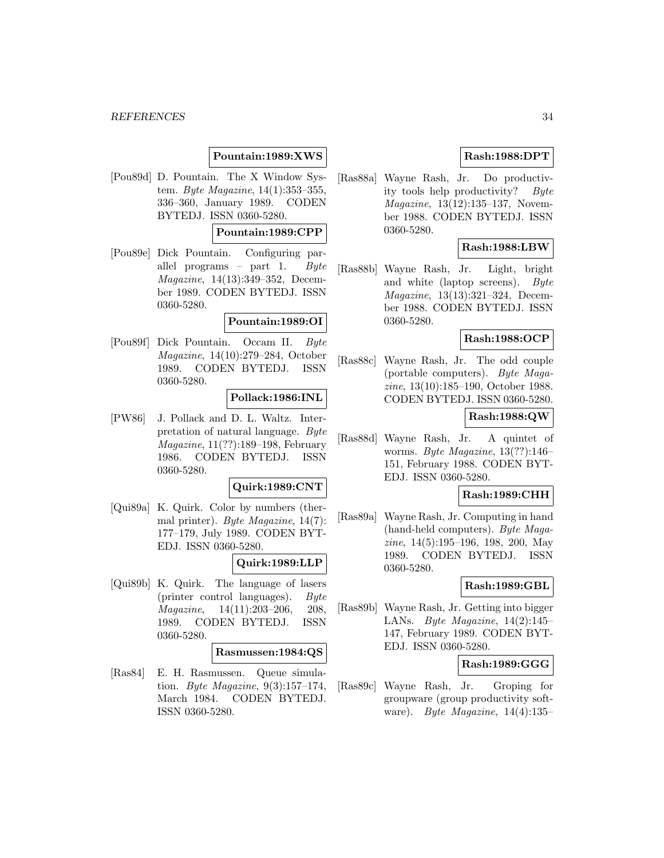## **Pountain:1989:XWS**

[Pou89d] D. Pountain. The X Window System. Byte Magazine, 14(1):353–355, 336–360, January 1989. CODEN BYTEDJ. ISSN 0360-5280.

## **Pountain:1989:CPP**

[Pou89e] Dick Pountain. Configuring parallel programs – part 1. Byte Magazine, 14(13):349–352, December 1989. CODEN BYTEDJ. ISSN 0360-5280.

### **Pountain:1989:OI**

[Pou89f] Dick Pountain. Occam II. Byte Magazine, 14(10):279–284, October 1989. CODEN BYTEDJ. ISSN 0360-5280.

### **Pollack:1986:INL**

[PW86] J. Pollack and D. L. Waltz. Interpretation of natural language. Byte Magazine, 11(??):189–198, February 1986. CODEN BYTEDJ. ISSN 0360-5280.

#### **Quirk:1989:CNT**

[Qui89a] K. Quirk. Color by numbers (thermal printer). Byte Magazine, 14(7): 177–179, July 1989. CODEN BYT-EDJ. ISSN 0360-5280.

#### **Quirk:1989:LLP**

[Qui89b] K. Quirk. The language of lasers (printer control languages). Byte Magazine, 14(11):203–206, 208, 1989. CODEN BYTEDJ. ISSN 0360-5280.

#### **Rasmussen:1984:QS**

[Ras84] E. H. Rasmussen. Queue simulation. Byte Magazine, 9(3):157–174, March 1984. CODEN BYTEDJ. ISSN 0360-5280.

## **Rash:1988:DPT**

[Ras88a] Wayne Rash, Jr. Do productivity tools help productivity? Byte Magazine, 13(12):135–137, November 1988. CODEN BYTEDJ. ISSN 0360-5280.

#### **Rash:1988:LBW**

[Ras88b] Wayne Rash, Jr. Light, bright and white (laptop screens). Byte Magazine, 13(13):321–324, December 1988. CODEN BYTEDJ. ISSN 0360-5280.

## **Rash:1988:OCP**

[Ras88c] Wayne Rash, Jr. The odd couple (portable computers). Byte Magazine, 13(10):185–190, October 1988. CODEN BYTEDJ. ISSN 0360-5280.

## **Rash:1988:QW**

[Ras88d] Wayne Rash, Jr. A quintet of worms. Byte Magazine, 13(??):146– 151, February 1988. CODEN BYT-EDJ. ISSN 0360-5280.

## **Rash:1989:CHH**

[Ras89a] Wayne Rash, Jr. Computing in hand (hand-held computers). Byte Magazine, 14(5):195–196, 198, 200, May 1989. CODEN BYTEDJ. ISSN 0360-5280.

### **Rash:1989:GBL**

[Ras89b] Wayne Rash, Jr. Getting into bigger LANs. Byte Magazine,  $14(2):145-$ 147, February 1989. CODEN BYT-EDJ. ISSN 0360-5280.

## **Rash:1989:GGG**

[Ras89c] Wayne Rash, Jr. Groping for groupware (group productivity software). Byte Magazine,  $14(4):135-$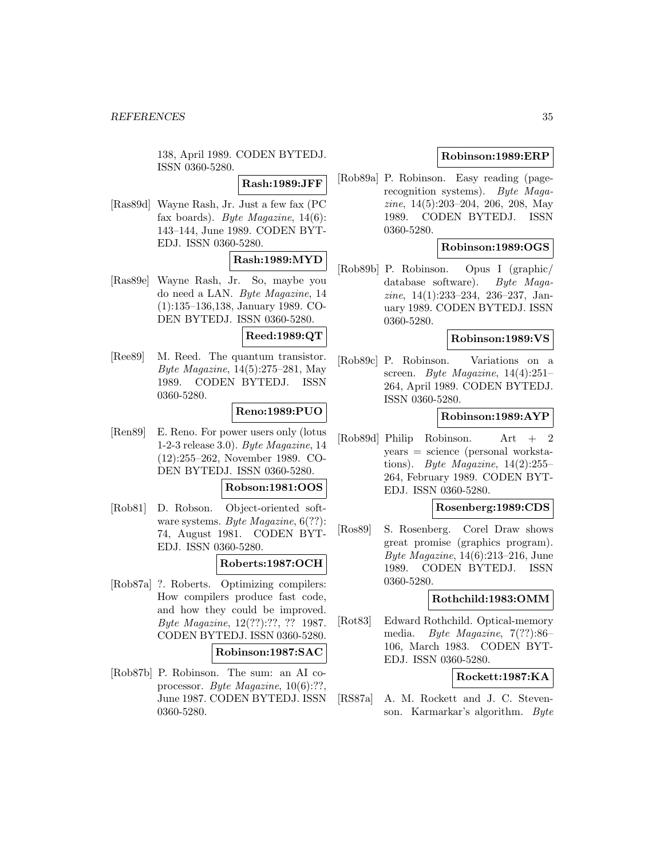138, April 1989. CODEN BYTEDJ. ISSN 0360-5280.

**Rash:1989:JFF**

[Ras89d] Wayne Rash, Jr. Just a few fax (PC fax boards). Byte Magazine,  $14(6)$ : 143–144, June 1989. CODEN BYT-EDJ. ISSN 0360-5280.

## **Rash:1989:MYD**

[Ras89e] Wayne Rash, Jr. So, maybe you do need a LAN. Byte Magazine, 14 (1):135–136,138, January 1989. CO-DEN BYTEDJ. ISSN 0360-5280.

## **Reed:1989:QT**

[Ree89] M. Reed. The quantum transistor. Byte Magazine, 14(5):275–281, May 1989. CODEN BYTEDJ. ISSN 0360-5280.

## **Reno:1989:PUO**

[Ren89] E. Reno. For power users only (lotus 1-2-3 release 3.0). Byte Magazine, 14 (12):255–262, November 1989. CO-DEN BYTEDJ. ISSN 0360-5280.

#### **Robson:1981:OOS**

[Rob81] D. Robson. Object-oriented software systems. Byte Magazine,  $6(??)$ : 74, August 1981. CODEN BYT-EDJ. ISSN 0360-5280.

## **Roberts:1987:OCH**

[Rob87a] ?. Roberts. Optimizing compilers: How compilers produce fast code, and how they could be improved. Byte Magazine, 12(??):??, ?? 1987. CODEN BYTEDJ. ISSN 0360-5280.

#### **Robinson:1987:SAC**

[Rob87b] P. Robinson. The sum: an AI coprocessor. Byte Magazine, 10(6):??, June 1987. CODEN BYTEDJ. ISSN 0360-5280.

## **Robinson:1989:ERP**

[Rob89a] P. Robinson. Easy reading (pagerecognition systems). Byte Magazine, 14(5):203–204, 206, 208, May 1989. CODEN BYTEDJ. ISSN 0360-5280.

## **Robinson:1989:OGS**

[Rob89b] P. Robinson. Opus I (graphic/ database software). Byte Magazine, 14(1):233–234, 236–237, January 1989. CODEN BYTEDJ. ISSN 0360-5280.

## **Robinson:1989:VS**

[Rob89c] P. Robinson. Variations on a screen. Byte Magazine, 14(4):251– 264, April 1989. CODEN BYTEDJ. ISSN 0360-5280.

#### **Robinson:1989:AYP**

[Rob89d] Philip Robinson. Art + 2 years = science (personal workstations). Byte Magazine,  $14(2):255-$ 264, February 1989. CODEN BYT-EDJ. ISSN 0360-5280.

#### **Rosenberg:1989:CDS**

[Ros89] S. Rosenberg. Corel Draw shows great promise (graphics program). Byte Magazine, 14(6):213–216, June 1989. CODEN BYTEDJ. ISSN 0360-5280.

### **Rothchild:1983:OMM**

[Rot83] Edward Rothchild. Optical-memory media. Byte Magazine, 7(??):86– 106, March 1983. CODEN BYT-EDJ. ISSN 0360-5280.

### **Rockett:1987:KA**

[RS87a] A. M. Rockett and J. C. Stevenson. Karmarkar's algorithm. Byte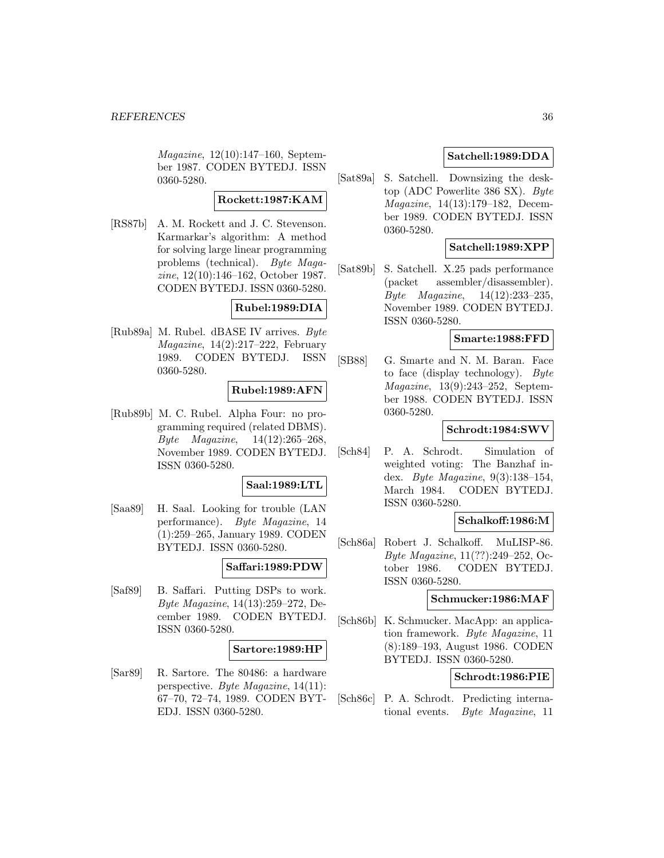Magazine, 12(10):147–160, September 1987. CODEN BYTEDJ. ISSN 0360-5280.

## **Rockett:1987:KAM**

[RS87b] A. M. Rockett and J. C. Stevenson. Karmarkar's algorithm: A method for solving large linear programming problems (technical). Byte Magazine, 12(10):146–162, October 1987. CODEN BYTEDJ. ISSN 0360-5280.

## **Rubel:1989:DIA**

[Rub89a] M. Rubel. dBASE IV arrives. Byte Magazine, 14(2):217–222, February 1989. CODEN BYTEDJ. ISSN 0360-5280.

## **Rubel:1989:AFN**

[Rub89b] M. C. Rubel. Alpha Four: no programming required (related DBMS). Byte Magazine, 14(12):265–268, November 1989. CODEN BYTEDJ. ISSN 0360-5280.

## **Saal:1989:LTL**

[Saa89] H. Saal. Looking for trouble (LAN performance). Byte Magazine, 14 (1):259–265, January 1989. CODEN BYTEDJ. ISSN 0360-5280.

## **Saffari:1989:PDW**

[Saf89] B. Saffari. Putting DSPs to work. Byte Magazine, 14(13):259–272, December 1989. CODEN BYTEDJ. ISSN 0360-5280.

#### **Sartore:1989:HP**

[Sar89] R. Sartore. The 80486: a hardware perspective. Byte Magazine, 14(11): 67–70, 72–74, 1989. CODEN BYT-EDJ. ISSN 0360-5280.

## **Satchell:1989:DDA**

[Sat89a] S. Satchell. Downsizing the desktop (ADC Powerlite 386 SX). Byte Magazine, 14(13):179–182, December 1989. CODEN BYTEDJ. ISSN 0360-5280.

## **Satchell:1989:XPP**

[Sat89b] S. Satchell. X.25 pads performance (packet assembler/disassembler). Byte Magazine, 14(12):233–235, November 1989. CODEN BYTEDJ. ISSN 0360-5280.

## **Smarte:1988:FFD**

[SB88] G. Smarte and N. M. Baran. Face to face (display technology). Byte Magazine, 13(9):243–252, September 1988. CODEN BYTEDJ. ISSN 0360-5280.

## **Schrodt:1984:SWV**

[Sch84] P. A. Schrodt. Simulation of weighted voting: The Banzhaf index. Byte Magazine, 9(3):138–154, March 1984. CODEN BYTEDJ. ISSN 0360-5280.

## **Schalkoff:1986:M**

[Sch86a] Robert J. Schalkoff. MuLISP-86. Byte Magazine, 11(??):249–252, October 1986. CODEN BYTEDJ. ISSN 0360-5280.

### **Schmucker:1986:MAF**

[Sch86b] K. Schmucker. MacApp: an application framework. Byte Magazine, 11 (8):189–193, August 1986. CODEN BYTEDJ. ISSN 0360-5280.

## **Schrodt:1986:PIE**

[Sch86c] P. A. Schrodt. Predicting international events. Byte Magazine, 11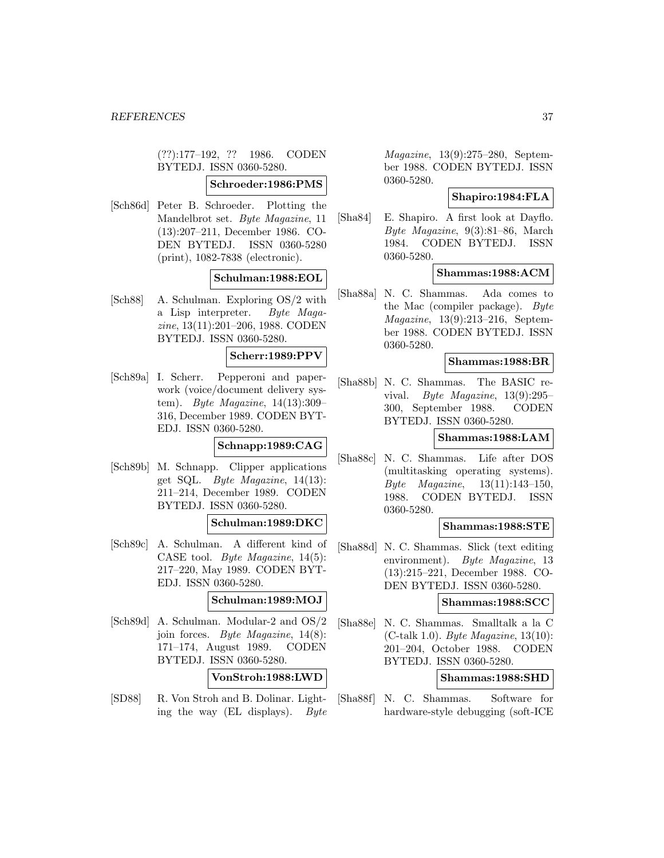(??):177–192, ?? 1986. CODEN BYTEDJ. ISSN 0360-5280.

## **Schroeder:1986:PMS**

[Sch86d] Peter B. Schroeder. Plotting the Mandelbrot set. Byte Magazine, 11 (13):207–211, December 1986. CO-DEN BYTEDJ. ISSN 0360-5280 (print), 1082-7838 (electronic).

## **Schulman:1988:EOL**

[Sch88] A. Schulman. Exploring OS/2 with a Lisp interpreter. Byte Magazine, 13(11):201–206, 1988. CODEN BYTEDJ. ISSN 0360-5280.

## **Scherr:1989:PPV**

[Sch89a] I. Scherr. Pepperoni and paperwork (voice/document delivery system). *Byte Magazine*,  $14(13):309-$ 316, December 1989. CODEN BYT-EDJ. ISSN 0360-5280.

## **Schnapp:1989:CAG**

[Sch89b] M. Schnapp. Clipper applications get SQL. Byte Magazine, 14(13): 211–214, December 1989. CODEN BYTEDJ. ISSN 0360-5280.

#### **Schulman:1989:DKC**

[Sch89c] A. Schulman. A different kind of CASE tool. Byte Magazine, 14(5): 217–220, May 1989. CODEN BYT-EDJ. ISSN 0360-5280.

## **Schulman:1989:MOJ**

[Sch89d] A. Schulman. Modular-2 and OS/2 join forces. Byte Magazine, 14(8): 171–174, August 1989. CODEN BYTEDJ. ISSN 0360-5280.

#### **VonStroh:1988:LWD**

[SD88] R. Von Stroh and B. Dolinar. Lighting the way (EL displays). Byte

Magazine, 13(9):275–280, September 1988. CODEN BYTEDJ. ISSN 0360-5280.

## **Shapiro:1984:FLA**

[Sha84] E. Shapiro. A first look at Dayflo. Byte Magazine, 9(3):81–86, March 1984. CODEN BYTEDJ. ISSN 0360-5280.

## **Shammas:1988:ACM**

[Sha88a] N. C. Shammas. Ada comes to the Mac (compiler package).  $Byte$ Magazine, 13(9):213–216, September 1988. CODEN BYTEDJ. ISSN 0360-5280.

### **Shammas:1988:BR**

[Sha88b] N. C. Shammas. The BASIC revival. Byte Magazine, 13(9):295– 300, September 1988. CODEN BYTEDJ. ISSN 0360-5280.

#### **Shammas:1988:LAM**

[Sha88c] N. C. Shammas. Life after DOS (multitasking operating systems). Byte Magazine, 13(11):143–150, 1988. CODEN BYTEDJ. ISSN 0360-5280.

### **Shammas:1988:STE**

[Sha88d] N. C. Shammas. Slick (text editing environment). Byte Magazine, 13 (13):215–221, December 1988. CO-DEN BYTEDJ. ISSN 0360-5280.

### **Shammas:1988:SCC**

[Sha88e] N. C. Shammas. Smalltalk a la C (C-talk 1.0). Byte Magazine, 13(10): 201–204, October 1988. CODEN BYTEDJ. ISSN 0360-5280.

### **Shammas:1988:SHD**

[Sha88f] N. C. Shammas. Software for hardware-style debugging (soft-ICE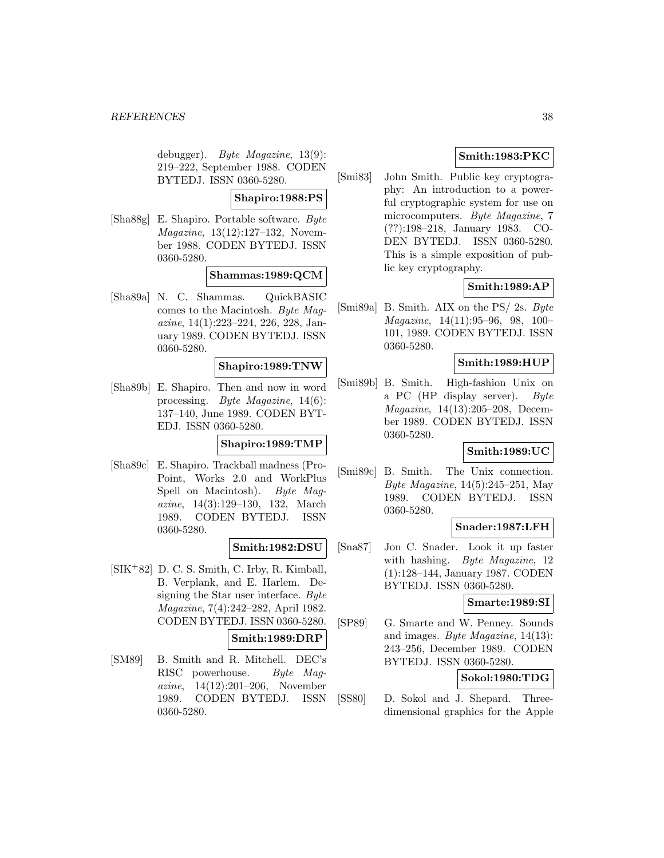debugger). Byte Magazine, 13(9): 219–222, September 1988. CODEN BYTEDJ. ISSN 0360-5280.

### **Shapiro:1988:PS**

[Sha88g] E. Shapiro. Portable software. Byte Magazine, 13(12):127–132, November 1988. CODEN BYTEDJ. ISSN 0360-5280.

### **Shammas:1989:QCM**

[Sha89a] N. C. Shammas. QuickBASIC comes to the Macintosh. Byte Magazine, 14(1):223–224, 226, 228, January 1989. CODEN BYTEDJ. ISSN 0360-5280.

#### **Shapiro:1989:TNW**

[Sha89b] E. Shapiro. Then and now in word processing. Byte Magazine, 14(6): 137–140, June 1989. CODEN BYT-EDJ. ISSN 0360-5280.

#### **Shapiro:1989:TMP**

[Sha89c] E. Shapiro. Trackball madness (Pro-Point, Works 2.0 and WorkPlus Spell on Macintosh). Byte Magazine, 14(3):129–130, 132, March 1989. CODEN BYTEDJ. ISSN 0360-5280.

## **Smith:1982:DSU**

[SIK<sup>+</sup>82] D. C. S. Smith, C. Irby, R. Kimball, B. Verplank, and E. Harlem. Designing the Star user interface. Byte Magazine, 7(4):242–282, April 1982. CODEN BYTEDJ. ISSN 0360-5280.

## **Smith:1989:DRP**

[SM89] B. Smith and R. Mitchell. DEC's RISC powerhouse. Byte Magazine, 14(12):201–206, November 1989. CODEN BYTEDJ. ISSN 0360-5280.

## **Smith:1983:PKC**

[Smi83] John Smith. Public key cryptography: An introduction to a powerful cryptographic system for use on microcomputers. Byte Magazine, 7 (??):198–218, January 1983. CO-DEN BYTEDJ. ISSN 0360-5280. This is a simple exposition of public key cryptography.

## **Smith:1989:AP**

[Smi89a] B. Smith. AIX on the PS/ 2s. Byte Magazine, 14(11):95–96, 98, 100– 101, 1989. CODEN BYTEDJ. ISSN 0360-5280.

### **Smith:1989:HUP**

[Smi89b] B. Smith. High-fashion Unix on a PC (HP display server). Byte Magazine, 14(13):205–208, December 1989. CODEN BYTEDJ. ISSN 0360-5280.

## **Smith:1989:UC**

[Smi89c] B. Smith. The Unix connection. Byte Magazine, 14(5):245–251, May 1989. CODEN BYTEDJ. ISSN 0360-5280.

## **Snader:1987:LFH**

[Sna87] Jon C. Snader. Look it up faster with hashing. Byte Magazine, 12 (1):128–144, January 1987. CODEN BYTEDJ. ISSN 0360-5280.

## **Smarte:1989:SI**

[SP89] G. Smarte and W. Penney. Sounds and images. Byte Magazine, 14(13): 243–256, December 1989. CODEN BYTEDJ. ISSN 0360-5280.

## **Sokol:1980:TDG**

[SS80] D. Sokol and J. Shepard. Threedimensional graphics for the Apple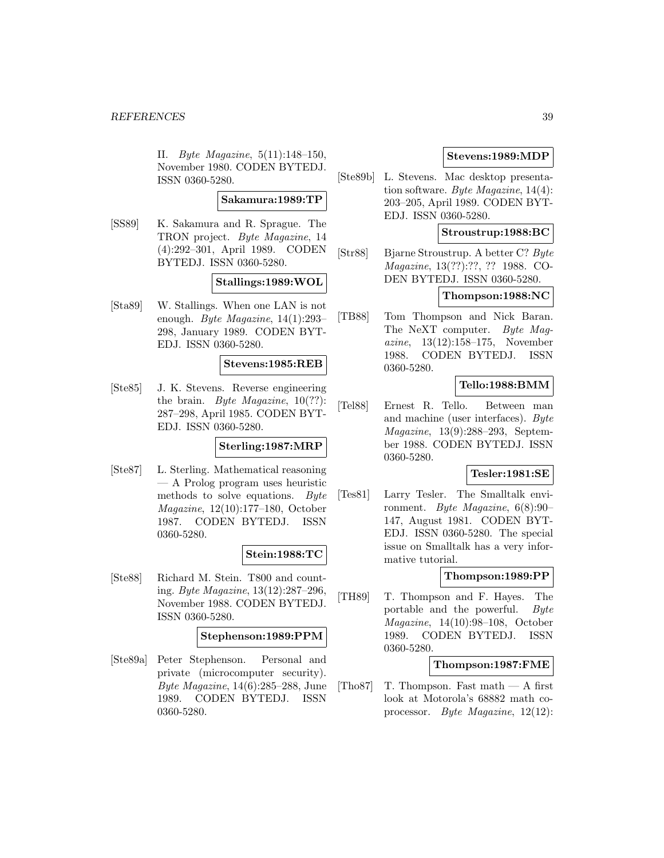II. Byte Magazine, 5(11):148–150, November 1980. CODEN BYTEDJ. ISSN 0360-5280.

## **Sakamura:1989:TP**

[SS89] K. Sakamura and R. Sprague. The TRON project. Byte Magazine, 14 (4):292–301, April 1989. CODEN BYTEDJ. ISSN 0360-5280.

#### **Stallings:1989:WOL**

[Sta89] W. Stallings. When one LAN is not enough. Byte Magazine,  $14(1):293-$ 298, January 1989. CODEN BYT-EDJ. ISSN 0360-5280.

#### **Stevens:1985:REB**

[Ste85] J. K. Stevens. Reverse engineering the brain. Byte Magazine,  $10(??)$ : 287–298, April 1985. CODEN BYT-EDJ. ISSN 0360-5280.

## **Sterling:1987:MRP**

[Ste87] L. Sterling. Mathematical reasoning — A Prolog program uses heuristic methods to solve equations. Byte Magazine, 12(10):177–180, October 1987. CODEN BYTEDJ. ISSN 0360-5280.

## **Stein:1988:TC**

[Ste88] Richard M. Stein. T800 and counting. Byte Magazine, 13(12):287–296, November 1988. CODEN BYTEDJ. ISSN 0360-5280.

#### **Stephenson:1989:PPM**

[Ste89a] Peter Stephenson. Personal and private (microcomputer security). Byte Magazine, 14(6):285–288, June 1989. CODEN BYTEDJ. ISSN 0360-5280.

## **Stevens:1989:MDP**

[Ste89b] L. Stevens. Mac desktop presentation software. Byte Magazine, 14(4): 203–205, April 1989. CODEN BYT-EDJ. ISSN 0360-5280.

## **Stroustrup:1988:BC**

[Str88] Bjarne Stroustrup. A better C? Byte Magazine, 13(??):??, ?? 1988. CO-DEN BYTEDJ. ISSN 0360-5280.

### **Thompson:1988:NC**

[TB88] Tom Thompson and Nick Baran. The NeXT computer. Byte Magazine, 13(12):158–175, November 1988. CODEN BYTEDJ. ISSN 0360-5280.

#### **Tello:1988:BMM**

[Tel88] Ernest R. Tello. Between man and machine (user interfaces). Byte Magazine, 13(9):288–293, September 1988. CODEN BYTEDJ. ISSN 0360-5280.

#### **Tesler:1981:SE**

[Tes81] Larry Tesler. The Smalltalk environment. Byte Magazine, 6(8):90– 147, August 1981. CODEN BYT-EDJ. ISSN 0360-5280. The special issue on Smalltalk has a very informative tutorial.

## **Thompson:1989:PP**

[TH89] T. Thompson and F. Hayes. The portable and the powerful. Byte Magazine, 14(10):98–108, October 1989. CODEN BYTEDJ. ISSN 0360-5280.

#### **Thompson:1987:FME**

[Tho87] T. Thompson. Fast math  $-$  A first look at Motorola's 68882 math coprocessor. Byte Magazine, 12(12):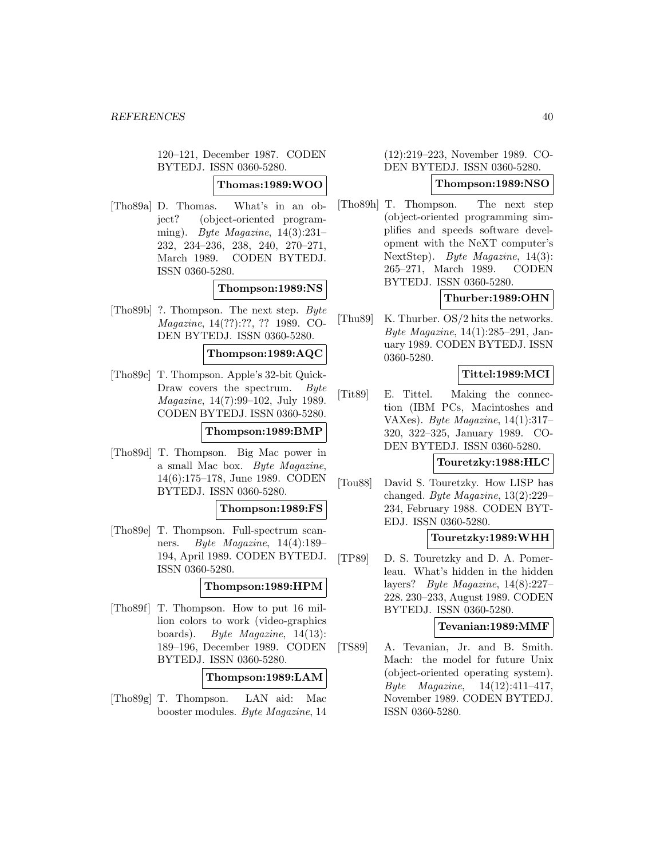120–121, December 1987. CODEN BYTEDJ. ISSN 0360-5280.

## **Thomas:1989:WOO**

[Tho89a] D. Thomas. What's in an object? (object-oriented programming). Byte Magazine, 14(3):231– 232, 234–236, 238, 240, 270–271, March 1989. CODEN BYTEDJ. ISSN 0360-5280.

### **Thompson:1989:NS**

[Tho89b] ?. Thompson. The next step. Byte Magazine, 14(??):??, ?? 1989. CO-DEN BYTEDJ. ISSN 0360-5280.

## **Thompson:1989:AQC**

[Tho89c] T. Thompson. Apple's 32-bit Quick-Draw covers the spectrum. Byte Magazine, 14(7):99–102, July 1989. CODEN BYTEDJ. ISSN 0360-5280.

#### **Thompson:1989:BMP**

[Tho89d] T. Thompson. Big Mac power in a small Mac box. Byte Magazine, 14(6):175–178, June 1989. CODEN BYTEDJ. ISSN 0360-5280.

#### **Thompson:1989:FS**

[Tho89e] T. Thompson. Full-spectrum scanners. Byte Magazine, 14(4):189– 194, April 1989. CODEN BYTEDJ. ISSN 0360-5280.

#### **Thompson:1989:HPM**

[Tho89f] T. Thompson. How to put 16 million colors to work (video-graphics boards). Byte Magazine, 14(13): 189–196, December 1989. CODEN BYTEDJ. ISSN 0360-5280.

**Thompson:1989:LAM**

[Tho89g] T. Thompson. LAN aid: Mac booster modules. Byte Magazine, 14

(12):219–223, November 1989. CO-DEN BYTEDJ. ISSN 0360-5280.

## **Thompson:1989:NSO**

[Tho89h] T. Thompson. The next step (object-oriented programming simplifies and speeds software development with the NeXT computer's NextStep). Byte Magazine, 14(3): 265–271, March 1989. CODEN BYTEDJ. ISSN 0360-5280.

## **Thurber:1989:OHN**

[Thu89] K. Thurber. OS/2 hits the networks. Byte Magazine, 14(1):285–291, January 1989. CODEN BYTEDJ. ISSN 0360-5280.

## **Tittel:1989:MCI**

[Tit89] E. Tittel. Making the connection (IBM PCs, Macintoshes and VAXes). Byte Magazine, 14(1):317– 320, 322–325, January 1989. CO-DEN BYTEDJ. ISSN 0360-5280.

## **Touretzky:1988:HLC**

[Tou88] David S. Touretzky. How LISP has changed. Byte Magazine, 13(2):229– 234, February 1988. CODEN BYT-EDJ. ISSN 0360-5280.

## **Touretzky:1989:WHH**

[TP89] D. S. Touretzky and D. A. Pomerleau. What's hidden in the hidden layers? Byte Magazine, 14(8):227– 228. 230–233, August 1989. CODEN BYTEDJ. ISSN 0360-5280.

#### **Tevanian:1989:MMF**

[TS89] A. Tevanian, Jr. and B. Smith. Mach: the model for future Unix (object-oriented operating system). Byte Magazine, 14(12):411–417, November 1989. CODEN BYTEDJ. ISSN 0360-5280.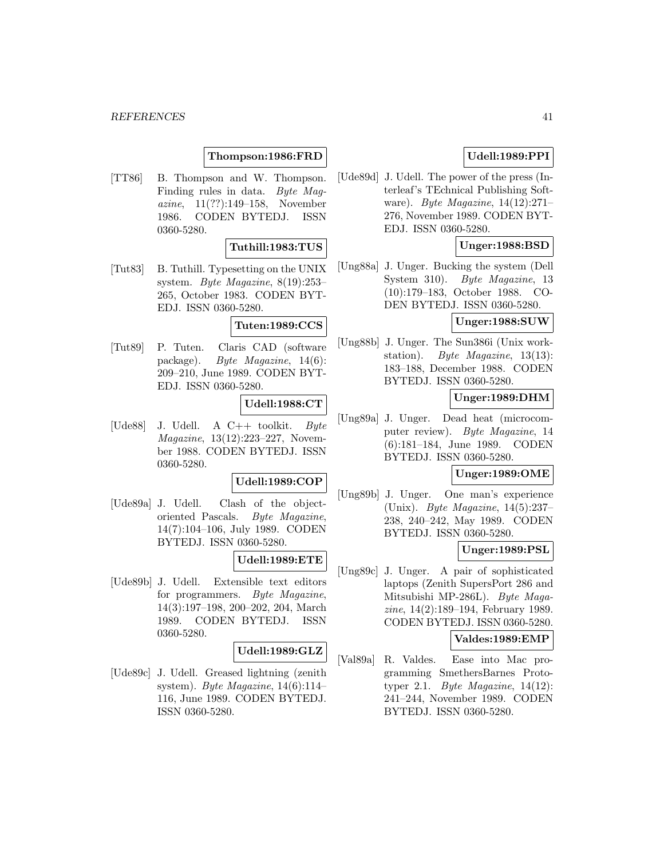## **Thompson:1986:FRD**

[TT86] B. Thompson and W. Thompson. Finding rules in data. Byte Magazine, 11(??):149–158, November 1986. CODEN BYTEDJ. ISSN 0360-5280.

### **Tuthill:1983:TUS**

[Tut83] B. Tuthill. Typesetting on the UNIX system. Byte Magazine, 8(19):253– 265, October 1983. CODEN BYT-EDJ. ISSN 0360-5280.

#### **Tuten:1989:CCS**

[Tut89] P. Tuten. Claris CAD (software package). Byte Magazine, 14(6): 209–210, June 1989. CODEN BYT-EDJ. ISSN 0360-5280.

#### **Udell:1988:CT**

[Ude88] J. Udell. A  $C++$  toolkit. Byte Magazine, 13(12):223–227, November 1988. CODEN BYTEDJ. ISSN 0360-5280.

## **Udell:1989:COP**

[Ude89a] J. Udell. Clash of the objectoriented Pascals. Byte Magazine, 14(7):104–106, July 1989. CODEN BYTEDJ. ISSN 0360-5280.

## **Udell:1989:ETE**

[Ude89b] J. Udell. Extensible text editors for programmers. Byte Magazine, 14(3):197–198, 200–202, 204, March 1989. CODEN BYTEDJ. ISSN 0360-5280.

### **Udell:1989:GLZ**

[Ude89c] J. Udell. Greased lightning (zenith system). Byte Magazine,  $14(6):114-$ 116, June 1989. CODEN BYTEDJ. ISSN 0360-5280.

## **Udell:1989:PPI**

[Ude89d] J. Udell. The power of the press (Interleaf's TEchnical Publishing Software). Byte Magazine, 14(12):271– 276, November 1989. CODEN BYT-EDJ. ISSN 0360-5280.

### **Unger:1988:BSD**

[Ung88a] J. Unger. Bucking the system (Dell System 310). Byte Magazine, 13 (10):179–183, October 1988. CO-DEN BYTEDJ. ISSN 0360-5280.

## **Unger:1988:SUW**

[Ung88b] J. Unger. The Sun386i (Unix workstation). Byte Magazine, 13(13): 183–188, December 1988. CODEN BYTEDJ. ISSN 0360-5280.

## **Unger:1989:DHM**

[Ung89a] J. Unger. Dead heat (microcomputer review). Byte Magazine, 14 (6):181–184, June 1989. CODEN BYTEDJ. ISSN 0360-5280.

#### **Unger:1989:OME**

[Ung89b] J. Unger. One man's experience (Unix). Byte Magazine, 14(5):237– 238, 240–242, May 1989. CODEN BYTEDJ. ISSN 0360-5280.

### **Unger:1989:PSL**

[Ung89c] J. Unger. A pair of sophisticated laptops (Zenith SupersPort 286 and Mitsubishi MP-286L). Byte Magazine, 14(2):189–194, February 1989. CODEN BYTEDJ. ISSN 0360-5280.

#### **Valdes:1989:EMP**

[Val89a] R. Valdes. Ease into Mac programming SmethersBarnes Prototyper 2.1. Byte Magazine,  $14(12)$ : 241–244, November 1989. CODEN BYTEDJ. ISSN 0360-5280.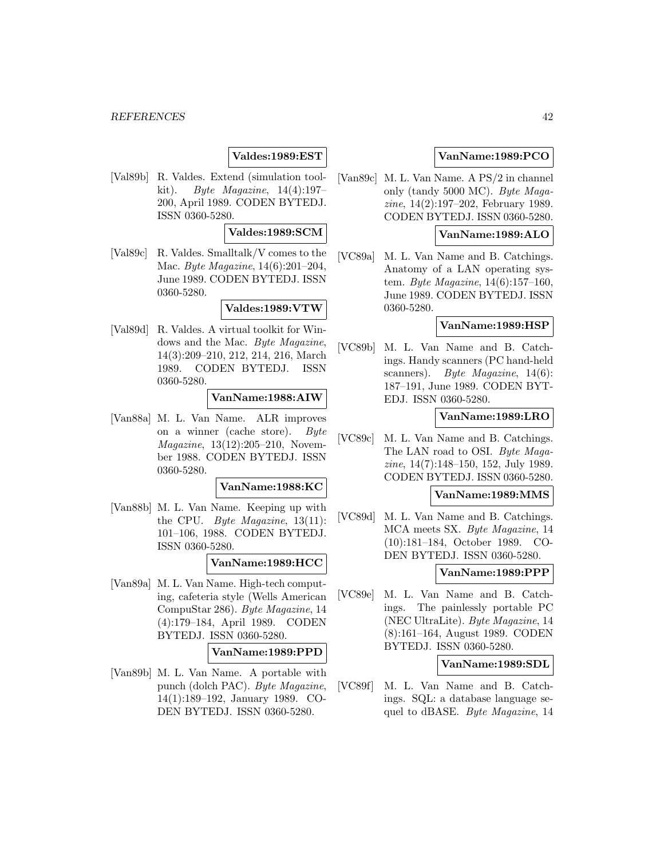## **Valdes:1989:EST**

[Val89b] R. Valdes. Extend (simulation toolkit). Byte Magazine, 14(4):197– 200, April 1989. CODEN BYTEDJ. ISSN 0360-5280.

## **Valdes:1989:SCM**

[Val89c] R. Valdes. Smalltalk/V comes to the Mac. Byte Magazine, 14(6):201–204, June 1989. CODEN BYTEDJ. ISSN 0360-5280.

## **Valdes:1989:VTW**

[Val89d] R. Valdes. A virtual toolkit for Windows and the Mac. Byte Magazine, 14(3):209–210, 212, 214, 216, March 1989. CODEN BYTEDJ. ISSN 0360-5280.

### **VanName:1988:AIW**

[Van88a] M. L. Van Name. ALR improves on a winner (cache store). Byte Magazine, 13(12):205–210, November 1988. CODEN BYTEDJ. ISSN 0360-5280.

#### **VanName:1988:KC**

[Van88b] M. L. Van Name. Keeping up with the CPU. Byte Magazine,  $13(11)$ : 101–106, 1988. CODEN BYTEDJ. ISSN 0360-5280.

#### **VanName:1989:HCC**

[Van89a] M. L. Van Name. High-tech computing, cafeteria style (Wells American CompuStar 286). Byte Magazine, 14 (4):179–184, April 1989. CODEN BYTEDJ. ISSN 0360-5280.

#### **VanName:1989:PPD**

[Van89b] M. L. Van Name. A portable with punch (dolch PAC). Byte Magazine, 14(1):189–192, January 1989. CO-DEN BYTEDJ. ISSN 0360-5280.

## **VanName:1989:PCO**

[Van89c] M. L. Van Name. A PS/2 in channel only (tandy 5000 MC). Byte Magazine, 14(2):197–202, February 1989. CODEN BYTEDJ. ISSN 0360-5280.

## **VanName:1989:ALO**

[VC89a] M. L. Van Name and B. Catchings. Anatomy of a LAN operating system. Byte Magazine, 14(6):157–160, June 1989. CODEN BYTEDJ. ISSN 0360-5280.

#### **VanName:1989:HSP**

[VC89b] M. L. Van Name and B. Catchings. Handy scanners (PC hand-held scanners). Byte Magazine, 14(6): 187–191, June 1989. CODEN BYT-EDJ. ISSN 0360-5280.

### **VanName:1989:LRO**

[VC89c] M. L. Van Name and B. Catchings. The LAN road to OSI. Byte Magazine, 14(7):148–150, 152, July 1989. CODEN BYTEDJ. ISSN 0360-5280.

## **VanName:1989:MMS**

[VC89d] M. L. Van Name and B. Catchings. MCA meets SX. Byte Magazine, 14 (10):181–184, October 1989. CO-DEN BYTEDJ. ISSN 0360-5280.

## **VanName:1989:PPP**

[VC89e] M. L. Van Name and B. Catchings. The painlessly portable PC (NEC UltraLite). Byte Magazine, 14 (8):161–164, August 1989. CODEN BYTEDJ. ISSN 0360-5280.

## **VanName:1989:SDL**

[VC89f] M. L. Van Name and B. Catchings. SQL: a database language sequel to dBASE. Byte Magazine, 14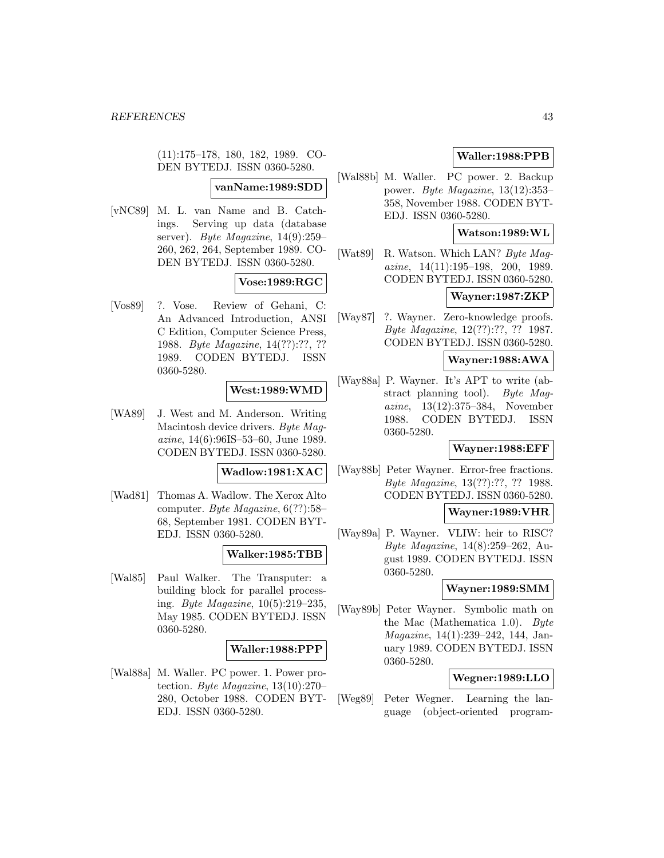(11):175–178, 180, 182, 1989. CO-DEN BYTEDJ. ISSN 0360-5280.

## **vanName:1989:SDD**

[vNC89] M. L. van Name and B. Catchings. Serving up data (database server). Byte Magazine, 14(9):259– 260, 262, 264, September 1989. CO-DEN BYTEDJ. ISSN 0360-5280.

#### **Vose:1989:RGC**

[Vos89] ?. Vose. Review of Gehani, C: An Advanced Introduction, ANSI C Edition, Computer Science Press, 1988. Byte Magazine, 14(??):??, ?? 1989. CODEN BYTEDJ. ISSN 0360-5280.

## **West:1989:WMD**

[WA89] J. West and M. Anderson. Writing Macintosh device drivers. Byte Magazine, 14(6):96IS–53–60, June 1989. CODEN BYTEDJ. ISSN 0360-5280.

#### **Wadlow:1981:XAC**

[Wad81] Thomas A. Wadlow. The Xerox Alto computer. Byte Magazine, 6(??):58– 68, September 1981. CODEN BYT-EDJ. ISSN 0360-5280.

### **Walker:1985:TBB**

[Wal85] Paul Walker. The Transputer: a building block for parallel processing. Byte Magazine, 10(5):219–235, May 1985. CODEN BYTEDJ. ISSN 0360-5280.

#### **Waller:1988:PPP**

[Wal88a] M. Waller. PC power. 1. Power protection. Byte Magazine, 13(10):270– 280, October 1988. CODEN BYT-EDJ. ISSN 0360-5280.

## **Waller:1988:PPB**

[Wal88b] M. Waller. PC power. 2. Backup power. Byte Magazine, 13(12):353– 358, November 1988. CODEN BYT-EDJ. ISSN 0360-5280.

## **Watson:1989:WL**

[Wat89] R. Watson. Which LAN? Byte Magazine, 14(11):195–198, 200, 1989. CODEN BYTEDJ. ISSN 0360-5280.

## **Wayner:1987:ZKP**

[Way87] ?. Wayner. Zero-knowledge proofs. Byte Magazine, 12(??):??, ?? 1987. CODEN BYTEDJ. ISSN 0360-5280.

#### **Wayner:1988:AWA**

[Way88a] P. Wayner. It's APT to write (abstract planning tool). Byte Magazine, 13(12):375–384, November 1988. CODEN BYTEDJ. ISSN 0360-5280.

### **Wayner:1988:EFF**

[Way88b] Peter Wayner. Error-free fractions. Byte Magazine, 13(??):??, ?? 1988. CODEN BYTEDJ. ISSN 0360-5280.

## **Wayner:1989:VHR**

[Way89a] P. Wayner. VLIW: heir to RISC? Byte Magazine, 14(8):259–262, August 1989. CODEN BYTEDJ. ISSN 0360-5280.

#### **Wayner:1989:SMM**

[Way89b] Peter Wayner. Symbolic math on the Mac (Mathematica 1.0). Byte Magazine, 14(1):239–242, 144, January 1989. CODEN BYTEDJ. ISSN 0360-5280.

### **Wegner:1989:LLO**

[Weg89] Peter Wegner. Learning the language (object-oriented program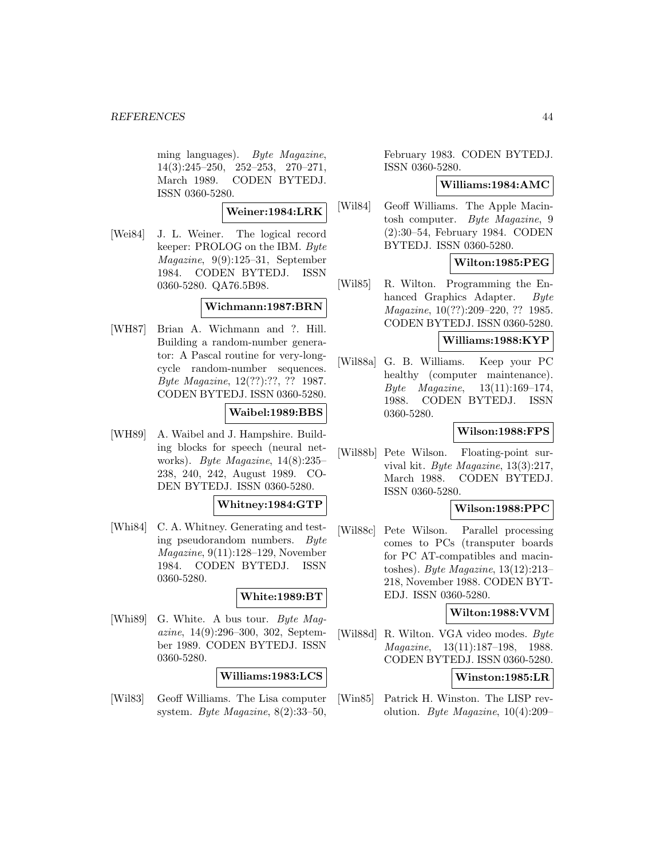ming languages). Byte Magazine, 14(3):245–250, 252–253, 270–271, March 1989. CODEN BYTEDJ. ISSN 0360-5280.

**Weiner:1984:LRK**

[Wei84] J. L. Weiner. The logical record keeper: PROLOG on the IBM. Byte Magazine, 9(9):125–31, September 1984. CODEN BYTEDJ. ISSN 0360-5280. QA76.5B98.

## **Wichmann:1987:BRN**

[WH87] Brian A. Wichmann and ?. Hill. Building a random-number generator: A Pascal routine for very-longcycle random-number sequences. Byte Magazine, 12(??):??, ?? 1987. CODEN BYTEDJ. ISSN 0360-5280.

## **Waibel:1989:BBS**

[WH89] A. Waibel and J. Hampshire. Building blocks for speech (neural networks). Byte Magazine, 14(8):235– 238, 240, 242, August 1989. CO-DEN BYTEDJ. ISSN 0360-5280.

## **Whitney:1984:GTP**

[Whi84] C. A. Whitney. Generating and testing pseudorandom numbers. Byte Magazine, 9(11):128–129, November 1984. CODEN BYTEDJ. ISSN 0360-5280.

## **White:1989:BT**

[Whi89] G. White. A bus tour. Byte Magazine, 14(9):296–300, 302, September 1989. CODEN BYTEDJ. ISSN 0360-5280.

## **Williams:1983:LCS**

[Wil83] Geoff Williams. The Lisa computer system. Byte Magazine,  $8(2):33-50$ ,

February 1983. CODEN BYTEDJ. ISSN 0360-5280.

### **Williams:1984:AMC**

[Wil84] Geoff Williams. The Apple Macintosh computer. Byte Magazine, 9 (2):30–54, February 1984. CODEN BYTEDJ. ISSN 0360-5280.

## **Wilton:1985:PEG**

[Wil85] R. Wilton. Programming the Enhanced Graphics Adapter. Byte Magazine, 10(??):209–220, ?? 1985. CODEN BYTEDJ. ISSN 0360-5280.

## **Williams:1988:KYP**

[Wil88a] G. B. Williams. Keep your PC healthy (computer maintenance). Byte Magazine, 13(11):169–174, 1988. CODEN BYTEDJ. ISSN 0360-5280.

## **Wilson:1988:FPS**

[Wil88b] Pete Wilson. Floating-point survival kit. Byte Magazine, 13(3):217, March 1988. CODEN BYTEDJ. ISSN 0360-5280.

### **Wilson:1988:PPC**

[Wil88c] Pete Wilson. Parallel processing comes to PCs (transputer boards for PC AT-compatibles and macintoshes). Byte Magazine, 13(12):213– 218, November 1988. CODEN BYT-EDJ. ISSN 0360-5280.

## **Wilton:1988:VVM**

[Wil88d] R. Wilton. VGA video modes. Byte Magazine, 13(11):187–198, 1988. CODEN BYTEDJ. ISSN 0360-5280.

### **Winston:1985:LR**

[Win85] Patrick H. Winston. The LISP revolution. Byte Magazine, 10(4):209–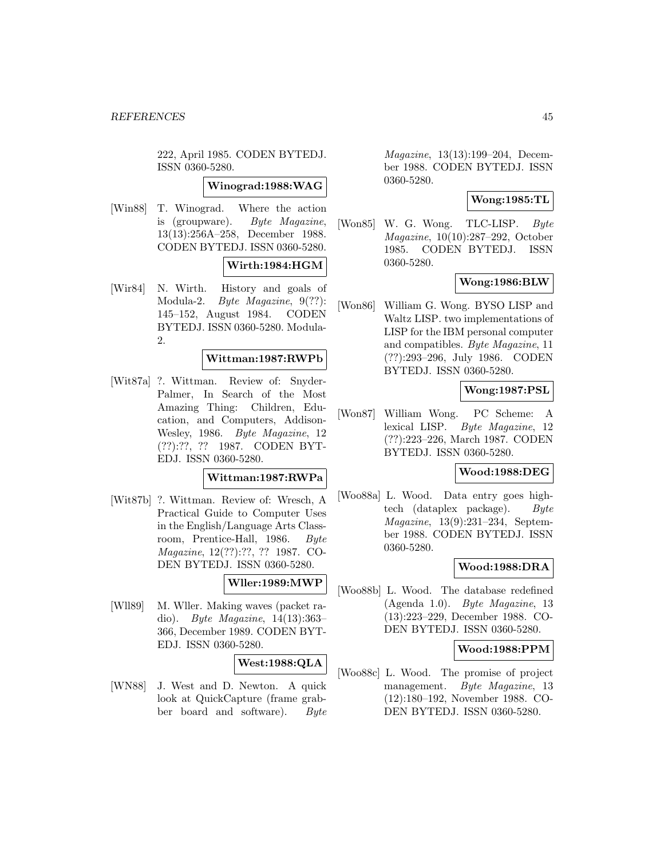222, April 1985. CODEN BYTEDJ. ISSN 0360-5280.

#### **Winograd:1988:WAG**

[Win88] T. Winograd. Where the action is (groupware). Byte Magazine, 13(13):256A–258, December 1988. CODEN BYTEDJ. ISSN 0360-5280.

#### **Wirth:1984:HGM**

[Wir84] N. Wirth. History and goals of Modula-2. Byte Magazine, 9(??): 145–152, August 1984. CODEN BYTEDJ. ISSN 0360-5280. Modula-2.

## **Wittman:1987:RWPb**

[Wit87a] ?. Wittman. Review of: Snyder-Palmer, In Search of the Most Amazing Thing: Children, Education, and Computers, Addison-Wesley, 1986. Byte Magazine, 12 (??):??, ?? 1987. CODEN BYT-EDJ. ISSN 0360-5280.

### **Wittman:1987:RWPa**

[Wit87b] ?. Wittman. Review of: Wresch, A Practical Guide to Computer Uses in the English/Language Arts Classroom, Prentice-Hall, 1986. Byte Magazine, 12(??):??, ?? 1987. CO-DEN BYTEDJ. ISSN 0360-5280.

## **Wller:1989:MWP**

[Wll89] M. Wller. Making waves (packet radio). Byte Magazine, 14(13):363– 366, December 1989. CODEN BYT-EDJ. ISSN 0360-5280.

## **West:1988:QLA**

[WN88] J. West and D. Newton. A quick look at QuickCapture (frame grabber board and software). Byte

Magazine, 13(13):199–204, December 1988. CODEN BYTEDJ. ISSN 0360-5280.

## **Wong:1985:TL**

[Won85] W. G. Wong. TLC-LISP. Byte Magazine, 10(10):287–292, October 1985. CODEN BYTEDJ. ISSN 0360-5280.

### **Wong:1986:BLW**

[Won86] William G. Wong. BYSO LISP and Waltz LISP. two implementations of LISP for the IBM personal computer and compatibles. Byte Magazine, 11 (??):293–296, July 1986. CODEN BYTEDJ. ISSN 0360-5280.

## **Wong:1987:PSL**

[Won87] William Wong. PC Scheme: A lexical LISP. Byte Magazine, 12 (??):223–226, March 1987. CODEN BYTEDJ. ISSN 0360-5280.

#### **Wood:1988:DEG**

[Woo88a] L. Wood. Data entry goes hightech (dataplex package). Byte Magazine, 13(9):231–234, September 1988. CODEN BYTEDJ. ISSN 0360-5280.

## **Wood:1988:DRA**

[Woo88b] L. Wood. The database redefined (Agenda 1.0). Byte Magazine, 13 (13):223–229, December 1988. CO-DEN BYTEDJ. ISSN 0360-5280.

### **Wood:1988:PPM**

[Woo88c] L. Wood. The promise of project management. Byte Magazine, 13 (12):180–192, November 1988. CO-DEN BYTEDJ. ISSN 0360-5280.